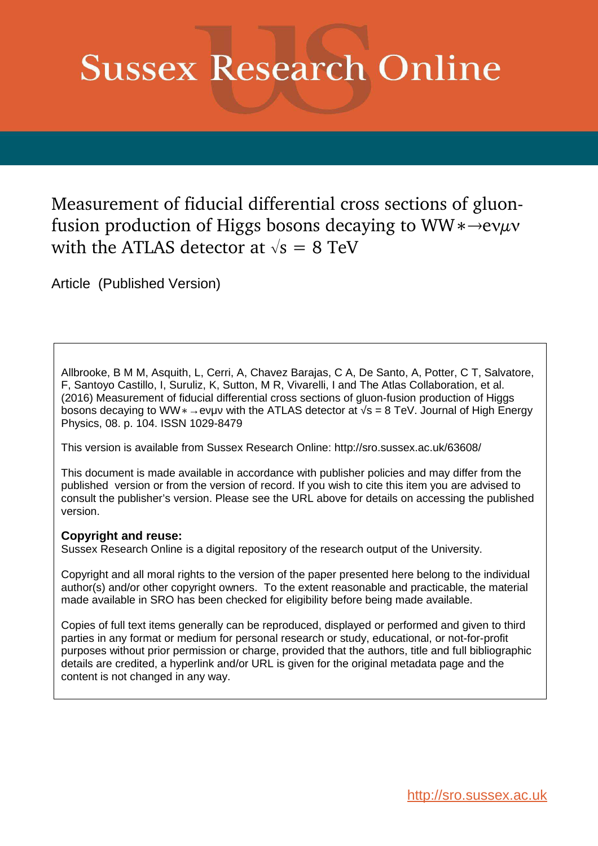# **Sussex Research Online**

Measurement of fiducial differential cross sections of gluonfusion production of Higgs bosons decaying to WW  $*\rightarrow$  ev $\mu\nu$ with the ATLAS detector at  $\sqrt{s} = 8$  TeV

Article (Published Version)

Allbrooke, B M M, Asquith, L, Cerri, A, Chavez Barajas, C A, De Santo, A, Potter, C T, Salvatore, F, Santoyo Castillo, I, Suruliz, K, Sutton, M R, Vivarelli, I and The Atlas Collaboration, et al. (2016) Measurement of fiducial differential cross sections of gluon-fusion production of Higgs bosons decaying to WW  $* \rightarrow e$ νμν with the ATLAS detector at  $\sqrt{s} = 8$  TeV. Journal of High Energy Physics, 08. p. 104. ISSN 1029-8479

This version is available from Sussex Research Online: http://sro.sussex.ac.uk/63608/

This document is made available in accordance with publisher policies and may differ from the published version or from the version of record. If you wish to cite this item you are advised to consult the publisher's version. Please see the URL above for details on accessing the published version.

## **Copyright and reuse:**

Sussex Research Online is a digital repository of the research output of the University.

Copyright and all moral rights to the version of the paper presented here belong to the individual author(s) and/or other copyright owners. To the extent reasonable and practicable, the material made available in SRO has been checked for eligibility before being made available.

Copies of full text items generally can be reproduced, displayed or performed and given to third parties in any format or medium for personal research or study, educational, or not-for-profit purposes without prior permission or charge, provided that the authors, title and full bibliographic details are credited, a hyperlink and/or URL is given for the original metadata page and the content is not changed in any way.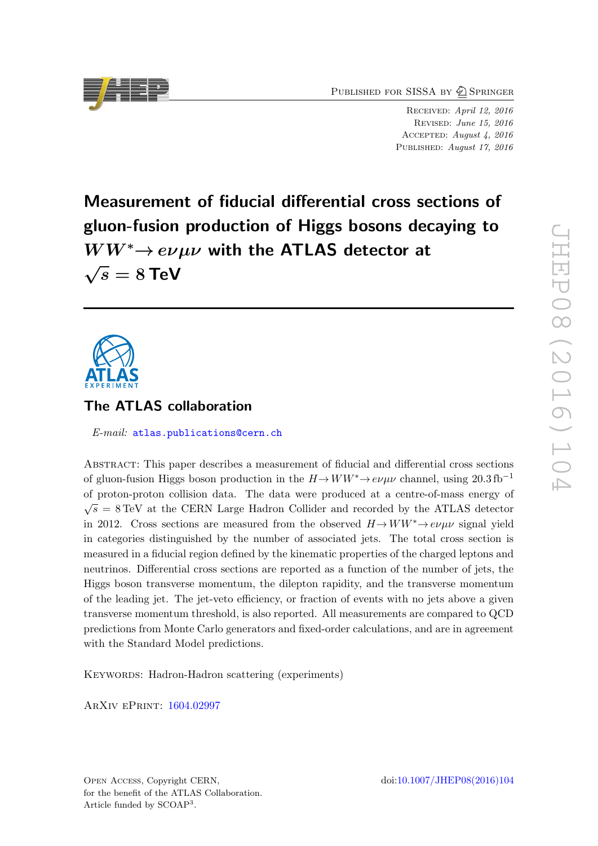PUBLISHED FOR SISSA BY 2 SPRINGER

RECEIVED: April 12, 2016 Revised : June 15, 2016 Accepted : August 4, 2016 PUBLISHED: August 17, 2016

Measurement of fiducial differential cross sections of gluon-fusion production of Higgs bosons decaying to  $WW^* \rightarrow e\nu\mu\nu$  with the ATLAS detector at  $\sqrt{s}=8$  TeV



### The ATLAS collaboration

E-mail: [atlas.publications@cern.ch](mailto:atlas.publications@cern.ch)

Abstract: This paper describes a measurement of fiducial and differential cross sections of gluon-fusion Higgs boson production in the  $H \to WW^* \to e\nu\mu\nu$  channel, using 20.3 fb<sup>-1</sup> of proton-proton collision data. The data were produced at a centre-of-mass energy of  $\sqrt{s}$  = 8 TeV at the CERN Large Hadron Collider and recorded by the ATLAS detector in 2012. Cross sections are measured from the observed  $H \to WW^* \to e\nu\mu\nu$  signal yield in categories distinguished by the number of associated jets. The total cross section is measured in a fiducial region defined by the kinematic properties of the charged leptons and neutrinos. Differential cross sections are reported as a function of the number of jets, the Higgs boson transverse momentum, the dilepton rapidity, and the transverse momentum of the leading jet. The jet-veto efficiency, or fraction of events with no jets above a given transverse momentum threshold, is also reported. All measurements are compared to QCD predictions from Monte Carlo generators and fixed-order calculations, and are in agreement with the Standard Model predictions.

<span id="page-1-0"></span>KEYWORDS: Hadron-Hadron scattering (experiments)

ArXiv ePrint: [1604.02997](http://arxiv.org/abs/1604.02997)

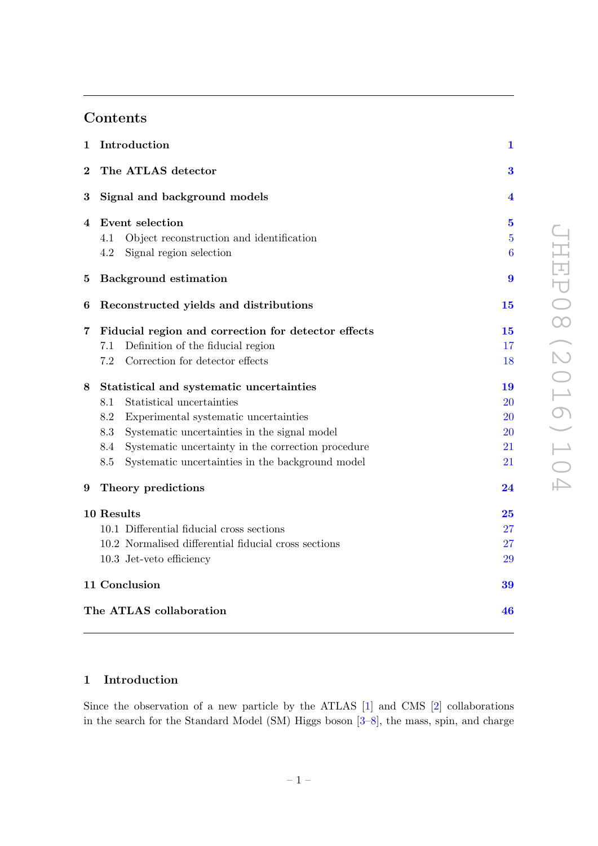# Contents

| 1        | Introduction                                              | $\mathbf{1}$     |
|----------|-----------------------------------------------------------|------------------|
| $\bf{2}$ | The ATLAS detector                                        | $\bf{3}$         |
| 3        | Signal and background models                              | 4                |
| 4        | <b>Event</b> selection                                    | $\bf{5}$         |
|          | 4.1<br>Object reconstruction and identification           | $\overline{5}$   |
|          | 4.2<br>Signal region selection                            | $\boldsymbol{6}$ |
| $\bf{5}$ | <b>Background</b> estimation                              | $\boldsymbol{9}$ |
| 6        | Reconstructed yields and distributions                    | <b>15</b>        |
| 7        | Fiducial region and correction for detector effects       | 15               |
|          | Definition of the fiducial region<br>7.1                  | 17               |
|          | Correction for detector effects<br>7.2                    | 18               |
| 8        | Statistical and systematic uncertainties                  | 19               |
|          | Statistical uncertainties<br>8.1                          | <b>20</b>        |
|          | 8.2<br>Experimental systematic uncertainties              | <b>20</b>        |
|          | 8.3<br>Systematic uncertainties in the signal model       | <b>20</b>        |
|          | 8.4<br>Systematic uncertainty in the correction procedure | 21               |
|          | 8.5<br>Systematic uncertainties in the background model   | 21               |
| 9        | Theory predictions                                        | 24               |
|          | 10 Results                                                | 25               |
|          | 10.1 Differential fiducial cross sections                 | 27               |
|          | 10.2 Normalised differential fiducial cross sections      | 27               |
|          | 10.3 Jet-veto efficiency                                  | 29               |
|          | 11 Conclusion                                             | 39               |
|          | The ATLAS collaboration                                   | 46               |

# 1 Introduction

Since the observation of a new particle by the ATLAS [ [1\]](#page-40-0) and CMS [ [2\]](#page-40-1) collaborations in the search for the Standard Model (SM) Higgs boson [ [3](#page-40-2) – [8\]](#page-41-0), the mass, spin, and charge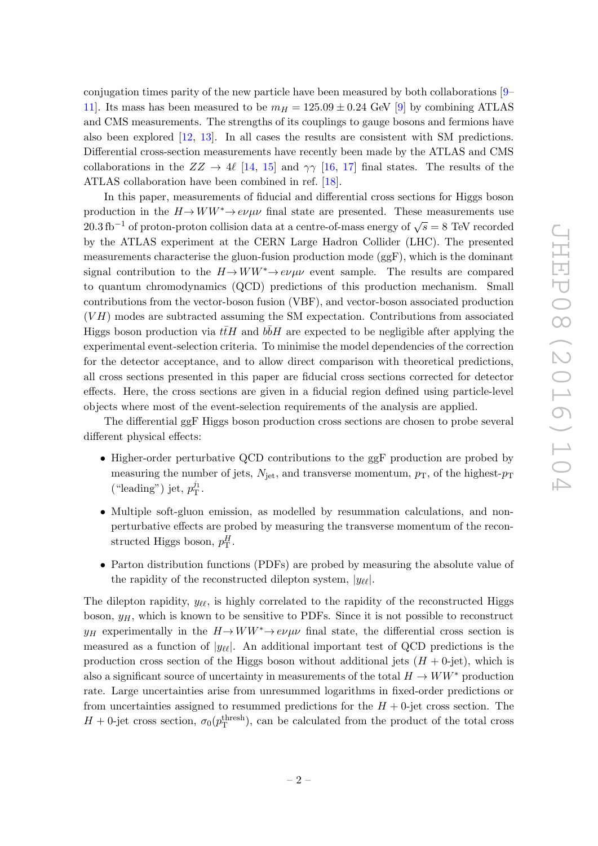conjugation times parity of the new particle have been measured by both collaborations [ [9](#page-41-1) – [11\]](#page-41-2). Its mass has been measured to be  $m_H = 125.09 \pm 0.24$  GeV [[9\]](#page-41-1) by combining ATLAS and CMS measurements. The strengths of its couplings to gauge bosons and fermions have also been explored [\[12](#page-41-3) , [13\]](#page-41-4). In all cases the results are consistent with SM predictions. Differential cross-section measurements have recently been made by the ATLAS and CMS collaborations in the  $ZZ \to 4\ell$  [\[14](#page-41-5), [15\]](#page-41-6) and  $\gamma\gamma$  [\[16](#page-41-7), [17\]](#page-41-8) final states. The results of the ATLAS collaboration have been combined in ref. [\[18\]](#page-41-9).

In this paper, measurements of fiducial and differential cross sections for Higgs boson production in the  $H \to WW^* \to e\nu\mu\nu$  final state are presented. These measurements use  $20.3 \text{ fb}^{-1}$  of proton-proton collision data at a centre-of-mass energy of  $\sqrt{s} = 8$  TeV recorded by the ATLAS experiment at the CERN Large Hadron Collider (LHC). The presented measurements characterise the gluon-fusion production mode (ggF), which is the dominant signal contribution to the  $H \to WW^* \to e\nu\mu\nu$  event sample. The results are compared to quantum chromodynamics (QCD) predictions of this production mechanism. Small contributions from the vector-boson fusion (VBF), and vector-boson associated production  $(VH)$  modes are subtracted assuming the SM expectation. Contributions from associated Higgs boson production via  $t\bar{t}H$  and  $b\bar{b}H$  are expected to be negligible after applying the experimental event-selection criteria. To minimise the model dependencies of the correction for the detector acceptance, and to allow direct comparison with theoretical predictions, all cross sections presented in this paper are fiducial cross sections corrected for detector effects. Here, the cross sections are given in a fiducial region defined using particle-level objects where most of the event-selection requirements of the analysis are applied.

<span id="page-3-0"></span>The differential ggF Higgs boson production cross sections are chosen to probe several different physical effects:

- Higher-order perturbative QCD contributions to the ggF production are probed by measuring the number of jets,  $N_{\rm jet}$ , and transverse momentum,  $p_{\rm T}$ , of the highest- $p_{\rm T}$ ("leading") jet,  $p_{\textrm{T}}^{j_1}$ .
- Multiple soft-gluon emission, as modelled by resummation calculations, and nonperturbative effects are probed by measuring the transverse momentum of the reconstructed Higgs boson,  $p_T^H$ .
- Parton distribution functions (PDFs) are probed by measuring the absolute value of the rapidity of the reconstructed dilepton system,  $|y_{\ell\ell}|$ .

<span id="page-3-1"></span>The dilepton rapidity,  $y_{\ell\ell}$ , is highly correlated to the rapidity of the reconstructed Higgs boson,  $y_H$ , which is known to be sensitive to PDFs. Since it is not possible to reconstruct  $y_H$  experimentally in the  $H \to WW^* \to e\nu\mu\nu$  final state, the differential cross section is measured as a function of  $|y_{\ell\ell}|$ . An additional important test of QCD predictions is the production cross section of the Higgs boson without additional jets  $(H + 0$ -jet), which is also a significant source of uncertainty in measurements of the total  $H \to WW^*$  production rate. Large uncertainties arise from unresummed logarithms in fixed-order predictions or from uncertainties assigned to resummed predictions for the  $H + 0$ -jet cross section. The  $H + 0$ -jet cross section,  $\sigma_0(p_T^{\text{thresh}})$ , can be calculated from the product of the total cross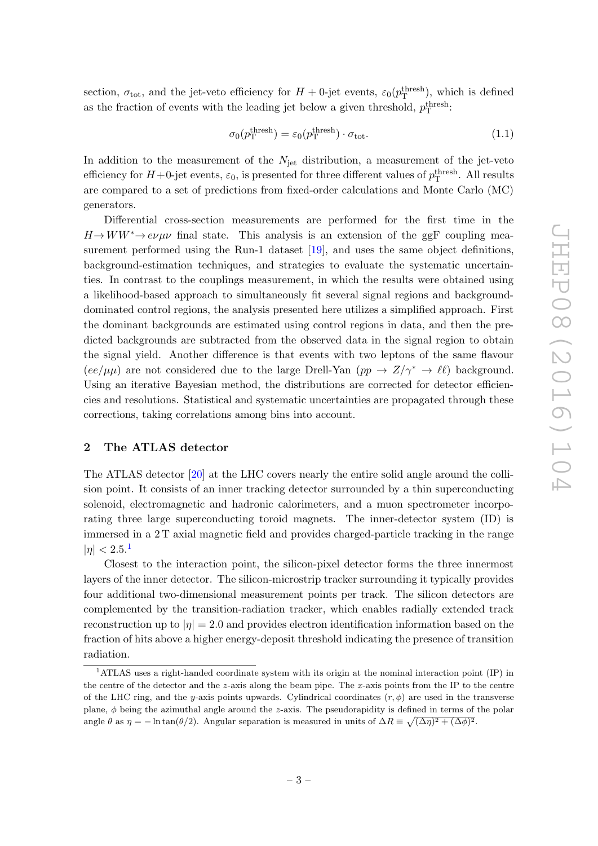section,  $\sigma_{\text{tot}}$ , and the jet-veto efficiency for  $H + 0$ -jet events,  $\varepsilon_0(p_T^{\text{thresh}})$ , which is defined as the fraction of events with the leading jet below a given threshold,  $p_T^{\text{thresh}}$ :

$$
\sigma_0(p_{\rm T}^{\rm thresh}) = \varepsilon_0(p_{\rm T}^{\rm thresh}) \cdot \sigma_{\rm tot}. \tag{1.1}
$$

In addition to the measurement of the  $N_{jet}$  distribution, a measurement of the jet-veto efficiency for  $H+0$ -jet events,  $\varepsilon_0$ , is presented for three different values of  $p_T^{\rm thresh}$ . All results are compared to a set of predictions from fixed-order calculations and Monte Carlo (MC) generators.

Differential cross-section measurements are performed for the first time in the  $H \to WW^* \to e\nu\mu\nu$  final state. This analysis is an extension of the ggF coupling measurement performed using the Run-1 dataset [\[19\]](#page-41-10), and uses the same object definitions, background-estimation techniques, and strategies to evaluate the systematic uncertainties. In contrast to the couplings measurement, in which the results were obtained using a likelihood-based approach to simultaneously fit several signal regions and backgrounddominated control regions, the analysis presented here utilizes a simplified approach. First the dominant backgrounds are estimated using control regions in data, and then the predicted backgrounds are subtracted from the observed data in the signal region to obtain the signal yield. Another difference is that events with two leptons of the same flavour  $(ee/\mu\mu)$  are not considered due to the large Drell-Yan  $(pp \to Z/\gamma^* \to \ell\ell)$  background. Using an iterative Bayesian method, the distributions are corrected for detector efficiencies and resolutions. Statistical and systematic uncertainties are propagated through these corrections, taking correlations among bins into account.

#### <span id="page-4-0"></span>2 The ATLAS detector

The ATLAS detector [\[20\]](#page-42-0) at the LHC covers nearly the entire solid angle around the collision point. It consists of an inner tracking detector surrounded by a thin superconducting solenoid, electromagnetic and hadronic calorimeters, and a muon spectrometer incorporating three large superconducting toroid magnets. The inner-detector system (ID) is immersed in a 2 T axial magnetic field and provides charged-particle tracking in the range  $|\eta| < 2.5^{1}$  $|\eta| < 2.5^{1}$  $|\eta| < 2.5^{1}$ 

Closest to the interaction point, the silicon-pixel detector forms the three innermost layers of the inner detector. The silicon-microstrip tracker surrounding it typically provides four additional two-dimensional measurement points per track. The silicon detectors are complemented by the transition-radiation tracker, which enables radially extended track reconstruction up to  $|\eta| = 2.0$  and provides electron identification information based on the fraction of hits above a higher energy-deposit threshold indicating the presence of transition radiation.

<sup>1</sup>ATLAS uses a right-handed coordinate system with its origin at the nominal interaction point (IP) in the centre of the detector and the z-axis along the beam pipe. The x-axis points from the IP to the centre of the LHC ring, and the y-axis points upwards. Cylindrical coordinates  $(r, \phi)$  are used in the transverse plane, φ being the azimuthal angle around the z-axis. The pseudorapidity is defined in terms of the polar angle  $\theta$  as  $\eta = -\ln \tan(\theta/2)$ . Angular separation is measured in units of  $\Delta R \equiv \sqrt{(\Delta \eta)^2 + (\Delta \phi)^2}$ .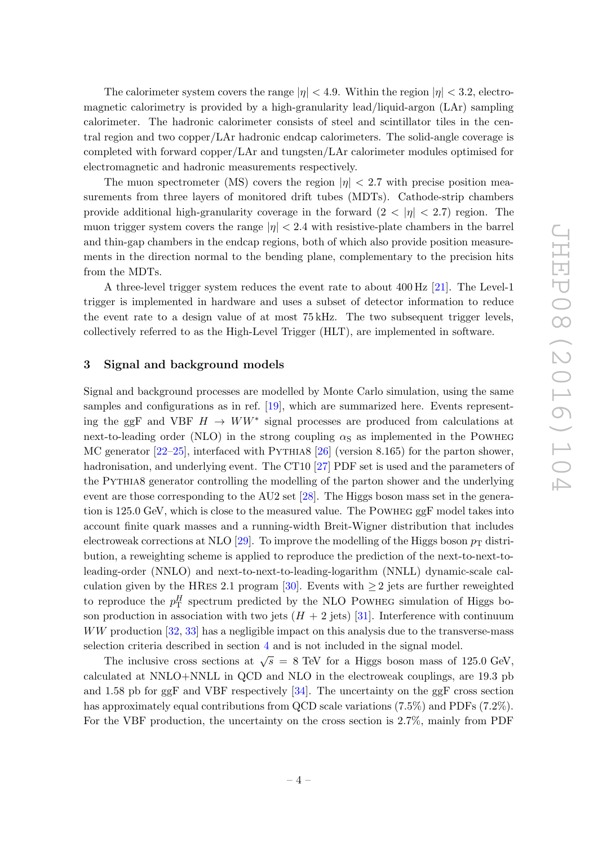The calorimeter system covers the range  $|\eta| < 4.9$ . Within the region  $|\eta| < 3.2$ , electromagnetic calorimetry is provided by a high-granularity lead/liquid-argon (LAr) sampling calorimeter. The hadronic calorimeter consists of steel and scintillator tiles in the central region and two copper/LAr hadronic endcap calorimeters. The solid-angle coverage is completed with forward copper/LAr and tungsten/LAr calorimeter modules optimised for electromagnetic and hadronic measurements respectively.

The muon spectrometer (MS) covers the region  $|\eta| < 2.7$  with precise position measurements from three layers of monitored drift tubes (MDTs). Cathode-strip chambers provide additional high-granularity coverage in the forward  $(2 < |\eta| < 2.7)$  region. The muon trigger system covers the range  $|\eta| < 2.4$  with resistive-plate chambers in the barrel and thin-gap chambers in the endcap regions, both of which also provide position measurements in the direction normal to the bending plane, complementary to the precision hits from the MDTs.

A three-level trigger system reduces the event rate to about 400 Hz [\[21\]](#page-42-1). The Level-1 trigger is implemented in hardware and uses a subset of detector information to reduce the event rate to a design value of at most 75 kHz. The two subsequent trigger levels, collectively referred to as the High-Level Trigger (HLT), are implemented in software.

#### 3 Signal and background models

<span id="page-5-0"></span>Signal and background processes are modelled by Monte Carlo simulation, using the same samples and configurations as in ref. [\[19\]](#page-41-10), which are summarized here. Events representing the ggF and VBF  $H \to WW^*$  signal processes are produced from calculations at next-to-leading order (NLO) in the strong coupling  $\alpha$ <sub>S</sub> as implemented in the POWHEG MC generator  $[22-25]$ , interfaced with PYTHIA8  $[26]$  (version 8.165) for the parton shower, hadronisation, and underlying event. The CT10 [\[27\]](#page-42-5) PDF set is used and the parameters of the Pythia8 generator controlling the modelling of the parton shower and the underlying event are those corresponding to the AU2 set [\[28\]](#page-42-6). The Higgs boson mass set in the generation is 125.0 GeV, which is close to the measured value. The Powheg ggF model takes into account finite quark masses and a running-width Breit-Wigner distribution that includes electroweak corrections at NLO [\[29\]](#page-42-7). To improve the modelling of the Higgs boson  $p_{\mathrm{T}}$  distribution, a reweighting scheme is applied to reproduce the prediction of the next-to-next-toleading-order (NNLO) and next-to-next-to-leading-logarithm (NNLL) dynamic-scale cal-culation given by the HRES 2.1 program [\[30\]](#page-42-8). Events with  $\geq 2$  jets are further reweighted to reproduce the  $p_T^H$  spectrum predicted by the NLO POWHEG simulation of Higgs boson production in association with two jets  $(H + 2$  jets) [\[31\]](#page-42-9). Interference with continuum WW production [\[32](#page-42-10) , [33\]](#page-42-11) has a negligible impact on this analysis due to the transverse-mass selection criteria described in section [4](#page-5-0) and is not included in the signal model.

<span id="page-5-1"></span>The inclusive cross sections at  $\sqrt{s} = 8$  TeV for a Higgs boson mass of 125.0 GeV, calculated at NNLO+NNLL in QCD and NLO in the electroweak couplings, are 19.3 pb and 1.58 pb for ggF and VBF respectively [\[34\]](#page-42-12). The uncertainty on the ggF cross section has approximately equal contributions from QCD scale variations  $(7.5\%)$  and PDFs  $(7.2\%)$ . For the VBF production, the uncertainty on the cross section is 2.7%, mainly from PDF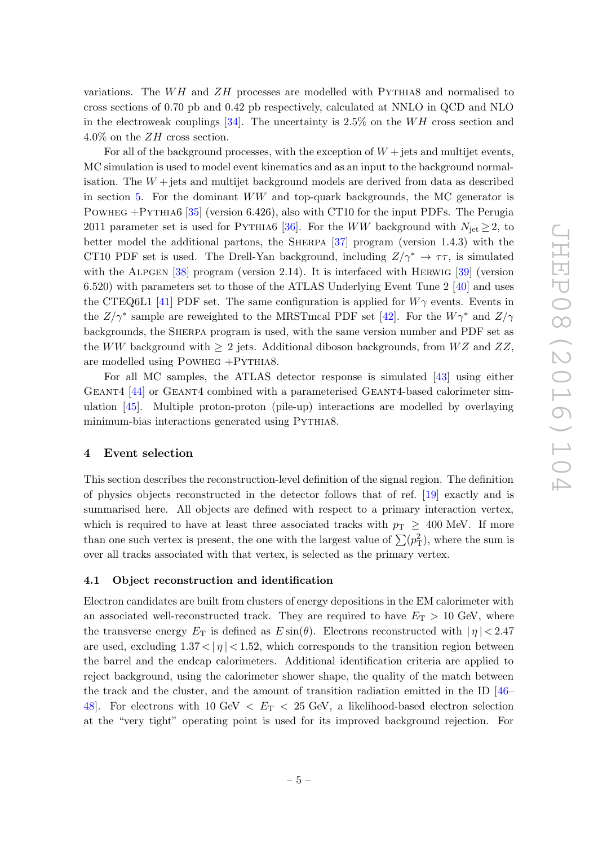variations. The  $WH$  and  $ZH$  processes are modelled with PYTHIA8 and normalised to cross sections of 0.70 pb and 0.42 pb respectively, calculated at NNLO in QCD and NLO in the electroweak couplings  $[34]$ . The uncertainty is 2.5% on the WH cross section and 4.0% on the ZH cross section.

For all of the background processes, with the exception of  $W + j$ ets and multijet events, MC simulation is used to model event kinematics and as an input to the background normalisation. The  $W +$  jets and multijet background models are derived from data as described in section [5.](#page-9-0) For the dominant WW and top-quark backgrounds, the MC generator is POWHEG +PYTHIA6 [\[35\]](#page-42-13) (version 6.426), also with CT10 for the input PDFs. The Perugia 2011 parameter set is used for PYTHIA6 [\[36\]](#page-42-14). For the  $WW$  background with  $N_{jet} \ge 2$ , to better model the additional partons, the SHERPA [\[37\]](#page-42-15) program (version 1.4.3) with the CT10 PDF set is used. The Drell-Yan background, including  $Z/\gamma^* \to \tau\tau$ , is simulated with the ALPGEN [\[38\]](#page-42-16) program (version 2.14). It is interfaced with HERWIG [\[39\]](#page-43-0) (version 6.520) with parameters set to those of the ATLAS Underlying Event Tune 2 [\[40\]](#page-43-1) and uses the CTEQ6L1 [\[41\]](#page-43-2) PDF set. The same configuration is applied for  $W\gamma$  events. Events in the  $Z/\gamma^*$  sample are reweighted to the MRSTmcal PDF set [\[42\]](#page-43-3). For the  $W\gamma^*$  and  $Z/\gamma$ backgrounds, the Sherpa program is used, with the same version number and PDF set as the  $WW$  background with  $\geq 2$  jets. Additional diboson backgrounds, from  $WZ$  and  $ZZ$ , are modelled using Powheg +Pythia8.

For all MC samples, the ATLAS detector response is simulated [\[43\]](#page-43-4) using either Geant4 [\[44\]](#page-43-5) or Geant4 combined with a parameterised Geant4-based calorimeter simulation [\[45\]](#page-43-6). Multiple proton-proton (pile-up) interactions are modelled by overlaying minimum-bias interactions generated using PYTHIA8.

#### 4 Event selection

This section describes the reconstruction-level definition of the signal region. The definition of physics objects reconstructed in the detector follows that of ref. [\[19\]](#page-41-10) exactly and is summarised here. All objects are defined with respect to a primary interaction vertex, which is required to have at least three associated tracks with  $p_T \geq 400$  MeV. If more than one such vertex is present, the one with the largest value of  $\sum (p_T^2)$ , where the sum is over all tracks associated with that vertex, is selected as the primary vertex.

#### 4.1 Object reconstruction and identification

<span id="page-6-0"></span>Electron candidates are built from clusters of energy depositions in the EM calorimeter with an associated well-reconstructed track. They are required to have  $E_T > 10$  GeV, where the transverse energy  $E_T$  is defined as  $E \sin(\theta)$ . Electrons reconstructed with  $|\eta| < 2.47$ are used, excluding  $1.37 < |\eta| < 1.52$ , which corresponds to the transition region between the barrel and the endcap calorimeters. Additional identification criteria are applied to reject background, using the calorimeter shower shape, the quality of the match between the track and the cluster, and the amount of transition radiation emitted in the ID [\[46](#page-43-7) – 48. For electrons with  $10 \text{ GeV} < E_T < 25 \text{ GeV}$ , a likelihood-based electron selection at the "very tight" operating point is used for its improved background rejection. For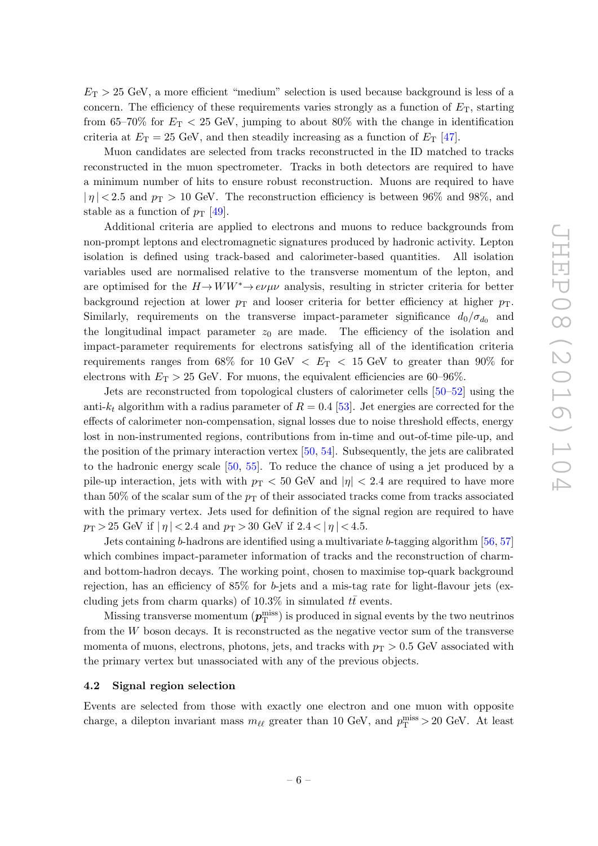$E<sub>T</sub> > 25$  GeV, a more efficient "medium" selection is used because background is less of a concern. The efficiency of these requirements varies strongly as a function of  $E_T$ , starting from 65–70% for  $E_T < 25$  GeV, jumping to about 80% with the change in identification criteria at  $E_T = 25$  GeV, and then steadily increasing as a function of  $E_T$  [\[47\]](#page-43-9).

Muon candidates are selected from tracks reconstructed in the ID matched to tracks reconstructed in the muon spectrometer. Tracks in both detectors are required to have a minimum number of hits to ensure robust reconstruction. Muons are required to have  $|\eta|$  < 2.5 and  $p_T > 10$  GeV. The reconstruction efficiency is between 96% and 98%, and stable as a function of  $p_T$  [\[49\]](#page-43-10).

Additional criteria are applied to electrons and muons to reduce backgrounds from non-prompt leptons and electromagnetic signatures produced by hadronic activity. Lepton isolation is defined using track-based and calorimeter-based quantities. All isolation variables used are normalised relative to the transverse momentum of the lepton, and are optimised for the  $H \to WW^* \to e\nu\mu\nu$  analysis, resulting in stricter criteria for better background rejection at lower  $p_T$  and looser criteria for better efficiency at higher  $p_T$ . Similarly, requirements on the transverse impact-parameter significance  $d_0/\sigma_{d_0}$  and the longitudinal impact parameter  $z_0$  are made. The efficiency of the isolation and impact-parameter requirements for electrons satisfying all of the identification criteria requirements ranges from  $68\%$  for  $10 \text{ GeV} < E_T < 15 \text{ GeV}$  to greater than  $90\%$  for electrons with  $E_T > 25$  GeV. For muons, the equivalent efficiencies are 60–96%.

Jets are reconstructed from topological clusters of calorimeter cells [\[50](#page-43-11) [–52\]](#page-43-12) using the anti- $k_t$  algorithm with a radius parameter of  $R = 0.4$  [\[53\]](#page-43-13). Jet energies are corrected for the effects of calorimeter non-compensation, signal losses due to noise threshold effects, energy lost in non-instrumented regions, contributions from in-time and out-of-time pile-up, and the position of the primary interaction vertex [\[50](#page-43-11) , [54\]](#page-43-14). Subsequently, the jets are calibrated to the hadronic energy scale [\[50](#page-43-11) , [55\]](#page-43-15). To reduce the chance of using a jet produced by a pile-up interaction, jets with with  $p_T < 50$  GeV and  $|\eta| < 2.4$  are required to have more than  $50\%$  of the scalar sum of the  $p_{\rm T}$  of their associated tracks come from tracks associated with the primary vertex. Jets used for definition of the signal region are required to have  $p_T > 25$  GeV if  $|\eta| < 2.4$  and  $p_T > 30$  GeV if  $2.4 < |\eta| < 4.5$ .

Jets containing *b*-hadrons are identified using a multivariate *b*-tagging algorithm [\[56](#page-44-0), [57](#page-44-1)] which combines impact-parameter information of tracks and the reconstruction of charmand bottom-hadron decays. The working point, chosen to maximise top-quark background rejection, has an efficiency of 85% for b-jets and a mis-tag rate for light-flavour jets (excluding jets from charm quarks) of 10.3% in simulated  $t\bar{t}$  events.

Missing transverse momentum  $(\boldsymbol{p}_{\rm T}^{\rm miss})$  is produced in signal events by the two neutrinos from the W boson decays. It is reconstructed as the negative vector sum of the transverse momenta of muons, electrons, photons, jets, and tracks with  $p_T > 0.5$  GeV associated with the primary vertex but unassociated with any of the previous objects.

#### 4.2 Signal region selection

Events are selected from those with exactly one electron and one muon with opposite charge, a dilepton invariant mass  $m_{\ell\ell}$  greater than 10 GeV, and  $p_T^{\text{miss}} > 20$  GeV. At least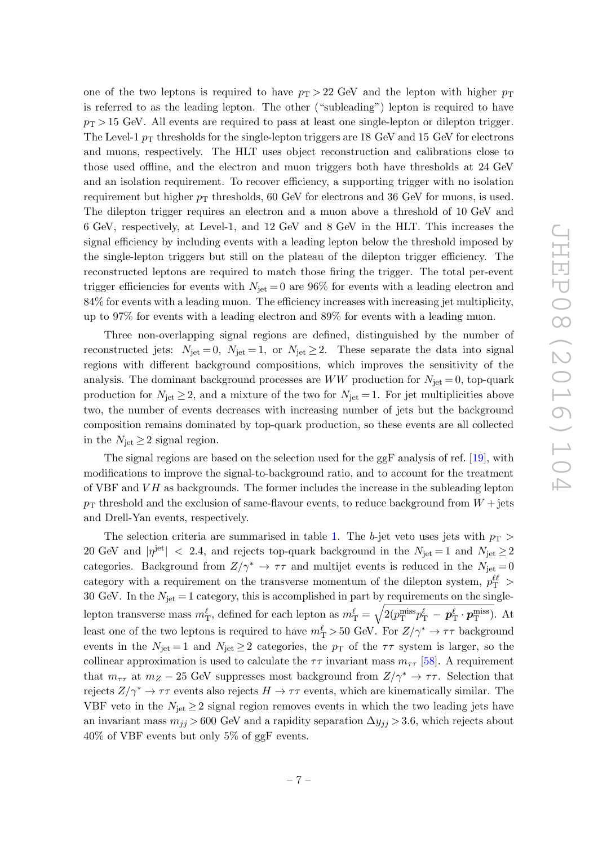<span id="page-8-0"></span>one of the two leptons is required to have  $p_T > 22$  GeV and the lepton with higher  $p_T$ is referred to as the leading lepton. The other ("subleading") lepton is required to have  $p_T > 15$  GeV. All events are required to pass at least one single-lepton or dilepton trigger. The Level-1  $p_T$  thresholds for the single-lepton triggers are 18 GeV and 15 GeV for electrons and muons, respectively. The HLT uses object reconstruction and calibrations close to those used offline, and the electron and muon triggers both have thresholds at 24 GeV and an isolation requirement. To recover efficiency, a supporting trigger with no isolation requirement but higher  $p<sub>T</sub>$  thresholds, 60 GeV for electrons and 36 GeV for muons, is used. The dilepton trigger requires an electron and a muon above a threshold of 10 GeV and 6 GeV, respectively, at Level-1, and 12 GeV and 8 GeV in the HLT. This increases the signal efficiency by including events with a leading lepton below the threshold imposed by the single-lepton triggers but still on the plateau of the dilepton trigger efficiency. The reconstructed leptons are required to match those firing the trigger. The total per-event trigger efficiencies for events with  $N_{jet} = 0$  are 96% for events with a leading electron and 84% for events with a leading muon. The efficiency increases with increasing jet multiplicity, up to 97% for events with a leading electron and 89% for events with a leading muon.

Three non-overlapping signal regions are defined, distinguished by the number of reconstructed jets:  $N_{jet} = 0$ ,  $N_{jet} = 1$ , or  $N_{jet} \ge 2$ . These separate the data into signal regions with different background compositions, which improves the sensitivity of the analysis. The dominant background processes are  $WW$  production for  $N_{jet} = 0$ , top-quark production for  $N_{jet} \geq 2$ , and a mixture of the two for  $N_{jet} = 1$ . For jet multiplicities above two, the number of events decreases with increasing number of jets but the background composition remains dominated by top-quark production, so these events are all collected in the  $N_{\rm jet} \geq 2$  signal region.

The signal regions are based on the selection used for the ggF analysis of ref. [\[19\]](#page-41-10), with modifications to improve the signal-to-background ratio, and to account for the treatment of VBF and  $VH$  as backgrounds. The former includes the increase in the subleading lepton  $p<sub>T</sub>$  threshold and the exclusion of same-flavour events, to reduce background from  $W +$  jets and Drell-Yan events, respectively.

The selection criteria are summarised in table [1.](#page-8-0) The b-jet veto uses jets with  $p_T >$ 20 GeV and  $|\eta^{\rm jet}| < 2.4$ , and rejects top-quark background in the  $N_{\rm jet} = 1$  and  $N_{\rm jet} \ge 2$ categories. Background from  $Z/\gamma^* \to \tau\tau$  and multijet events is reduced in the  $N_{jet} = 0$ category with a requirement on the transverse momentum of the dilepton system,  $p_{\textrm{T}}^{\ell\ell}$  > 30 GeV. In the  $N_{jet} = 1$  category, this is accomplished in part by requirements on the singlelepton transverse mass  $m_T^{\ell}$ , defined for each lepton as  $m_T^{\ell} = \sqrt{2(p_T^{\text{miss}}p_T^{\ell} - \boldsymbol{p}_T^{\ell}\cdot\boldsymbol{p}_T^{\text{miss}})}$ . At least one of the two leptons is required to have  $m_T^{\ell} > 50$  GeV. For  $Z/\gamma^* \to \tau\tau$  background events in the  $N_{jet} = 1$  and  $N_{jet} \ge 2$  categories, the  $p_T$  of the  $\tau\tau$  system is larger, so the collinear approximation is used to calculate the  $\tau\tau$  invariant mass  $m_{\tau\tau}$  [\[58\]](#page-44-2). A requirement that  $m_{\tau\tau}$  at  $m_Z - 25$  GeV suppresses most background from  $Z/\gamma^* \to \tau\tau$ . Selection that rejects  $Z/\gamma^* \to \tau\tau$  events also rejects  $H \to \tau\tau$  events, which are kinematically similar. The VBF veto in the  $N_{jet} \geq 2$  signal region removes events in which the two leading jets have an invariant mass  $m_{jj} > 600$  GeV and a rapidity separation  $\Delta y_{jj} > 3.6$ , which rejects about 40% of VBF events but only 5% of ggF events.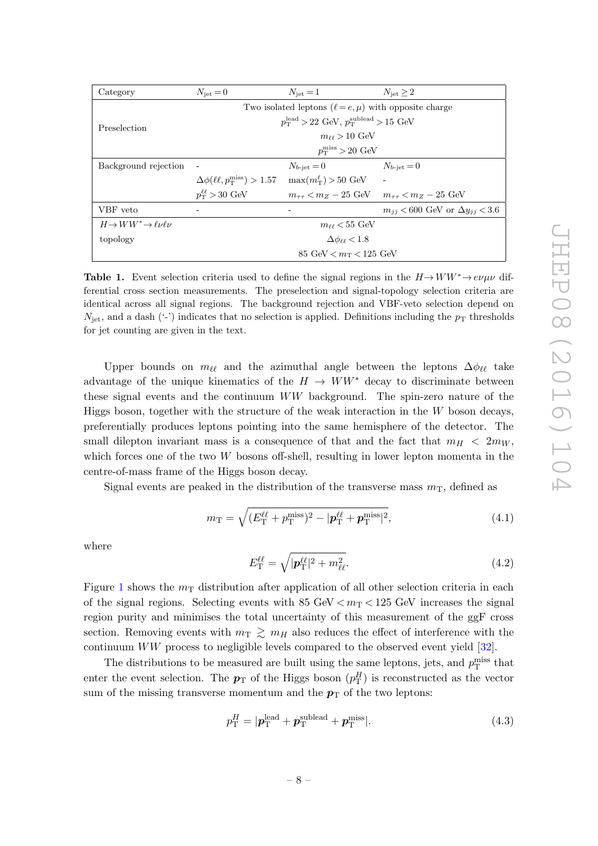<span id="page-9-1"></span>

| Category                                           | $N_{\rm jet}=0$                                                                         | $N_{\rm jet}=1$                                                     | $N_{\rm jet} > 2$                           |  |  |
|----------------------------------------------------|-----------------------------------------------------------------------------------------|---------------------------------------------------------------------|---------------------------------------------|--|--|
|                                                    | Two isolated leptons $(\ell = e, \mu)$ with opposite charge                             |                                                                     |                                             |  |  |
| Preselection                                       | $p_T^{\text{lead}} > 22 \text{ GeV}, p_T^{\text{sublead}} > 15 \text{ GeV}$             |                                                                     |                                             |  |  |
|                                                    | $m_{\ell\ell} > 10$ GeV                                                                 |                                                                     |                                             |  |  |
|                                                    | $p_T^{\text{miss}} > 20 \text{ GeV}$                                                    |                                                                     |                                             |  |  |
| Background rejection                               |                                                                                         | $N_{b\text{-jet}} = 0$                                              | $N_{b\text{-jet}} = 0$                      |  |  |
|                                                    | $\Delta\phi(\ell\ell,p_T^{\text{miss}}) > 1.57 \quad \max(m_T^{\ell}) > 50 \text{ GeV}$ |                                                                     |                                             |  |  |
|                                                    | $p_{\rm T}^{\ell\ell} > 30~\text{GeV}$                                                  | $m_{\tau\tau}$ < $m_{Z}$ – 25 GeV $m_{\tau\tau}$ < $m_{Z}$ – 25 GeV |                                             |  |  |
| VBF veto                                           |                                                                                         |                                                                     | $m_{ij}$ < 600 GeV or $\Delta y_{ij}$ < 3.6 |  |  |
| $H \rightarrow WW^* \rightarrow \ell \nu \ell \nu$ |                                                                                         | $m_{\ell\ell}$ < 55 GeV                                             |                                             |  |  |
| topology                                           | $\Delta \phi_{\ell\ell} < 1.8$                                                          |                                                                     |                                             |  |  |
|                                                    | 85 GeV $< m_T < 125$ GeV                                                                |                                                                     |                                             |  |  |

<span id="page-9-0"></span>**Table 1.** Event selection criteria used to define the signal regions in the  $H \rightarrow WW^* \rightarrow e\nu\mu\nu$  differential cross section measurements. The preselection and signal-topology selection criteria are identical across all signal regions. The background rejection and VBF-veto selection depend on  $N_{\text{jet}}$ , and a dash ('-') indicates that no selection is applied. Definitions including the  $p_{\text{T}}$  thresholds for jet counting are given in the text.

Upper bounds on  $m_{\ell\ell}$  and the azimuthal angle between the leptons  $\Delta\phi_{\ell\ell}$  take advantage of the unique kinematics of the  $H \rightarrow WW^*$  decay to discriminate between these signal events and the continuum  $WW$  background. The spin-zero nature of the Higgs boson, together with the structure of the weak interaction in the W boson decays, preferentially produces leptons pointing into the same hemisphere of the detector. The small dilepton invariant mass is a consequence of that and the fact that  $m_H < 2m_W$ , which forces one of the two W bosons off-shell, resulting in lower lepton momenta in the centre-of-mass frame of the Higgs boson decay.

Signal events are peaked in the distribution of the transverse mass  $m<sub>T</sub>$ , defined as

$$
m_{\rm T} = \sqrt{(E_{\rm T}^{\ell\ell} + p_{\rm T}^{\rm miss})^2 - |\boldsymbol{p}_{\rm T}^{\ell\ell} + \boldsymbol{p}_{\rm T}^{\rm miss}|^2},\tag{4.1}
$$

where

$$
E_{\rm T}^{\ell\ell} = \sqrt{|\mathbf{p}_{\rm T}^{\ell\ell}|^2 + m_{\ell\ell}^2}.
$$
 (4.2)

Figure [1](#page-10-0) shows the  $m<sub>T</sub>$  distribution after application of all other selection criteria in each of the signal regions. Selecting events with  $85 \text{ GeV} < m_T < 125 \text{ GeV}$  increases the signal region purity and minimises the total uncertainty of this measurement of the ggF cross section. Removing events with  $m<sub>T</sub> \gtrsim m<sub>H</sub>$  also reduces the effect of interference with the continuum WW process to negligible levels compared to the observed event yield [\[32\]](#page-42-10).

The distributions to be measured are built using the same leptons, jets, and  $p_T^{\text{miss}}$  that enter the event selection. The  $p_T$  of the Higgs boson  $(p_T^H)$  is reconstructed as the vector sum of the missing transverse momentum and the  $p_T$  of the two leptons:

$$
p_{\rm T}^H = |\boldsymbol{p}_{\rm T}^{\rm lead} + \boldsymbol{p}_{\rm T}^{\rm sublead} + \boldsymbol{p}_{\rm T}^{\rm miss}|.
$$
 (4.3)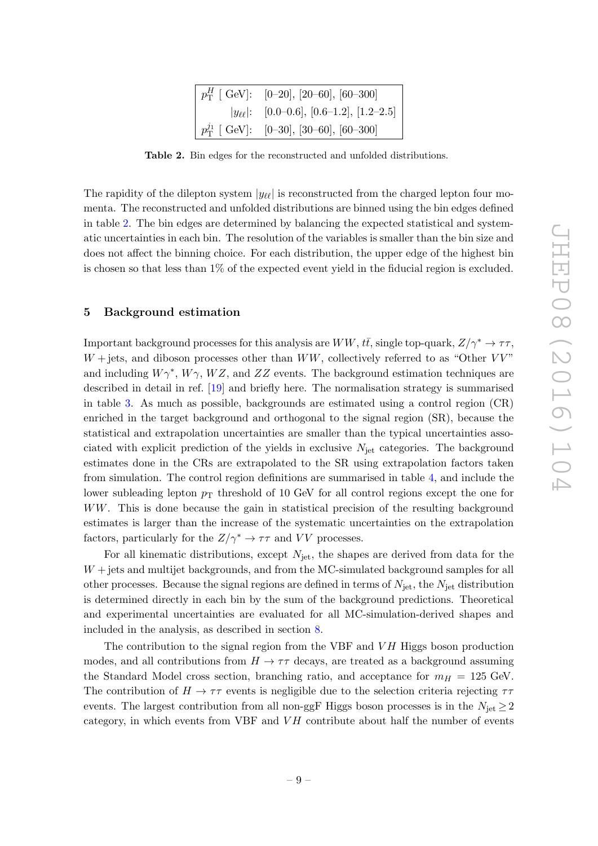| $p_T^H$ [ GeV]: [0-20], [20-60], [60-300]          |
|----------------------------------------------------|
| $ y_{\ell\ell} $ : [0.0–0.6], [0.6–1.2], [1.2–2.5] |
| $p_T^{j_1}$ [ GeV]: [0–30], [30–60], [60–300]      |

Table 2. Bin edges for the reconstructed and unfolded distributions.

<span id="page-10-0"></span>The rapidity of the dilepton system  $|y_{\ell\ell}|$  is reconstructed from the charged lepton four momenta. The reconstructed and unfolded distributions are binned using the bin edges defined in table [2.](#page-9-1) The bin edges are determined by balancing the expected statistical and systematic uncertainties in each bin. The resolution of the variables is smaller than the bin size and does not affect the binning choice. For each distribution, the upper edge of the highest bin is chosen so that less than 1% of the expected event yield in the fiducial region is excluded.

#### 5 Background estimation

Important background processes for this analysis are  $WW, t\bar{t}$ , single top-quark,  $Z/\gamma^* \to \tau\tau$ ,  $W + \text{jets}$ , and diboson processes other than  $WW$ , collectively referred to as "Other  $VV$ " and including  $W\gamma^*$ ,  $W\gamma$ ,  $WZ$ , and  $ZZ$  events. The background estimation techniques are described in detail in ref. [\[19\]](#page-41-10) and briefly here. The normalisation strategy is summarised in table [3.](#page-11-0) As much as possible, backgrounds are estimated using a control region (CR) enriched in the target background and orthogonal to the signal region (SR), because the statistical and extrapolation uncertainties are smaller than the typical uncertainties associated with explicit prediction of the yields in exclusive  $N_{jet}$  categories. The background estimates done in the CRs are extrapolated to the SR using extrapolation factors taken from simulation. The control region definitions are summarised in table [4,](#page-11-1) and include the lower subleading lepton  $p<sub>T</sub>$  threshold of 10 GeV for all control regions except the one for WW. This is done because the gain in statistical precision of the resulting background estimates is larger than the increase of the systematic uncertainties on the extrapolation factors, particularly for the  $Z/\gamma^* \to \tau\tau$  and  $VV$  processes.

For all kinematic distributions, except  $N_{\rm jet}$ , the shapes are derived from data for the  $W +$  jets and multijet backgrounds, and from the MC-simulated background samples for all other processes. Because the signal regions are defined in terms of  $N_{\rm jet}$ , the  $N_{\rm jet}$  distribution is determined directly in each bin by the sum of the background predictions. Theoretical and experimental uncertainties are evaluated for all MC-simulation-derived shapes and included in the analysis, as described in section [8](#page-19-0) .

The contribution to the signal region from the VBF and  $VH$  Higgs boson production modes, and all contributions from  $H \to \tau\tau$  decays, are treated as a background assuming the Standard Model cross section, branching ratio, and acceptance for  $m_H = 125$  GeV. The contribution of  $H \to \tau\tau$  events is negligible due to the selection criteria rejecting  $\tau\tau$ events. The largest contribution from all non-ggF Higgs boson processes is in the  $N_{jet} \ge 2$ category, in which events from VBF and  $VH$  contribute about half the number of events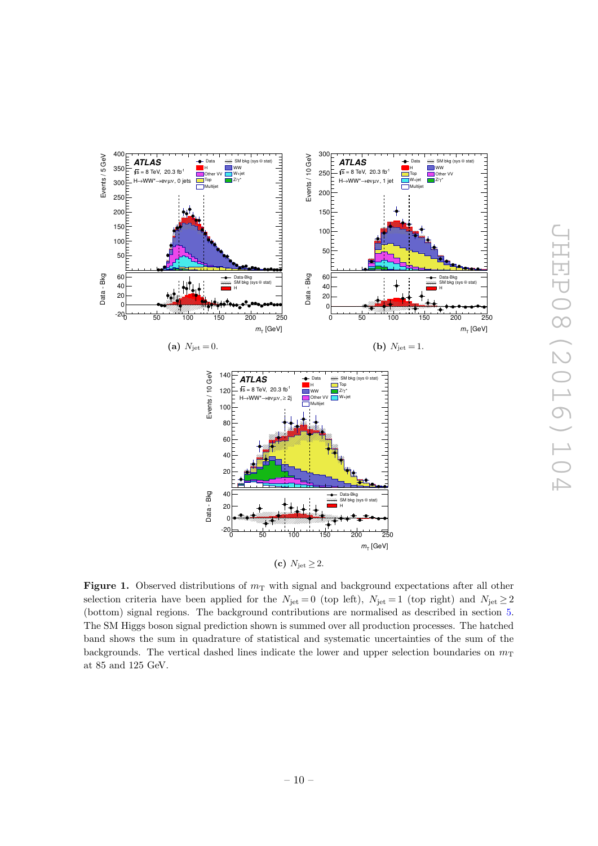<span id="page-11-1"></span><span id="page-11-0"></span>

**Figure 1.** Observed distributions of  $m<sub>T</sub>$  with signal and background expectations after all other selection criteria have been applied for the  $N_{jet} = 0$  (top left),  $N_{jet} = 1$  (top right) and  $N_{jet} \ge 2$ (bottom) signal regions. The background contributions are normalised as described in section [5](#page-9-0) . The SM Higgs boson signal prediction shown is summed over all production processes. The hatched band shows the sum in quadrature of statistical and systematic uncertainties of the sum of the backgrounds. The vertical dashed lines indicate the lower and upper selection boundaries on  $m_{\rm T}$ at 85 and 125 GeV.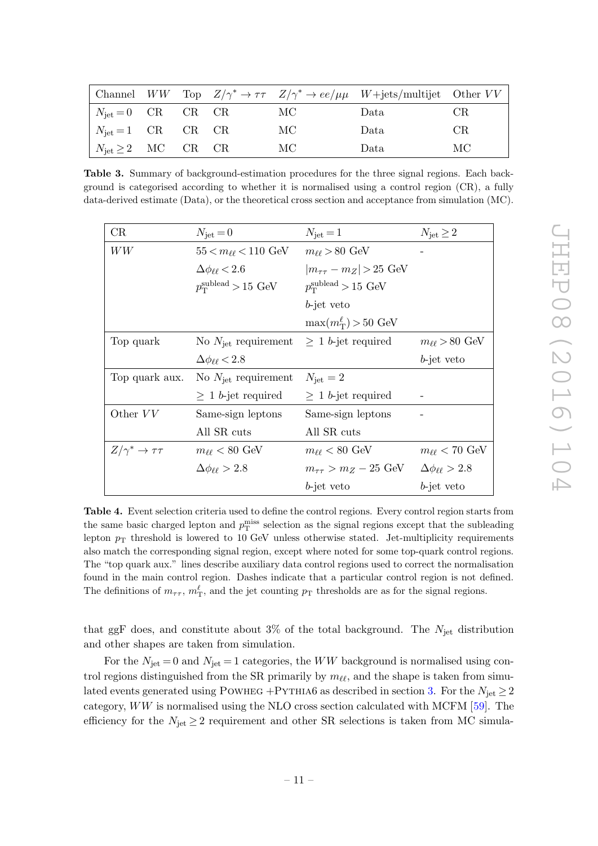<span id="page-12-0"></span>

|                                  |  |             | Channel WW Top $Z/\gamma^* \to \tau \tau Z/\gamma^* \to ee/\mu\mu W + \text{jets/multiplet Other } VV$ |      |
|----------------------------------|--|-------------|--------------------------------------------------------------------------------------------------------|------|
| $N_{\text{jet}} = 0$ CR CR CR    |  | $_{\rm MC}$ | Data                                                                                                   | - CR |
| $N_{\text{iet}} = 1$ CR CR CR    |  | $_{\rm MC}$ | Data                                                                                                   | CR.  |
| $N_{\text{jet}} \geq 2$ MC CR CR |  | MC          | Data                                                                                                   | MC.  |

Table 3. Summary of background-estimation procedures for the three signal regions. Each background is categorised according to whether it is normalised using a control region (CR), a fully data-derived estimate (Data), or the theoretical cross section and acceptance from simulation (MC).

| $_{\rm CR}$               | $N_{\rm jet}=0$                         | $N_{\rm jet}=1$                                             | $N_{\rm jet} \geq 2$    |
|---------------------------|-----------------------------------------|-------------------------------------------------------------|-------------------------|
| WW                        | $55 < m_{\ell\ell} < 110~\text{GeV}$    | $m_{\ell\ell} > 80$ GeV                                     |                         |
|                           | $\Delta \phi_{\ell\ell} < 2.6$          | $ m_{\tau\tau} - m_Z  > 25$ GeV                             |                         |
|                           | $p_T^{\text{sublead}} > 15 \text{ GeV}$ | $p_T^{\text{sublead}} > 15 \text{ GeV}$                     |                         |
|                           |                                         | $b$ -jet veto                                               |                         |
|                           |                                         | $\max(m_{\text{T}}^{\ell}) > 50 \text{ GeV}$                |                         |
| Top quark                 |                                         | No $N_{\text{jet}}$ requirement $\geq 1$ b-jet required     | $m_{\ell\ell} > 80$ GeV |
|                           | $\Delta\phi_{\ell\ell}$ < 2.8           |                                                             | $b$ -jet veto           |
| Top quark aux.            | No $N_{\rm jet}$ requirement            | $N_{\rm jet}=2$                                             |                         |
|                           | $\geq 1$ <i>b</i> -jet required         | $\geq 1$ <i>b</i> -jet required                             |                         |
| Other VV                  | Same-sign leptons                       | Same-sign leptons                                           |                         |
|                           | All SR cuts                             | All SR cuts                                                 |                         |
| $Z/\gamma^* \to \tau\tau$ | $m_{\ell\ell} < 80$ GeV                 | $m_{\ell\ell} < 80$ GeV                                     | $m_{\ell\ell}$ < 70 GeV |
|                           | $\Delta \phi_{\ell\ell} > 2.8$          | $m_{\tau\tau} > m_Z - 25$ GeV $\Delta\phi_{\ell\ell} > 2.8$ |                         |
|                           |                                         | <i>b</i> -jet veto                                          | $b$ -jet veto           |

Table 4. Event selection criteria used to define the control regions. Every control region starts from the same basic charged lepton and  $p_T^{\text{miss}}$  selection as the signal regions except that the subleading lepton  $p_{\text{T}}$  threshold is lowered to 10 GeV unless otherwise stated. Jet-multiplicity requirements also match the corresponding signal region, except where noted for some top-quark control regions. The "top quark aux." lines describe auxiliary data control regions used to correct the normalisation found in the main control region. Dashes indicate that a particular control region is not defined. The definitions of  $m_{\tau\tau}$ ,  $m_{\rm T}^{\ell}$ , and the jet counting  $p_{\rm T}$  thresholds are as for the signal regions.

that ggF does, and constitute about  $3\%$  of the total background. The  $N_{jet}$  distribution and other shapes are taken from simulation.

For the  $N_{jet} = 0$  and  $N_{jet} = 1$  categories, the WW background is normalised using control regions distinguished from the SR primarily by  $m_{\ell\ell}$ , and the shape is taken from simu-lated events generated using POWHEG +PYTHIA6 as described in section [3.](#page-4-0) For the  $N_{\text{jet}} \geq 2$ category, WW is normalised using the NLO cross section calculated with MCFM [\[59\]](#page-44-3). The efficiency for the  $N_{jet} \ge 2$  requirement and other SR selections is taken from MC simula-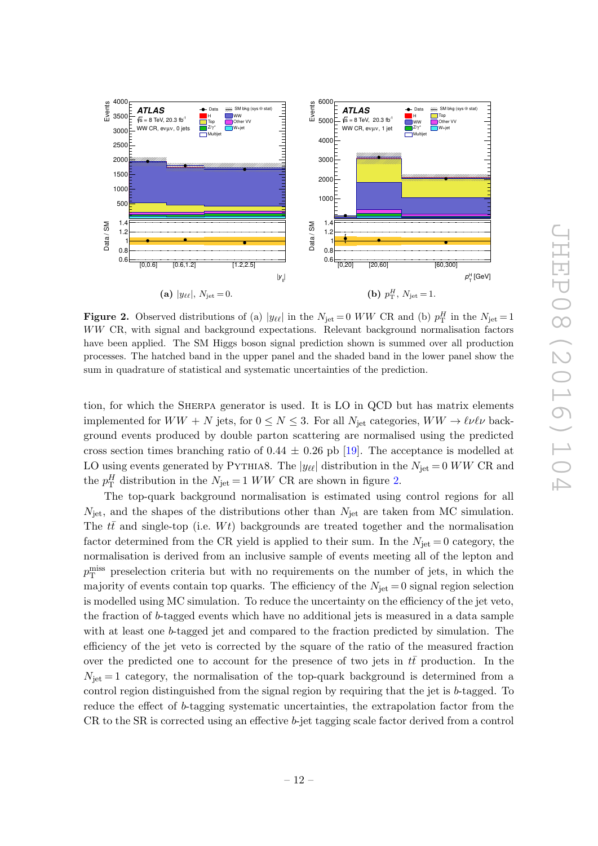<span id="page-13-0"></span>

**Figure 2.** Observed distributions of (a)  $|y_{\ell\ell}|$  in the  $N_{\rm jet}=0$  WW CR and (b)  $p_{\rm T}^H$  in the  $N_{\rm jet}=1$ WW CR, with signal and background expectations. Relevant background normalisation factors have been applied. The SM Higgs boson signal prediction shown is summed over all production processes. The hatched band in the upper panel and the shaded band in the lower panel show the sum in quadrature of statistical and systematic uncertainties of the prediction.

tion, for which the Sherpa generator is used. It is LO in QCD but has matrix elements implemented for  $WW + N$  jets, for  $0 \le N \le 3$ . For all  $N_{\text{jet}}$  categories,  $WW \rightarrow \ell \nu \ell \nu$  background events produced by double parton scattering are normalised using the predicted cross section times branching ratio of  $0.44 \pm 0.26$  pb [\[19\]](#page-41-10). The acceptance is modelled at LO using events generated by PYTHIA8. The  $|y_{\ell\ell}|$  distribution in the  $N_{\rm jet} = 0$  WW CR and the  $p_T^H$  distribution in the  $N_{\text{jet}} = 1$  WW CR are shown in figure [2](#page-12-0).

The top-quark background normalisation is estimated using control regions for all  $N_{\text{jet}}$ , and the shapes of the distributions other than  $N_{\text{jet}}$  are taken from MC simulation. The  $t\bar{t}$  and single-top (i.e.  $Wt$ ) backgrounds are treated together and the normalisation factor determined from the CR yield is applied to their sum. In the  $N_{jet} = 0$  category, the normalisation is derived from an inclusive sample of events meeting all of the lepton and  $p_T^{\text{miss}}$  preselection criteria but with no requirements on the number of jets, in which the majority of events contain top quarks. The efficiency of the  $N_{jet} = 0$  signal region selection is modelled using MC simulation. To reduce the uncertainty on the efficiency of the jet veto, the fraction of b-tagged events which have no additional jets is measured in a data sample with at least one b-tagged jet and compared to the fraction predicted by simulation. The efficiency of the jet veto is corrected by the square of the ratio of the measured fraction over the predicted one to account for the presence of two jets in  $t\bar{t}$  production. In the  $N_{\text{jet}} = 1$  category, the normalisation of the top-quark background is determined from a control region distinguished from the signal region by requiring that the jet is b-tagged. To reduce the effect of b-tagging systematic uncertainties, the extrapolation factor from the CR to the SR is corrected using an effective b-jet tagging scale factor derived from a control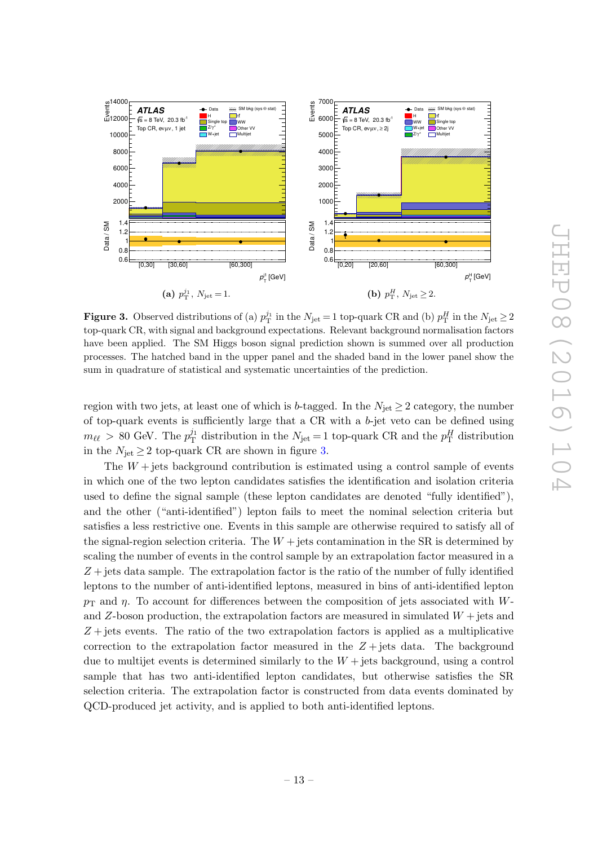<span id="page-14-0"></span>

**Figure 3.** Observed distributions of (a)  $p_T^{j_1}$  in the  $N_{\rm jet} = 1$  top-quark CR and (b)  $p_T^H$  in the  $N_{\rm jet} \ge 2$ top-quark CR, with signal and background expectations. Relevant background normalisation factors have been applied. The SM Higgs boson signal prediction shown is summed over all production processes. The hatched band in the upper panel and the shaded band in the lower panel show the sum in quadrature of statistical and systematic uncertainties of the prediction.

region with two jets, at least one of which is b-tagged. In the  $N_{\rm jet} \ge 2$  category, the number of top-quark events is sufficiently large that a CR with a b-jet veto can be defined using  $m_{\ell\ell} > 80$  GeV. The  $p_T^{j_1}$  distribution in the  $N_{\rm jet} = 1$  top-quark CR and the  $p_T^H$  distribution in the  $N_{\text{jet}} \geq 2$  top-quark CR are shown in figure [3](#page-13-0).

The  $W +$  jets background contribution is estimated using a control sample of events in which one of the two lepton candidates satisfies the identification and isolation criteria used to define the signal sample (these lepton candidates are denoted "fully identified"), and the other ("anti-identified") lepton fails to meet the nominal selection criteria but satisfies a less restrictive one. Events in this sample are otherwise required to satisfy all of the signal-region selection criteria. The  $W +$  jets contamination in the SR is determined by scaling the number of events in the control sample by an extrapolation factor measured in a  $Z +$  jets data sample. The extrapolation factor is the ratio of the number of fully identified leptons to the number of anti-identified leptons, measured in bins of anti-identified lepton  $p_T$  and  $\eta$ . To account for differences between the composition of jets associated with Wand Z-boson production, the extrapolation factors are measured in simulated  $W +$  jets and  $Z +$  jets events. The ratio of the two extrapolation factors is applied as a multiplicative correction to the extrapolation factor measured in the  $Z + j$  ets data. The background due to multijet events is determined similarly to the  $W +$  jets background, using a control sample that has two anti-identified lepton candidates, but otherwise satisfies the SR selection criteria. The extrapolation factor is constructed from data events dominated by QCD-produced jet activity, and is applied to both anti-identified leptons.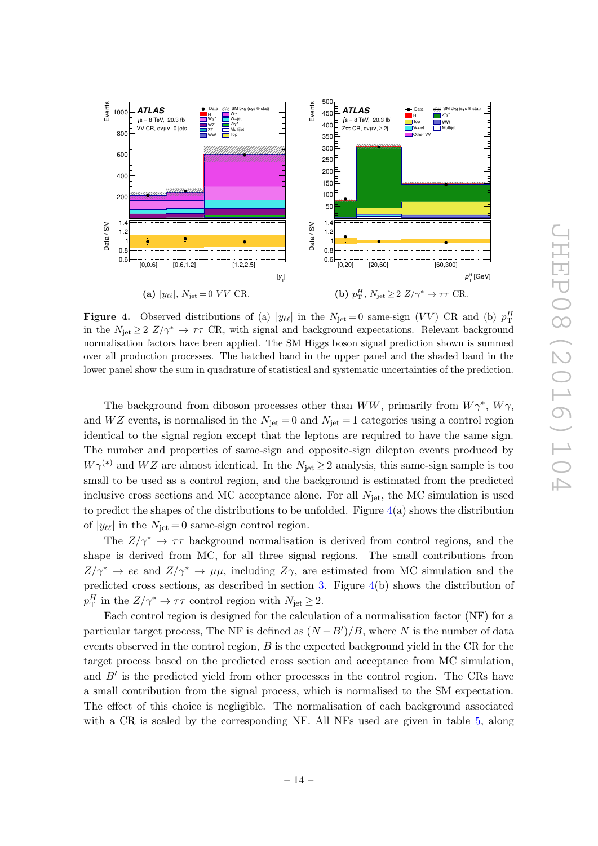<span id="page-15-2"></span>

**Figure 4.** Observed distributions of (a)  $|y_{\ell\ell}|$  in the  $N_{\rm jet}=0$  same-sign (VV) CR and (b)  $p_{\rm T}^H$ in the  $N_{jet} \geq 2$   $Z/\gamma^* \to \tau\tau$  CR, with signal and background expectations. Relevant background normalisation factors have been applied. The SM Higgs boson signal prediction shown is summed over all production processes. The hatched band in the upper panel and the shaded band in the lower panel show the sum in quadrature of statistical and systematic uncertainties of the prediction.

<span id="page-15-0"></span>The background from diboson processes other than  $WW$ , primarily from  $W\gamma^*$ ,  $W\gamma$ , and  $WZ$  events, is normalised in the  $N_{jet} = 0$  and  $N_{jet} = 1$  categories using a control region identical to the signal region except that the leptons are required to have the same sign. The number and properties of same-sign and opposite-sign dilepton events produced by  $W\gamma^{(*)}$  and  $WZ$  are almost identical. In the  $N_{jet} \geq 2$  analysis, this same-sign sample is too small to be used as a control region, and the background is estimated from the predicted inclusive cross sections and MC acceptance alone. For all  $N_{jet}$ , the MC simulation is used to predict the shapes of the distributions to be unfolded. Figure [4\(](#page-14-0)a) shows the distribution of  $|y_{\ell\ell}|$  in the  $N_{\rm jet}=0$  same-sign control region.

The  $Z/\gamma^* \to \tau\tau$  background normalisation is derived from control regions, and the shape is derived from MC, for all three signal regions. The small contributions from  $Z/\gamma^* \to ee$  and  $Z/\gamma^* \to \mu\mu$ , including  $Z\gamma$ , are estimated from MC simulation and the predicted cross sections, as described in section [3.](#page-4-0) Figure [4\(](#page-14-0)b) shows the distribution of  $p_{\text{T}}^H$  in the  $Z/\gamma^* \to \tau\tau$  control region with  $N_{\text{jet}} \geq 2$ .

<span id="page-15-1"></span>Each control region is designed for the calculation of a normalisation factor (NF) for a particular target process, The NF is defined as  $(N - B')/B$ , where N is the number of data events observed in the control region, B is the expected background yield in the CR for the target process based on the predicted cross section and acceptance from MC simulation, and  $B'$  is the predicted yield from other processes in the control region. The CRs have a small contribution from the signal process, which is normalised to the SM expectation. The effect of this choice is negligible. The normalisation of each background associated with a CR is scaled by the corresponding NF. All NFs used are given in table [5,](#page-15-2) along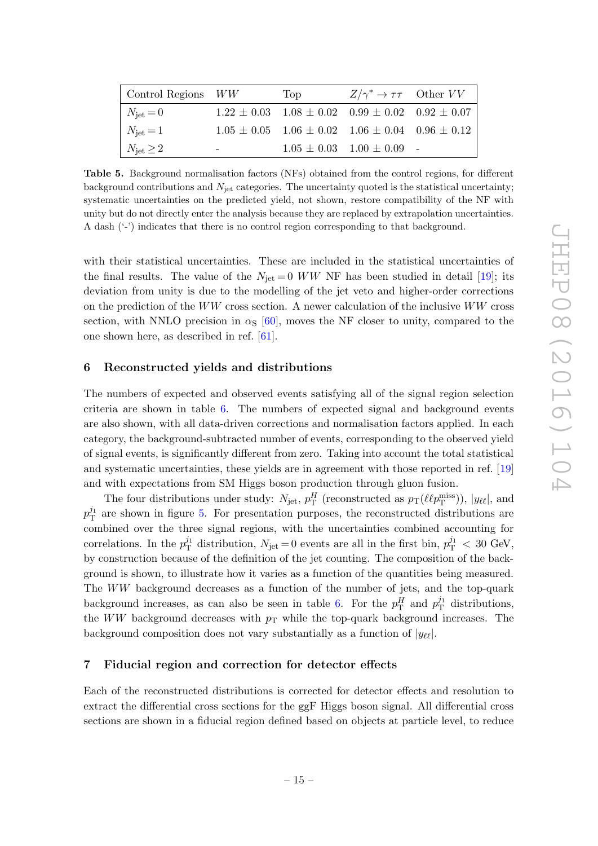| Control Regions $WW$ |                          | Top                                                             | $Z/\gamma^* \to \tau\tau$ Other VV |                                                                 |
|----------------------|--------------------------|-----------------------------------------------------------------|------------------------------------|-----------------------------------------------------------------|
| $N_{\rm jet}=0$      |                          | $1.22 \pm 0.03$ $1.08 \pm 0.02$ $0.99 \pm 0.02$ $0.92 \pm 0.07$ |                                    |                                                                 |
| $N_{\rm jet}=1$      |                          |                                                                 |                                    | $1.05 \pm 0.05$ $1.06 \pm 0.02$ $1.06 \pm 0.04$ $0.96 \pm 0.12$ |
| $N_{\rm jet} \geq 2$ | $\overline{\phantom{a}}$ |                                                                 | $1.05 \pm 0.03$ $1.00 \pm 0.09$ -  |                                                                 |

<span id="page-16-0"></span>Table 5. Background normalisation factors (NFs) obtained from the control regions, for different background contributions and  $N_{\rm jet}$  categories. The uncertainty quoted is the statistical uncertainty; systematic uncertainties on the predicted yield, not shown, restore compatibility of the NF with unity but do not directly enter the analysis because they are replaced by extrapolation uncertainties. A dash ('-') indicates that there is no control region corresponding to that background.

with their statistical uncertainties. These are included in the statistical uncertainties of the final results. The value of the  $N_{jet} = 0$  WW NF has been studied in detail [\[19\]](#page-41-10); its deviation from unity is due to the modelling of the jet veto and higher-order corrections on the prediction of the  $WW$  cross section. A newer calculation of the inclusive  $WW$  cross section, with NNLO precision in  $\alpha_{\rm S}$  [\[60\]](#page-44-4), moves the NF closer to unity, compared to the one shown here, as described in ref. [\[61\]](#page-44-5).

#### 6 Reconstructed yields and distributions

The numbers of expected and observed events satisfying all of the signal region selection criteria are shown in table [6.](#page-17-1) The numbers of expected signal and background events are also shown, with all data-driven corrections and normalisation factors applied. In each category, the background-subtracted number of events, corresponding to the observed yield of signal events, is significantly different from zero. Taking into account the total statistical and systematic uncertainties, these yields are in agreement with those reported in ref. [\[19](#page-41-10) ] and with expectations from SM Higgs boson production through gluon fusion.

The four distributions under study:  $N_{\rm jet}$ ,  $p_{\rm T}^H$  (reconstructed as  $p_{\rm T}(\ell\ell p_{\rm T}^{\rm miss})$ ),  $|y_{\ell\ell}|$ , and  $p_{\rm T}^{j_1}$  are shown in figure [5.](#page-16-0) For presentation purposes, the reconstructed distributions are combined over the three signal regions, with the uncertainties combined accounting for correlations. In the  $p_T^{j_1}$  distribution,  $N_{\rm jet} = 0$  events are all in the first bin,  $p_T^{j_1} < 30$  GeV, by construction because of the definition of the jet counting. The composition of the background is shown, to illustrate how it varies as a function of the quantities being measured. The WW background decreases as a function of the number of jets, and the top-quark background increases, as can also be seen in table [6.](#page-17-1) For the  $p_T^H$  and  $p_T^{j_1}$  distributions, the  $WW$  background decreases with  $p<sub>T</sub>$  while the top-quark background increases. The background composition does not vary substantially as a function of  $|y_{\ell\ell}|$ .

#### 7 Fiducial region and correction for detector effects

Each of the reconstructed distributions is corrected for detector effects and resolution to extract the differential cross sections for the ggF Higgs boson signal. All differential cross sections are shown in a fiducial region defined based on objects at particle level, to reduce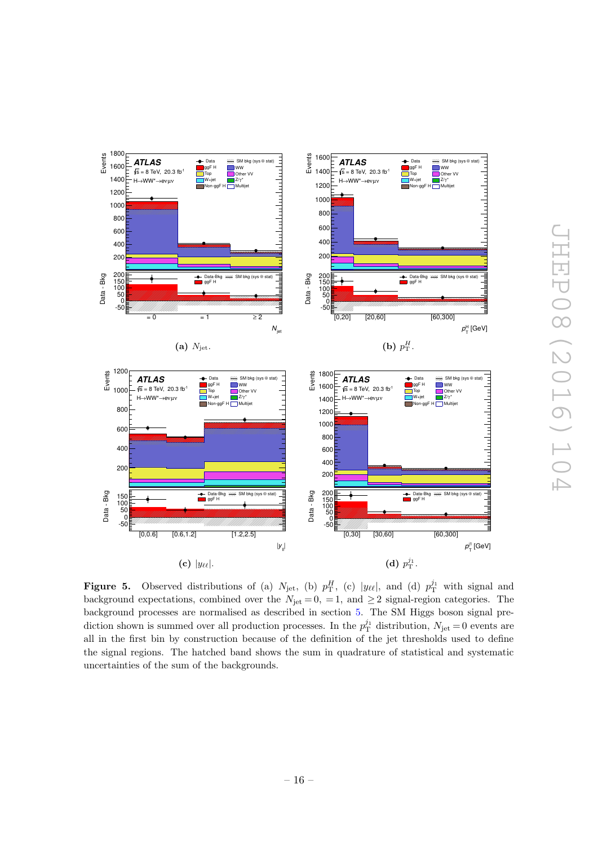<span id="page-17-1"></span>

P0108(2016)104 JHEP08(2016)104

<span id="page-17-0"></span>**Figure 5.** Observed distributions of (a)  $N_{jet}$ , (b)  $p_T^H$ , (c)  $|y_{\ell\ell}|$ , and (d)  $p_T^{j_1}$  with signal and background expectations, combined over the  $N_{jet} = 0, = 1, \text{ and } \geq 2$  signal-region categories. The background processes are normalised as described in section [5.](#page-9-0) The SM Higgs boson signal prediction shown is summed over all production processes. In the  $p_T^{j_1}$  distribution,  $N_{jet} = 0$  events are all in the first bin by construction because of the definition of the jet thresholds used to define the signal regions. The hatched band shows the sum in quadrature of statistical and systematic uncertainties of the sum of the backgrounds.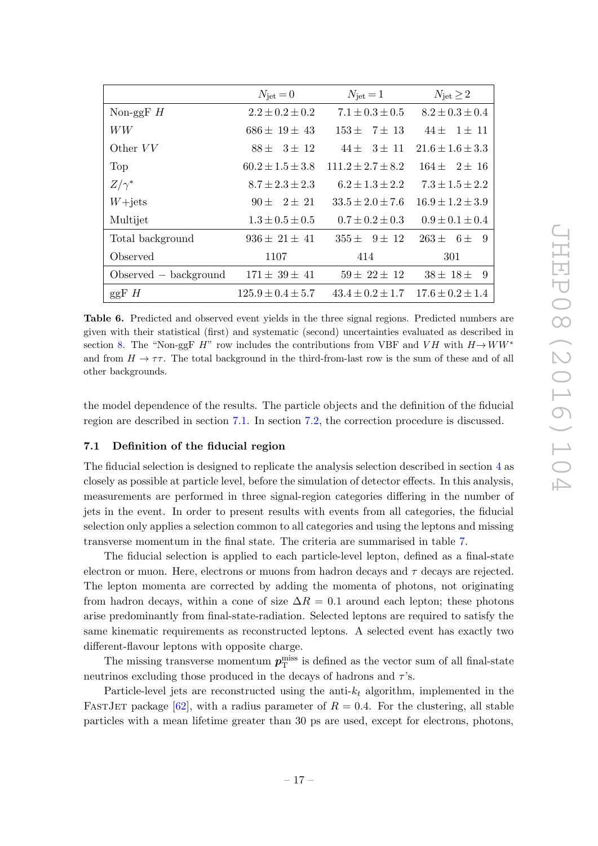<span id="page-18-1"></span>

|                         | $N_{\rm jet}=0$         | $N_{\rm jet}=1$                               | $N_{\rm jet} \geq 2$     |
|-------------------------|-------------------------|-----------------------------------------------|--------------------------|
| Non-ggF $H$             | $2.2 \pm 0.2 \pm 0.2$   | $7.1 \pm 0.3 \pm 0.5$                         | $8.2 \pm 0.3 \pm 0.4$    |
| WW                      | $686 \pm 19 \pm 43$     | $153 \pm 7 \pm 13$                            | $44 \pm 1 \pm 11$        |
| Other $VV$              | $88 \pm 3 \pm 12$       | $44 \pm 3 \pm 11$                             | $21.6 \pm 1.6 \pm 3.3$   |
| Top                     | $60.2 \pm 1.5 \pm 3.8$  | $111.2 \pm 2.7 \pm 8.2$                       | $164 \pm 2 \pm 16$       |
| $Z/\gamma^*$            | $8.7 \pm 2.3 \pm 2.3$   | $6.2 \pm 1.3 \pm 2.2$                         | $7.3 \pm 1.5 \pm 2.2$    |
| $W+{\rm jets}$          | $90 \pm 2 \pm 21$       | $33.5 \pm 2.0 \pm 7.6$                        | $16.9 \pm 1.2 \pm 3.9$   |
| Multijet                | $1.3 \pm 0.5 \pm 0.5$   | $0.7 \pm 0.2 \pm 0.3$                         | $0.9 \pm 0.1 \pm 0.4$    |
| Total background        | $936 \pm 21 \pm 41$     | $355 \pm 9 \pm 12$                            | $263 \pm 6 \pm 6$<br>- 9 |
| Observed                | 1107                    | 414                                           | 301                      |
| $Observed - background$ | $171 \pm 39 \pm 41$     | $59 \pm 22 \pm 12$                            | $38 \pm 18 \pm$<br>-9    |
| $ggF$ H                 | $125.9 \pm 0.4 \pm 5.7$ | $43.4 \pm 0.2 \pm 1.7$ $17.6 \pm 0.2 \pm 1.4$ |                          |

Table 6. Predicted and observed event yields in the three signal regions. Predicted numbers are given with their statistical (first) and systematic (second) uncertainties evaluated as described in section [8.](#page-19-0) The "Non-ggF  $H$ " row includes the contributions from VBF and  $VH$  with  $H \rightarrow WW^*$ and from  $H \to \tau\tau$ . The total background in the third-from-last row is the sum of these and of all other backgrounds.

the model dependence of the results. The particle objects and the definition of the fiducial region are described in section [7.1.](#page-17-0) In section [7.2,](#page-18-0) the correction procedure is discussed.

#### 7.1 Definition of the fiducial region

<span id="page-18-0"></span>The fiducial selection is designed to replicate the analysis selection described in section [4](#page-5-0) as closely as possible at particle level, before the simulation of detector effects. In this analysis, measurements are performed in three signal-region categories differing in the number of jets in the event. In order to present results with events from all categories, the fiducial selection only applies a selection common to all categories and using the leptons and missing transverse momentum in the final state. The criteria are summarised in table [7](#page-18-1) .

The fiducial selection is applied to each particle-level lepton, defined as a final-state electron or muon. Here, electrons or muons from hadron decays and  $\tau$  decays are rejected. The lepton momenta are corrected by adding the momenta of photons, not originating from hadron decays, within a cone of size  $\Delta R = 0.1$  around each lepton; these photons arise predominantly from final-state-radiation. Selected leptons are required to satisfy the same kinematic requirements as reconstructed leptons. A selected event has exactly two different-flavour leptons with opposite charge.

The missing transverse momentum  $p_T^{\text{miss}}$  is defined as the vector sum of all final-state neutrinos excluding those produced in the decays of hadrons and  $\tau$ 's.

Particle-level jets are reconstructed using the anti- $k_t$  algorithm, implemented in the FASTJET package  $[62]$ , with a radius parameter of  $R = 0.4$ . For the clustering, all stable particles with a mean lifetime greater than 30 ps are used, except for electrons, photons,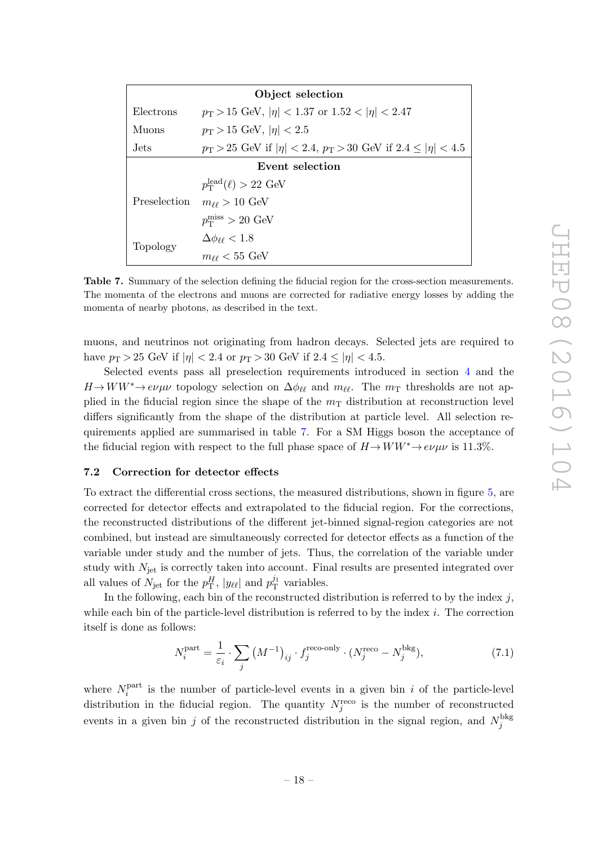| Object selection |                                                                              |  |  |  |
|------------------|------------------------------------------------------------------------------|--|--|--|
| Electrons        | $p_T > 15$ GeV, $ \eta  < 1.37$ or $1.52 <  \eta  < 2.47$                    |  |  |  |
| Muons            | $p_T > 15$ GeV, $ \eta  < 2.5$                                               |  |  |  |
| Jets             | $p_T > 25$ GeV if $ \eta  < 2.4$ , $p_T > 30$ GeV if $2.4 \leq  \eta  < 4.5$ |  |  |  |
|                  | Event selection                                                              |  |  |  |
|                  | $p_{\rm T}^{\rm lead}(\ell) > 22 \text{ GeV}$                                |  |  |  |
| Preselection     | $m_{\ell\ell} > 10$ GeV                                                      |  |  |  |
|                  | $p_T^{\text{miss}} > 20 \text{ GeV}$                                         |  |  |  |
|                  | $\Delta \phi_{\ell\ell} < 1.8$                                               |  |  |  |
| Topology         | $m_{\ell\ell} < 55$ GeV                                                      |  |  |  |

Table 7. Summary of the selection defining the fiducial region for the cross-section measurements. The momenta of the electrons and muons are corrected for radiative energy losses by adding the momenta of nearby photons, as described in the text.

muons, and neutrinos not originating from hadron decays. Selected jets are required to have  $p_T > 25$  GeV if  $|\eta| < 2.4$  or  $p_T > 30$  GeV if  $2.4 \le |\eta| < 4.5$ .

Selected events pass all preselection requirements introduced in section [4](#page-5-0) and the  $H \to WW^* \to e\nu\mu\nu$  topology selection on  $\Delta\phi_{\ell\ell}$  and  $m_{\ell\ell}$ . The  $m_{\rm T}$  thresholds are not applied in the fiducial region since the shape of the  $m<sub>T</sub>$  distribution at reconstruction level differs significantly from the shape of the distribution at particle level. All selection requirements applied are summarised in table [7.](#page-18-1) For a SM Higgs boson the acceptance of the fiducial region with respect to the full phase space of  $H \to WW^* \to e\nu\mu\nu$  is 11.3%.

#### <span id="page-19-0"></span>7.2 Correction for detector effects

To extract the differential cross sections, the measured distributions, shown in figure [5,](#page-16-0) are corrected for detector effects and extrapolated to the fiducial region. For the corrections, the reconstructed distributions of the different jet-binned signal-region categories are not combined, but instead are simultaneously corrected for detector effects as a function of the variable under study and the number of jets. Thus, the correlation of the variable under study with  $N_{jet}$  is correctly taken into account. Final results are presented integrated over all values of  $N_{\rm jet}$  for the  $p_{\rm T}^H$ ,  $|y_{\ell\ell}|$  and  $p_{\rm T}^{j_1}$  variables.

In the following, each bin of the reconstructed distribution is referred to by the index  $j$ , while each bin of the particle-level distribution is referred to by the index  $i$ . The correction itself is done as follows:

$$
N_i^{\text{part}} = \frac{1}{\varepsilon_i} \cdot \sum_j \left( M^{-1} \right)_{ij} \cdot f_j^{\text{reco-only}} \cdot (N_j^{\text{reco}} - N_j^{\text{bkg}}),\tag{7.1}
$$

where  $N_i^{\text{part}}$  $i$ <sup>part</sup> is the number of particle-level events in a given bin i of the particle-level distribution in the fiducial region. The quantity  $N_j^{\text{reco}}$  is the number of reconstructed events in a given bin j of the reconstructed distribution in the signal region, and  $N_i^{\text{bkg}}$ j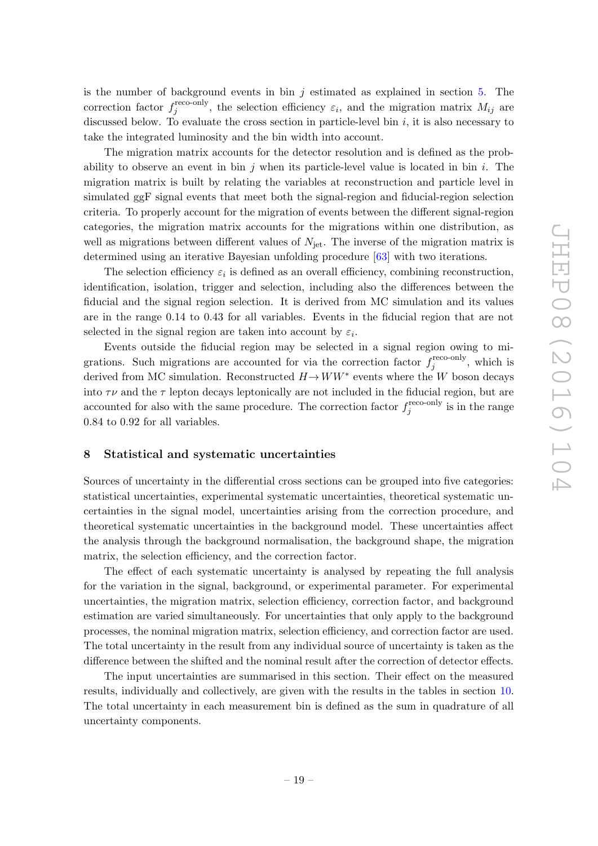<span id="page-20-0"></span>is the number of background events in  $\sin j$  estimated as explained in section [5.](#page-9-0) The correction factor  $f_i^{\text{reco-only}}$  $j_j^{\text{reco-omy}}$ , the selection efficiency  $\varepsilon_i$ , and the migration matrix  $M_{ij}$  are discussed below. To evaluate the cross section in particle-level bin  $i$ , it is also necessary to take the integrated luminosity and the bin width into account.

The migration matrix accounts for the detector resolution and is defined as the probability to observe an event in bin j when its particle-level value is located in bin i. The migration matrix is built by relating the variables at reconstruction and particle level in simulated ggF signal events that meet both the signal-region and fiducial-region selection criteria. To properly account for the migration of events between the different signal-region categories, the migration matrix accounts for the migrations within one distribution, as well as migrations between different values of  $N_{jet}$ . The inverse of the migration matrix is determined using an iterative Bayesian unfolding procedure [\[63\]](#page-44-7) with two iterations.

The selection efficiency  $\varepsilon_i$  is defined as an overall efficiency, combining reconstruction, identification, isolation, trigger and selection, including also the differences between the fiducial and the signal region selection. It is derived from MC simulation and its values are in the range 0.14 to 0.43 for all variables. Events in the fiducial region that are not selected in the signal region are taken into account by  $\varepsilon_i$ .

Events outside the fiducial region may be selected in a signal region owing to migrations. Such migrations are accounted for via the correction factor  $f_i^{\text{reco-only}}$  $j^{reco-omy}$ , which is derived from MC simulation. Reconstructed  $H \to WW^*$  events where the W boson decays into  $\tau\nu$  and the  $\tau$  lepton decays leptonically are not included in the fiducial region, but are accounted for also with the same procedure. The correction factor  $f_i^{\text{reco-only}}$  $j$  is in the range 0.84 to 0.92 for all variables.

#### <span id="page-20-1"></span>8 Statistical and systematic uncertainties

Sources of uncertainty in the differential cross sections can be grouped into five categories: statistical uncertainties, experimental systematic uncertainties, theoretical systematic uncertainties in the signal model, uncertainties arising from the correction procedure, and theoretical systematic uncertainties in the background model. These uncertainties affect the analysis through the background normalisation, the background shape, the migration matrix, the selection efficiency, and the correction factor.

<span id="page-20-2"></span>The effect of each systematic uncertainty is analysed by repeating the full analysis for the variation in the signal, background, or experimental parameter. For experimental uncertainties, the migration matrix, selection efficiency, correction factor, and background estimation are varied simultaneously. For uncertainties that only apply to the background processes, the nominal migration matrix, selection efficiency, and correction factor are used. The total uncertainty in the result from any individual source of uncertainty is taken as the difference between the shifted and the nominal result after the correction of detector effects.

The input uncertainties are summarised in this section. Their effect on the measured results, individually and collectively, are given with the results in the tables in section [10](#page-25-0) . The total uncertainty in each measurement bin is defined as the sum in quadrature of all uncertainty components.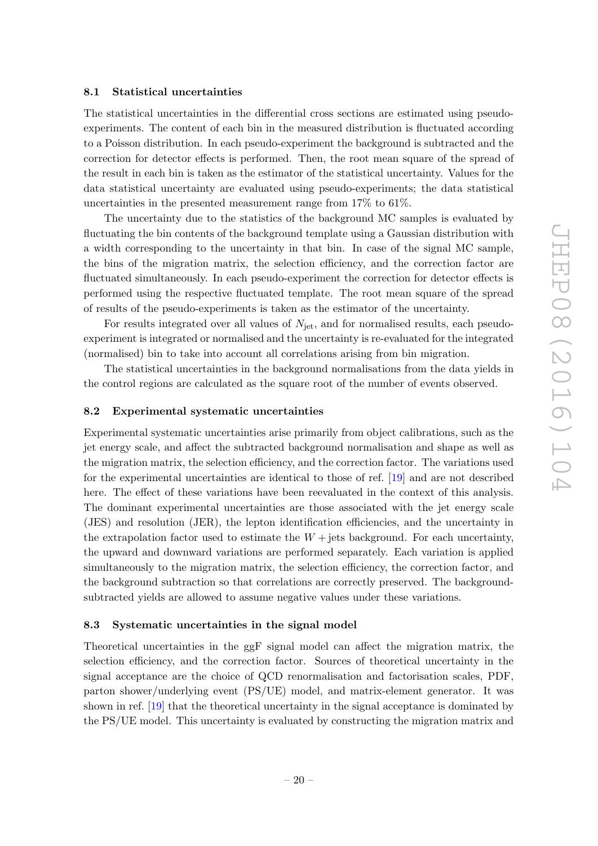#### 8.1 Statistical uncertainties

The statistical uncertainties in the differential cross sections are estimated using pseudoexperiments. The content of each bin in the measured distribution is fluctuated according to a Poisson distribution. In each pseudo-experiment the background is subtracted and the correction for detector effects is performed. Then, the root mean square of the spread of the result in each bin is taken as the estimator of the statistical uncertainty. Values for the data statistical uncertainty are evaluated using pseudo-experiments; the data statistical uncertainties in the presented measurement range from 17% to 61%.

The uncertainty due to the statistics of the background MC samples is evaluated by fluctuating the bin contents of the background template using a Gaussian distribution with a width corresponding to the uncertainty in that bin. In case of the signal MC sample, the bins of the migration matrix, the selection efficiency, and the correction factor are fluctuated simultaneously. In each pseudo-experiment the correction for detector effects is performed using the respective fluctuated template. The root mean square of the spread of results of the pseudo-experiments is taken as the estimator of the uncertainty.

For results integrated over all values of  $N_{jet}$ , and for normalised results, each pseudoexperiment is integrated or normalised and the uncertainty is re-evaluated for the integrated (normalised) bin to take into account all correlations arising from bin migration.

<span id="page-21-0"></span>The statistical uncertainties in the background normalisations from the data yields in the control regions are calculated as the square root of the number of events observed.

#### 8.2 Experimental systematic uncertainties

Experimental systematic uncertainties arise primarily from object calibrations, such as the jet energy scale, and affect the subtracted background normalisation and shape as well as the migration matrix, the selection efficiency, and the correction factor. The variations used for the experimental uncertainties are identical to those of ref. [\[19\]](#page-41-10) and are not described here. The effect of these variations have been reevaluated in the context of this analysis. The dominant experimental uncertainties are those associated with the jet energy scale (JES) and resolution (JER), the lepton identification efficiencies, and the uncertainty in the extrapolation factor used to estimate the  $W +$  jets background. For each uncertainty, the upward and downward variations are performed separately. Each variation is applied simultaneously to the migration matrix, the selection efficiency, the correction factor, and the background subtraction so that correlations are correctly preserved. The backgroundsubtracted yields are allowed to assume negative values under these variations.

#### <span id="page-21-1"></span>8.3 Systematic uncertainties in the signal model

Theoretical uncertainties in the ggF signal model can affect the migration matrix, the selection efficiency, and the correction factor. Sources of theoretical uncertainty in the signal acceptance are the choice of QCD renormalisation and factorisation scales, PDF, parton shower/underlying event (PS/UE) model, and matrix-element generator. It was shown in ref. [\[19\]](#page-41-10) that the theoretical uncertainty in the signal acceptance is dominated by the PS/UE model. This uncertainty is evaluated by constructing the migration matrix and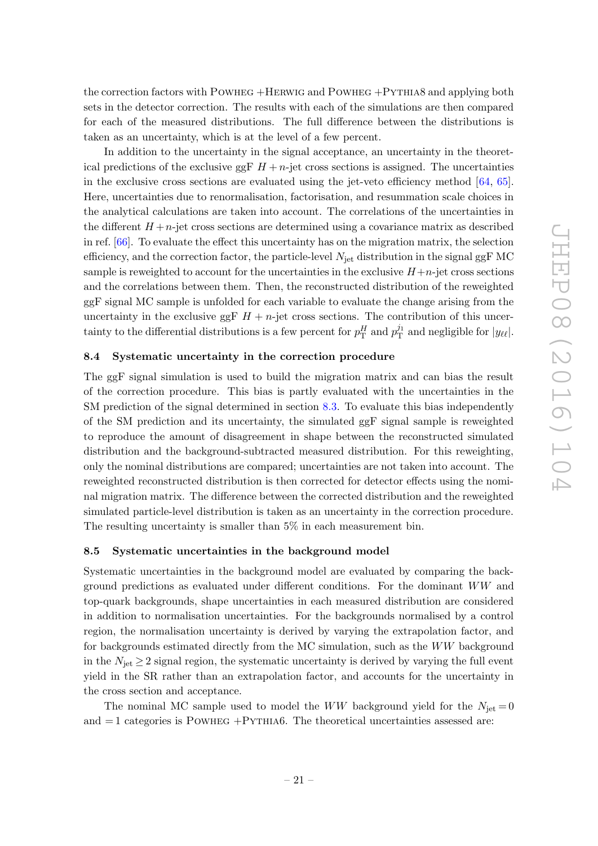the correction factors with POWHEG +HERWIG and POWHEG +PYTHIA8 and applying both sets in the detector correction. The results with each of the simulations are then compared for each of the measured distributions. The full difference between the distributions is taken as an uncertainty, which is at the level of a few percent.

In addition to the uncertainty in the signal acceptance, an uncertainty in the theoretical predictions of the exclusive ggF  $H + n$ -jet cross sections is assigned. The uncertainties in the exclusive cross sections are evaluated using the jet-veto efficiency method [\[64](#page-44-8) , [65\]](#page-44-9). Here, uncertainties due to renormalisation, factorisation, and resummation scale choices in the analytical calculations are taken into account. The correlations of the uncertainties in the different  $H + n$ -jet cross sections are determined using a covariance matrix as described in ref. [\[66\]](#page-44-10). To evaluate the effect this uncertainty has on the migration matrix, the selection efficiency, and the correction factor, the particle-level  $N_{\rm jet}$  distribution in the signal ggF MC sample is reweighted to account for the uncertainties in the exclusive  $H+n$ -jet cross sections and the correlations between them. Then, the reconstructed distribution of the reweighted ggF signal MC sample is unfolded for each variable to evaluate the change arising from the uncertainty in the exclusive ggF  $H + n$ -jet cross sections. The contribution of this uncertainty to the differential distributions is a few percent for  $p_T^H$  and  $p_T^{j_1}$  and negligible for  $|y_{\ell\ell}|$ .

#### 8.4 Systematic uncertainty in the correction procedure

The ggF signal simulation is used to build the migration matrix and can bias the result of the correction procedure. This bias is partly evaluated with the uncertainties in the SM prediction of the signal determined in section [8.3.](#page-20-2) To evaluate this bias independently of the SM prediction and its uncertainty, the simulated ggF signal sample is reweighted to reproduce the amount of disagreement in shape between the reconstructed simulated distribution and the background-subtracted measured distribution. For this reweighting, only the nominal distributions are compared; uncertainties are not taken into account. The reweighted reconstructed distribution is then corrected for detector effects using the nominal migration matrix. The difference between the corrected distribution and the reweighted simulated particle-level distribution is taken as an uncertainty in the correction procedure. The resulting uncertainty is smaller than 5% in each measurement bin.

#### 8.5 Systematic uncertainties in the background model

Systematic uncertainties in the background model are evaluated by comparing the background predictions as evaluated under different conditions. For the dominant WW and top-quark backgrounds, shape uncertainties in each measured distribution are considered in addition to normalisation uncertainties. For the backgrounds normalised by a control region, the normalisation uncertainty is derived by varying the extrapolation factor, and for backgrounds estimated directly from the MC simulation, such as the WW background in the  $N_{jet} \ge 2$  signal region, the systematic uncertainty is derived by varying the full event yield in the SR rather than an extrapolation factor, and accounts for the uncertainty in the cross section and acceptance.

The nominal MC sample used to model the  $WW$  background yield for the  $N_{jet} = 0$ and  $=1$  categories is POWHEG  $+PYTHIA6$ . The theoretical uncertainties assessed are: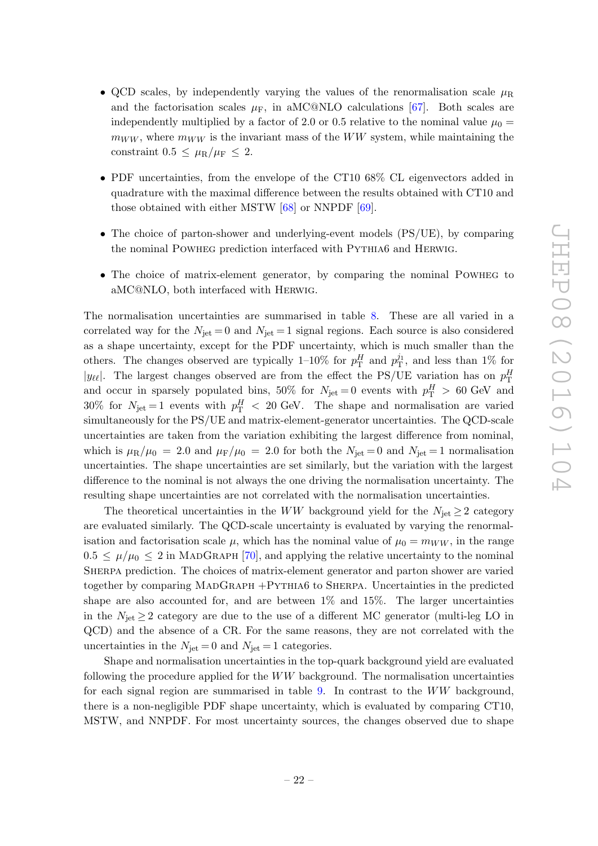- <span id="page-23-0"></span>• QCD scales, by independently varying the values of the renormalisation scale  $\mu_R$ and the factorisation scales  $\mu_F$ , in aMC@NLO calculations [\[67\]](#page-44-11). Both scales are independently multiplied by a factor of 2.0 or 0.5 relative to the nominal value  $\mu_0 =$  $m_{WW}$ , where  $m_{WW}$  is the invariant mass of the  $WW$  system, while maintaining the constraint  $0.5 \leq \mu_R/\mu_F \leq 2$ .
- PDF uncertainties, from the envelope of the CT10 68% CL eigenvectors added in quadrature with the maximal difference between the results obtained with CT10 and those obtained with either MSTW [\[68\]](#page-44-12) or NNPDF [\[69\]](#page-44-13).
- <span id="page-23-1"></span>• The choice of parton-shower and underlying-event models (PS/UE), by comparing the nominal POWHEG prediction interfaced with PYTHIA6 and HERWIG.
- The choice of matrix-element generator, by comparing the nominal POWHEG to aMC@NLO, both interfaced with Herwig .

The normalisation uncertainties are summarised in table [8.](#page-23-0) These are all varied in a correlated way for the  $N_{jet} = 0$  and  $N_{jet} = 1$  signal regions. Each source is also considered as a shape uncertainty, except for the PDF uncertainty, which is much smaller than the others. The changes observed are typically  $1-10\%$  for  $p_T^H$  and  $p_T^{j_1}$ , and less than 1% for |y<sub> $\ell\ell$ </sub>|. The largest changes observed are from the effect the PS/UE variation has on  $p_T$ <sup>H</sup> and occur in sparsely populated bins,  $50\%$  for  $N_{jet} = 0$  events with  $p_T^H > 60$  GeV and 30% for  $N_{\rm jet} = 1$  events with  $p_{\rm T}^H$  < 20 GeV. The shape and normalisation are varied simultaneously for the PS/UE and matrix-element-generator uncertainties. The QCD-scale uncertainties are taken from the variation exhibiting the largest difference from nominal, which is  $\mu_R/\mu_0 = 2.0$  and  $\mu_F/\mu_0 = 2.0$  for both the  $N_{jet} = 0$  and  $N_{jet} = 1$  normalisation uncertainties. The shape uncertainties are set similarly, but the variation with the largest difference to the nominal is not always the one driving the normalisation uncertainty. The resulting shape uncertainties are not correlated with the normalisation uncertainties.

The theoretical uncertainties in the  $WW$  background yield for the  $N_{jet} \ge 2$  category are evaluated similarly. The QCD-scale uncertainty is evaluated by varying the renormalisation and factorisation scale  $\mu$ , which has the nominal value of  $\mu_0 = m_{WW}$ , in the range  $0.5 \leq \mu/\mu_0 \leq 2$  in MADGRAPH [\[70\]](#page-44-14), and applying the relative uncertainty to the nominal Sherpa prediction. The choices of matrix-element generator and parton shower are varied together by comparing MadGraph +Pythia6 to Sherpa. Uncertainties in the predicted shape are also accounted for, and are between  $1\%$  and  $15\%$ . The larger uncertainties in the  $N_{jet} \geq 2$  category are due to the use of a different MC generator (multi-leg LO in QCD) and the absence of a CR. For the same reasons, they are not correlated with the uncertainties in the  $N_{jet} = 0$  and  $N_{jet} = 1$  categories.

Shape and normalisation uncertainties in the top-quark background yield are evaluated following the procedure applied for the  $WW$  background. The normalisation uncertainties for each signal region are summarised in table [9.](#page-23-1) In contrast to the WW background, there is a non-negligible PDF shape uncertainty, which is evaluated by comparing CT10, MSTW, and NNPDF. For most uncertainty sources, the changes observed due to shape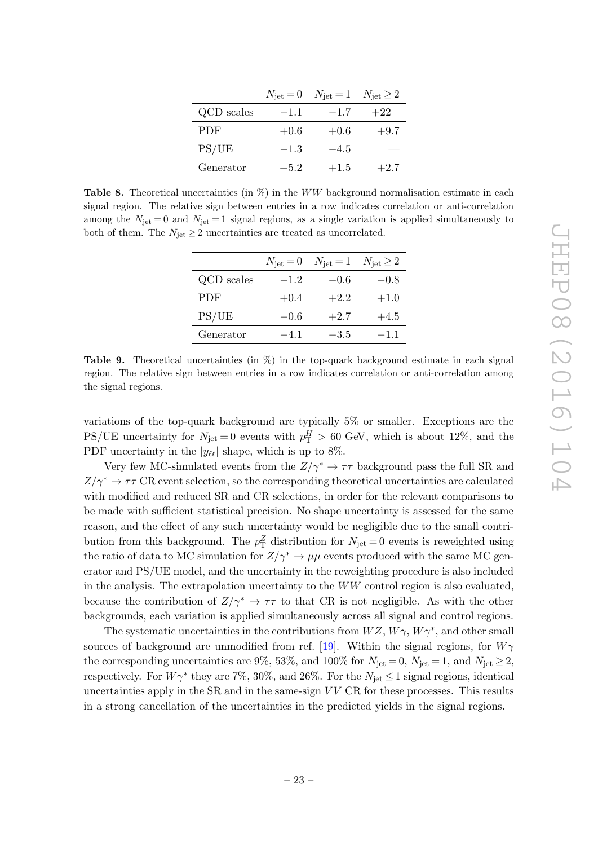<span id="page-24-1"></span>

|            |        | $N_{\text{jet}} = 0$ $N_{\text{jet}} = 1$ $N_{\text{jet}} \geq 2$ |        |
|------------|--------|-------------------------------------------------------------------|--------|
| QCD scales | $-1.1$ | $-1.7$                                                            | $+22$  |
| <b>PDF</b> | $+0.6$ | $+0.6$                                                            | $+9.7$ |
| PS/UE      | $-1.3$ | $-4.5$                                                            |        |
| Generator  | $+5.2$ | $+1.5$                                                            | $+2.7$ |

Table 8. Theoretical uncertainties (in  $\%$ ) in the WW background normalisation estimate in each signal region. The relative sign between entries in a row indicates correlation or anti-correlation among the  $N_{\rm jet} = 0$  and  $N_{\rm jet} = 1$  signal regions, as a single variation is applied simultaneously to both of them. The  $N_{jet} \ge 2$  uncertainties are treated as uncorrelated.

|            | $N_{\rm jet} = 0$ | $N_{\rm jet} = 1$ | $N_{\rm jet} \geq 2$ |
|------------|-------------------|-------------------|----------------------|
| QCD scales | $-1.2$            | $-0.6$            | $-0.8$               |
| <b>PDF</b> | $+0.4$            | $+2.2$            | $+1.0$               |
| PS/UE      | $-0.6$            | $+2.7$            | $+4.5$               |
| Generator  | $-4.1$            | $-3.5$            | $-1.1$               |

**Table 9.** Theoretical uncertainties (in  $\%$ ) in the top-quark background estimate in each signal region. The relative sign between entries in a row indicates correlation or anti-correlation among the signal regions.

<span id="page-24-0"></span>variations of the top-quark background are typically 5% or smaller. Exceptions are the PS/UE uncertainty for  $N_{jet} = 0$  events with  $p_T^H > 60$  GeV, which is about 12%, and the PDF uncertainty in the  $|y_{\ell\ell}|$  shape, which is up to 8%.

Very few MC-simulated events from the  $Z/\gamma^*\to\tau\tau$  background pass the full SR and  $Z/\gamma^* \to \tau\tau$  CR event selection, so the corresponding theoretical uncertainties are calculated with modified and reduced SR and CR selections, in order for the relevant comparisons to be made with sufficient statistical precision. No shape uncertainty is assessed for the same reason, and the effect of any such uncertainty would be negligible due to the small contribution from this background. The  $p_T^Z$  distribution for  $N_{jet} = 0$  events is reweighted using the ratio of data to MC simulation for  $Z/\gamma^* \to \mu\mu$  events produced with the same MC generator and PS/UE model, and the uncertainty in the reweighting procedure is also included in the analysis. The extrapolation uncertainty to the  $WW$  control region is also evaluated, because the contribution of  $Z/\gamma^* \to \tau\tau$  to that CR is not negligible. As with the other backgrounds, each variation is applied simultaneously across all signal and control regions.

The systematic uncertainties in the contributions from  $WZ, W\gamma, W\gamma^*$ , and other small sources of background are unmodified from ref. [\[19\]](#page-41-10). Within the signal regions, for  $W\gamma$ the corresponding uncertainties are 9%, 53%, and 100% for  $N_{jet} = 0$ ,  $N_{jet} = 1$ , and  $N_{jet} \ge 2$ , respectively. For  $W\gamma^*$  they are 7%, 30%, and 26%. For the  $N_{\rm jet} \le 1$  signal regions, identical uncertainties apply in the SR and in the same-sign  $VV$  CR for these processes. This results in a strong cancellation of the uncertainties in the predicted yields in the signal regions.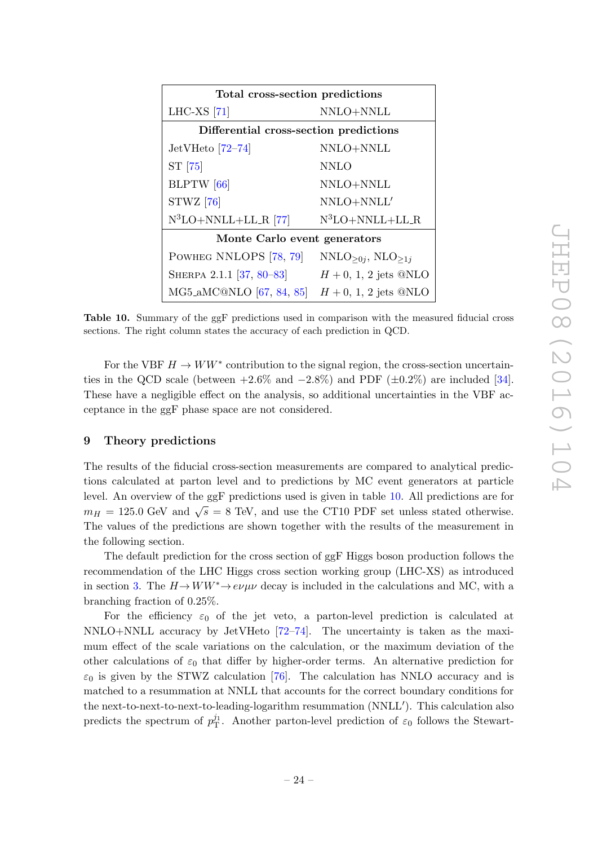| Total cross-section predictions         |                                    |  |  |  |
|-----------------------------------------|------------------------------------|--|--|--|
| $LHC-XS [71]$                           | NNLO+NNLL                          |  |  |  |
| Differential cross-section predictions  |                                    |  |  |  |
| JetVHeto $[72-74]$                      | NNLO+NNLL                          |  |  |  |
| ST [75]                                 | <b>NNLO</b>                        |  |  |  |
| BLPTW [66]                              | NNLO+NNLL                          |  |  |  |
| $STWZ$ [76]                             | NNLO+NNLL'                         |  |  |  |
| $N^3LO+NNLL+LL_R$ [77]                  | $N^3LO+NNLL+LL_R$                  |  |  |  |
| Monte Carlo event generators            |                                    |  |  |  |
| POWHEG NNLOPS [78, 79]                  | $NNLO_{\geq 0j}$ , $NLO_{\geq 1j}$ |  |  |  |
| SHERPA 2.1.1 [37, 80-83]                | $H + 0$ , 1, 2 jets @NLO           |  |  |  |
| MG5 <sub>-a</sub> MC@NLO $[67, 84, 85]$ | $H + 0$ , 1, 2 jets @NLO           |  |  |  |

Table 10. Summary of the ggF predictions used in comparison with the measured fiducial cross sections. The right column states the accuracy of each prediction in QCD.

For the VBF  $H \to WW^*$  contribution to the signal region, the cross-section uncertainties in the QCD scale (between  $+2.6\%$  and  $-2.8\%$ ) and PDF ( $\pm 0.2\%$ ) are included [\[34\]](#page-42-12). These have a negligible effect on the analysis, so additional uncertainties in the VBF acceptance in the ggF phase space are not considered.

#### 9 Theory predictions

The results of the fiducial cross-section measurements are compared to analytical predictions calculated at parton level and to predictions by MC event generators at particle level. An overview of the ggF predictions used is given in table [10.](#page-24-1) All predictions are for  $m_H = 125.0$  GeV and  $\sqrt{s} = 8$  TeV, and use the CT10 PDF set unless stated otherwise. The values of the predictions are shown together with the results of the measurement in the following section.

The default prediction for the cross section of ggF Higgs boson production follows the recommendation of the LHC Higgs cross section working group (LHC-XS) as introduced in section [3.](#page-4-0) The  $H \to WW^* \to e\nu\mu\nu$  decay is included in the calculations and MC, with a branching fraction of 0.25%.

<span id="page-25-0"></span>For the efficiency  $\varepsilon_0$  of the jet veto, a parton-level prediction is calculated at NNLO+NNLL accuracy by JetVHeto [\[72](#page-44-16) [–74\]](#page-45-0). The uncertainty is taken as the maximum effect of the scale variations on the calculation, or the maximum deviation of the other calculations of  $\varepsilon_0$  that differ by higher-order terms. An alternative prediction for  $\varepsilon_0$  is given by the STWZ calculation [\[76\]](#page-45-2). The calculation has NNLO accuracy and is matched to a resummation at NNLL that accounts for the correct boundary conditions for the next-to-next-to-next-to-leading-logarithm resummation (NNLL ′ ). This calculation also predicts the spectrum of  $p_{\rm T}^{j_1}$ . Another parton-level prediction of  $\varepsilon_0$  follows the Stewart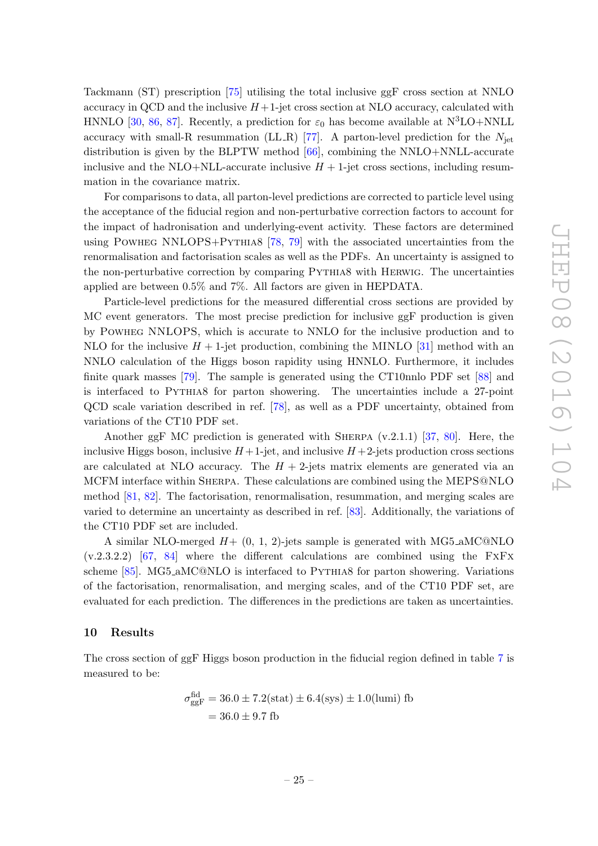<span id="page-26-0"></span>Tackmann (ST) prescription [\[75\]](#page-45-1) utilising the total inclusive ggF cross section at NNLO accuracy in QCD and the inclusive  $H+1$ -jet cross section at NLO accuracy, calculated with HNNLO [\[30](#page-42-8), [86](#page-45-10), [87\]](#page-45-11). Recently, a prediction for  $\varepsilon_0$  has become available at N<sup>3</sup>LO+NNLL accuracy with small-R resummation (LL\_R) [\[77\]](#page-45-3). A parton-level prediction for the  $N_{jet}$ distribution is given by the BLPTW method [\[66\]](#page-44-10), combining the NNLO+NNLL-accurate inclusive and the NLO+NLL-accurate inclusive  $H + 1$ -jet cross sections, including resummation in the covariance matrix.

For comparisons to data, all parton-level predictions are corrected to particle level using the acceptance of the fiducial region and non-perturbative correction factors to account for the impact of hadronisation and underlying-event activity. These factors are determined using Powheg NNLOPS+Pythia8 [\[78](#page-45-4) , [79\]](#page-45-5) with the associated uncertainties from the renormalisation and factorisation scales as well as the PDFs. An uncertainty is assigned to the non-perturbative correction by comparing Pythia8 with Herwig. The uncertainties applied are between 0.5% and 7%. All factors are given in HEPDATA.

Particle-level predictions for the measured differential cross sections are provided by MC event generators. The most precise prediction for inclusive ggF production is given by Powheg NNLOPS, which is accurate to NNLO for the inclusive production and to NLO for the inclusive  $H + 1$ -jet production, combining the MINLO [\[31\]](#page-42-9) method with an NNLO calculation of the Higgs boson rapidity using HNNLO. Furthermore, it includes finite quark masses [\[79\]](#page-45-5). The sample is generated using the CT10nnlo PDF set [\[88\]](#page-45-12) and is interfaced to Pythia8 for parton showering. The uncertainties include a 27-point QCD scale variation described in ref. [\[78\]](#page-45-4), as well as a PDF uncertainty, obtained from variations of the CT10 PDF set.

Another ggF MC prediction is generated with SHERPA (v.2.1.1) [\[37](#page-42-15), [80\]](#page-45-6). Here, the inclusive Higgs boson, inclusive  $H+1$ -jet, and inclusive  $H+2$ -jets production cross sections are calculated at NLO accuracy. The  $H + 2$ -jets matrix elements are generated via an MCFM interface within SHERPA. These calculations are combined using the MEPS@NLO method [\[81](#page-45-13) , [82\]](#page-45-14). The factorisation, renormalisation, resummation, and merging scales are varied to determine an uncertainty as described in ref. [\[83\]](#page-45-7). Additionally, the variations of the CT10 PDF set are included.

A similar NLO-merged  $H+$  (0, 1, 2)-jets sample is generated with MG5\_aMC@NLO (v.2.3.2.2) [\[67](#page-44-11) , [84\]](#page-45-8) where the different calculations are combined using the FxFx scheme [\[85\]](#page-45-9). MG5 aMC@NLO is interfaced to PYTHIA8 for parton showering. Variations of the factorisation, renormalisation, and merging scales, and of the CT10 PDF set, are evaluated for each prediction. The differences in the predictions are taken as uncertainties.

#### 10 Results

The cross section of ggF Higgs boson production in the fiducial region defined in table [7](#page-18-1) is measured to be:

$$
\sigma_{ggF}^{\text{fid}} = 36.0 \pm 7.2 \text{(stat)} \pm 6.4 \text{(sys)} \pm 1.0 \text{(lumi)} \text{ fb}
$$

$$
= 36.0 \pm 9.7 \text{ fb}
$$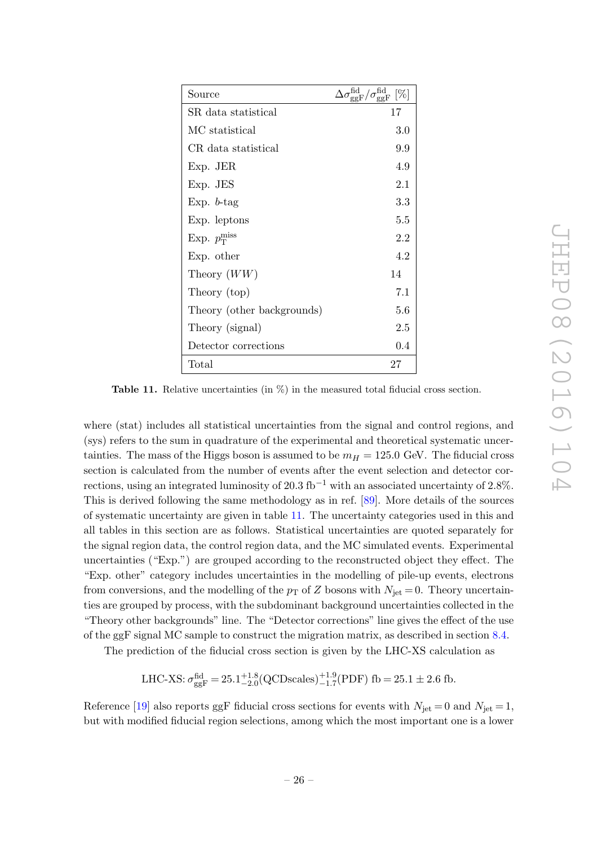<span id="page-27-0"></span>

| Source                     | $\Delta \sigma_{\rm ggF}^{\rm fid}/\sigma_{\rm ggF}^{\rm fid}$ [%] |
|----------------------------|--------------------------------------------------------------------|
| SR data statistical        | 17                                                                 |
| MC statistical             | 3.0                                                                |
| CR data statistical        | 9.9                                                                |
| Exp. JER                   | 4.9                                                                |
| Exp. JES                   | 2.1                                                                |
| Exp. $b$ -tag              | 3.3                                                                |
| Exp. leptons               | 5.5                                                                |
| Exp. $p_T^{\text{miss}}$   | 2.2                                                                |
| Exp. other                 | 4.2                                                                |
| Theory $(WW)$              | 14                                                                 |
| Theory (top)               | 7.1                                                                |
| Theory (other backgrounds) | 5.6                                                                |
| Theory (signal)            | 2.5                                                                |
| Detector corrections       | 0.4                                                                |
| Total                      | 27                                                                 |

Table 11. Relative uncertainties (in  $\%$ ) in the measured total fiducial cross section.

where (stat) includes all statistical uncertainties from the signal and control regions, and (sys) refers to the sum in quadrature of the experimental and theoretical systematic uncertainties. The mass of the Higgs boson is assumed to be  $m_H = 125.0$  GeV. The fiducial cross section is calculated from the number of events after the event selection and detector corrections, using an integrated luminosity of 20.3 fb<sup>-1</sup> with an associated uncertainty of 2.8%. This is derived following the same methodology as in ref. [\[89\]](#page-45-15). More details of the sources of systematic uncertainty are given in table [11.](#page-26-0) The uncertainty categories used in this and all tables in this section are as follows. Statistical uncertainties are quoted separately for the signal region data, the control region data, and the MC simulated events. Experimental uncertainties ("Exp.") are grouped according to the reconstructed object they effect. The "Exp. other" category includes uncertainties in the modelling of pile-up events, electrons from conversions, and the modelling of the  $p<sub>T</sub>$  of Z bosons with  $N_{jet} = 0$ . Theory uncertainties are grouped by process, with the subdominant background uncertainties collected in the "Theory other backgrounds" line. The "Detector corrections" line gives the effect of the use of the ggF signal MC sample to construct the migration matrix, as described in section [8.4](#page-21-0) .

<span id="page-27-1"></span>The prediction of the fiducial cross section is given by the LHC-XS calculation as

LHC-XS: 
$$
\sigma_{ggF}^{\text{fid}} = 25.1^{+1.8}_{-2.0} \text{(QCDscales)}^{+1.9}_{-1.7} \text{(PDF) fb} = 25.1 \pm 2.6 \text{ fb}.
$$

Reference [\[19\]](#page-41-10) also reports ggF fiducial cross sections for events with  $N_{\rm jet} = 0$  and  $N_{\rm jet} = 1$ , but with modified fiducial region selections, among which the most important one is a lower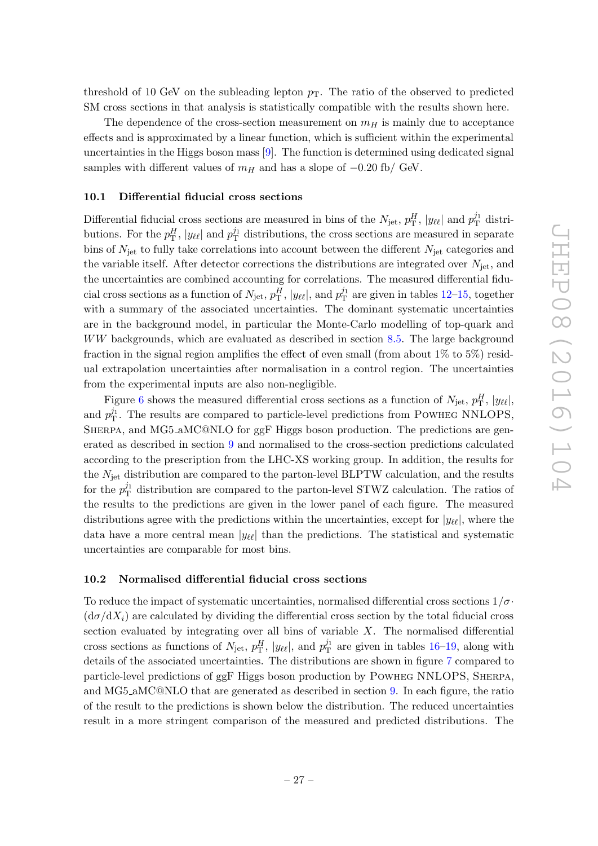threshold of 10 GeV on the subleading lepton  $p<sub>T</sub>$ . The ratio of the observed to predicted SM cross sections in that analysis is statistically compatible with the results shown here.

<span id="page-28-0"></span>The dependence of the cross-section measurement on  $m_H$  is mainly due to acceptance effects and is approximated by a linear function, which is sufficient within the experimental uncertainties in the Higgs boson mass [ [9\]](#page-41-1). The function is determined using dedicated signal samples with different values of  $m_H$  and has a slope of  $-0.20$  fb/ GeV.

#### 10.1 Differential fiducial cross sections

Differential fiducial cross sections are measured in bins of the  $N_{\rm jet}$ ,  $p_{\rm T}^H$ ,  $|y_{\ell\ell}|$  and  $p_{\rm T}^{j_1}$  distributions. For the  $p_T^H$ ,  $|y_{\ell\ell}|$  and  $p_T^{j_1}$  distributions, the cross sections are measured in separate bins of  $N_{\rm jet}$  to fully take correlations into account between the different  $N_{\rm jet}$  categories and the variable itself. After detector corrections the distributions are integrated over  $N_{\rm jet}$ , and the uncertainties are combined accounting for correlations. The measured differential fiducial cross sections as a function of  $N_{\rm jet}$ ,  $p_{\rm T}^H$ ,  $|y_{\ell\ell}|$ , and  $p_{\rm T}^{j_1}$  are given in tables [12](#page-29-1)[–15,](#page-33-0) together with a summary of the associated uncertainties. The dominant systematic uncertainties are in the background model, in particular the Monte-Carlo modelling of top-quark and WW backgrounds, which are evaluated as described in section [8.5.](#page-21-1) The large background fraction in the signal region amplifies the effect of even small (from about  $1\%$  to  $5\%$ ) residual extrapolation uncertainties after normalisation in a control region. The uncertainties from the experimental inputs are also non-negligible.

Figure [6](#page-28-0) shows the measured differential cross sections as a function of  $N_{jet}$ ,  $p_T^H$ ,  $|y_{\ell\ell}|$ , and  $p_{\rm T}^{j_1}$ . The results are compared to particle-level predictions from POWHEG NNLOPS, SHERPA, and MG5<sub>-</sub>aMC@NLO for ggF Higgs boson production. The predictions are generated as described in section [9](#page-24-0) and normalised to the cross-section predictions calculated according to the prescription from the LHC-XS working group. In addition, the results for the  $N_{jet}$  distribution are compared to the parton-level BLPTW calculation, and the results for the  $p_{\text{T}}^{j_1}$  distribution are compared to the parton-level STWZ calculation. The ratios of the results to the predictions are given in the lower panel of each figure. The measured distributions agree with the predictions within the uncertainties, except for  $|y_{\ell\ell}|$ , where the data have a more central mean  $|y_{\ell\ell}|$  than the predictions. The statistical and systematic uncertainties are comparable for most bins.

#### 10.2 Normalised differential fiducial cross sections

To reduce the impact of systematic uncertainties, normalised differential cross sections  $1/\sigma$ .  $(d\sigma/dX_i)$  are calculated by dividing the differential cross section by the total fiducial cross section evaluated by integrating over all bins of variable X. The normalised differential cross sections as functions of  $N_{jet}$ ,  $p_T^H$ ,  $|y_{\ell\ell}|$ , and  $p_T^{j_1}$  are given in tables [16](#page-34-0)[–19,](#page-37-0) along with details of the associated uncertainties. The distributions are shown in figure [7](#page-30-0) compared to particle-level predictions of ggF Higgs boson production by POWHEG NNLOPS, SHERPA, and MG5 aMC@NLO that are generated as described in section [9.](#page-24-0) In each figure, the ratio of the result to the predictions is shown below the distribution. The reduced uncertainties result in a more stringent comparison of the measured and predicted distributions. The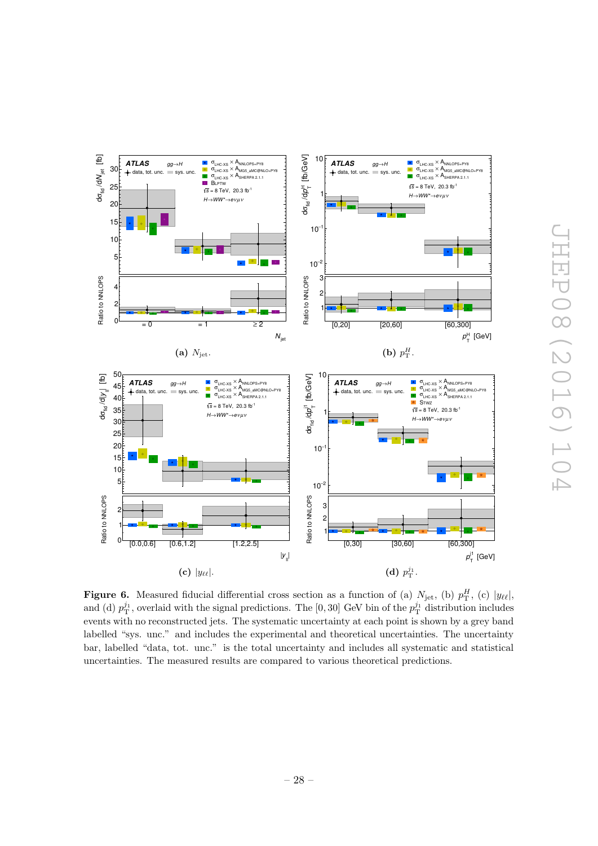<span id="page-29-1"></span>

<span id="page-29-0"></span>**Figure 6.** Measured fiducial differential cross section as a function of (a)  $N_{jet}$ , (b)  $p_T^H$ , (c)  $|y_{\ell\ell}|$ , and (d)  $p_T^{j_1}$ , overlaid with the signal predictions. The [0,30] GeV bin of the  $p_T^{j_1}$  distribution includes events with no reconstructed jets. The systematic uncertainty at each point is shown by a grey band labelled "sys. unc." and includes the experimental and theoretical uncertainties. The uncertainty bar, labelled "data, tot. unc." is the total uncertainty and includes all systematic and statistical uncertainties. The measured results are compared to various theoretical predictions.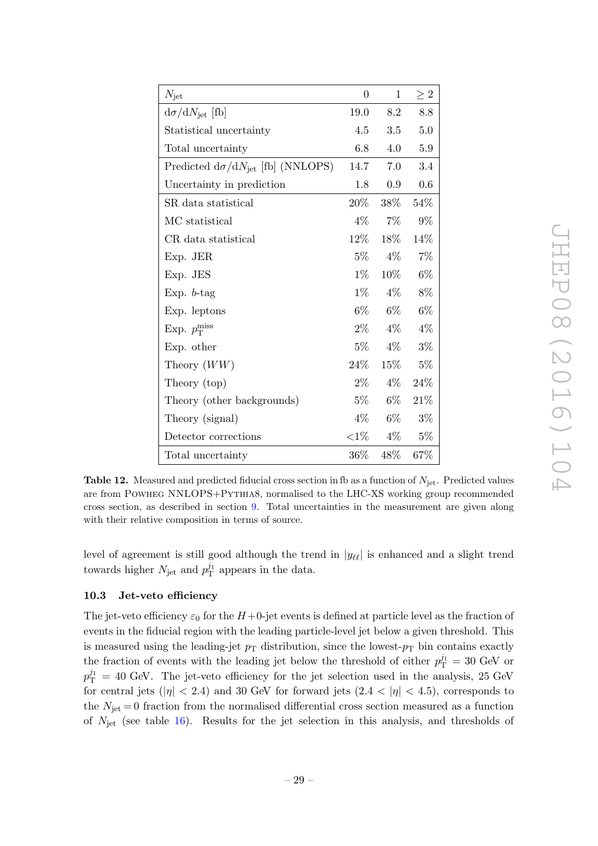<span id="page-30-0"></span>

| $N_{\rm jet}$                                  | $\overline{0}$ | $\mathbf{1}$ | $\geq 2$ |
|------------------------------------------------|----------------|--------------|----------|
| $d\sigma/dN_{\rm jet}$ [fb]                    | 19.0           | 8.2          | 8.8      |
| Statistical uncertainty                        | 4.5            | 3.5          | 5.0      |
| Total uncertainty                              | 6.8            | 4.0          | $5.9\,$  |
| Predicted $d\sigma/dN_{\rm jet}$ [fb] (NNLOPS) |                | 14.7 7.0     | 3.4      |
| Uncertainty in prediction                      | 1.8            | 0.9          | 0.6      |
| SR data statistical                            | $20\%$         | $38\%$       | 54%      |
| MC statistical                                 | $4\%$          | $7\%$        | $9\%$    |
| CR data statistical                            | $12\%$         | $18\%$       | 14%      |
| Exp. JER                                       | $5\%$          | $4\%$        | $7\%$    |
| Exp. JES                                       | $1\%$          | $10\%$       | $6\%$    |
| Exp. $b$ -tag                                  | $1\%$          | $4\%$        | $8\%$    |
| Exp. leptons                                   | $6\%$          | $6\%$        | $6\%$    |
| Exp. $p_T^{\text{miss}}$                       |                | $2\% \ 4\%$  | $4\%$    |
| Exp. other                                     |                | $5\% \ 4\%$  | $3\%$    |
| Theory $(WW)$                                  |                | 24\% 15\%    | $5\%$    |
| Theory (top)                                   | $2\%$          | $4\%$        | 24%      |
| Theory (other backgrounds)                     | $5\%$          | $6\%$        | 21\%     |
| Theory (signal)                                | $4\%$          | $6\%$        | $3\%$    |
| Detector corrections                           |                | ${<}1\%$ 4\% | $5\%$    |
| Total uncertainty                              | $36\%$         | 48%          | 67%      |

**Table 12.** Measured and predicted fiducial cross section in fb as a function of  $N_{\text{jet}}$ . Predicted values are from Powheg NNLOPS+Pythia8, normalised to the LHC-XS working group recommended cross section, as described in section [9.](#page-24-0) Total uncertainties in the measurement are given along with their relative composition in terms of source.

level of agreement is still good although the trend in  $|y_{\ell\ell}|$  is enhanced and a slight trend towards higher  $N_{\rm jet}$  and  $p_{\rm T}^{j_1}$  appears in the data.

#### 10.3 Jet-veto efficiency

The jet-veto efficiency  $\varepsilon_0$  for the  $H+0$ -jet events is defined at particle level as the fraction of events in the fiducial region with the leading particle-level jet below a given threshold. This is measured using the leading-jet  $p<sub>T</sub>$  distribution, since the lowest- $p<sub>T</sub>$  bin contains exactly the fraction of events with the leading jet below the threshold of either  $p_{\rm T}^{j_1} = 30$  GeV or  $p_{\rm T}^{j_1} = 40$  GeV. The jet-veto efficiency for the jet selection used in the analysis, 25 GeV for central jets ( $|\eta| < 2.4$ ) and 30 GeV for forward jets ( $2.4 < |\eta| < 4.5$ ), corresponds to the  $N_{jet} = 0$  fraction from the normalised differential cross section measured as a function of  $N_{jet}$  (see table [16\)](#page-34-0). Results for the jet selection in this analysis, and thresholds of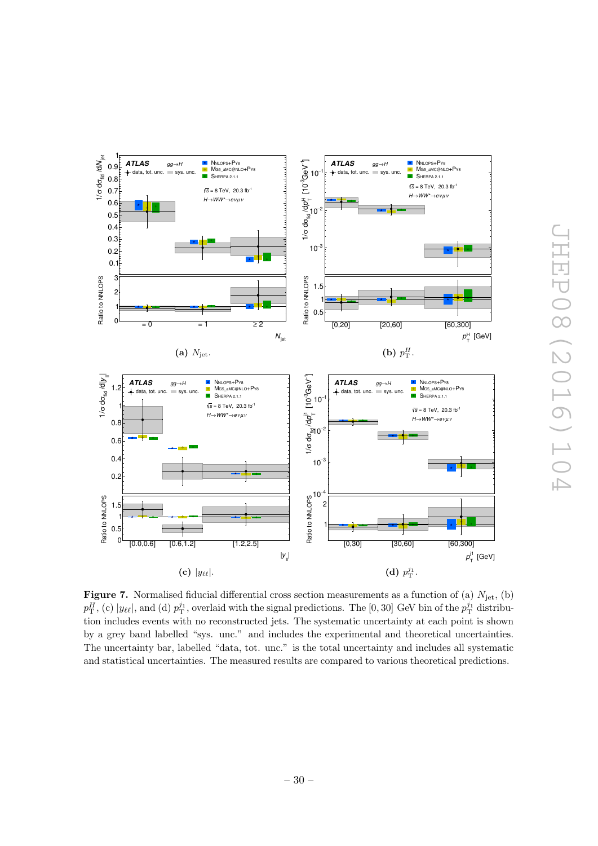

**Figure 7.** Normalised fiducial differential cross section measurements as a function of (a)  $N_{\text{jet}}$ , (b)  $p_T^H$ , (c)  $|y_{\ell\ell}|$ , and (d)  $p_T^{j_1}$ , overlaid with the signal predictions. The [0,30] GeV bin of the  $p_T^{j_1}$  distribution includes events with no reconstructed jets. The systematic uncertainty at each point is shown by a grey band labelled "sys. unc." and includes the experimental and theoretical uncertainties. The uncertainty bar, labelled "data, tot. unc." is the total uncertainty and includes all systematic and statistical uncertainties. The measured results are compared to various theoretical predictions.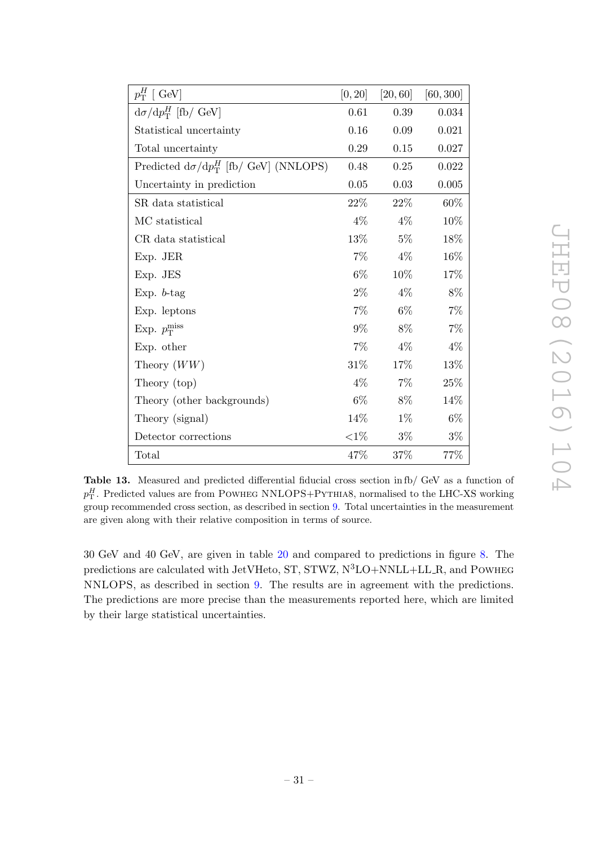| $p_{\rm T}^H$ [ GeV]                                | [0, 20]  | [20, 60] | [60, 300] |
|-----------------------------------------------------|----------|----------|-----------|
| $d\sigma/dp_{\rm T}^H$ [fb/ GeV]                    | 0.61     | 0.39     | 0.034     |
| Statistical uncertainty                             | 0.16     | 0.09     | 0.021     |
| Total uncertainty                                   | 0.29     | 0.15     | 0.027     |
| Predicted $d\sigma/dp_{\rm T}^H$ [fb/ GeV] (NNLOPS) | 0.48     | 0.25     | 0.022     |
| Uncertainty in prediction                           | 0.05     | 0.03     | 0.005     |
| SR data statistical                                 | 22\%     | 22\%     | 60%       |
| MC statistical                                      | $4\%$    | $4\%$    | 10%       |
| CR data statistical                                 | 13%      | $5\%$    | 18%       |
| Exp. JER                                            | $7\%$    | $4\%$    | 16%       |
| Exp. JES                                            | $6\%$    | 10%      | 17%       |
| Exp. $b$ -tag                                       | $2\%$    | $4\%$    | 8%        |
| Exp. leptons                                        | $7\%$    | $6\%$    | 7%        |
| Exp. $p_T^{\text{miss}}$                            | $9\%$    | $8\%$    | $7\%$     |
| Exp. other                                          | $7\%$    | $4\%$    | $4\%$     |
| Theory $(WW)$                                       | $31\%$   | 17%      | 13%       |
| Theory (top)                                        | $4\%$    | $7\%$    | 25%       |
| Theory (other backgrounds)                          | $6\%$    | 8%       | 14%       |
| Theory (signal)                                     | 14%      | $1\%$    | $6\%$     |
| Detector corrections                                | ${<}1\%$ | $3\%$    | $3\%$     |
| Total                                               | 47%      | 37%      | 77%       |

Table 13. Measured and predicted differential fiducial cross section in fb/ GeV as a function of  $p_T^H$ . Predicted values are from POWHEG NNLOPS+PYTHIA8, normalised to the LHC-XS working group recommended cross section, as described in section [9.](#page-24-0) Total uncertainties in the measurement are given along with their relative composition in terms of source.

30 GeV and 40 GeV, are given in table [20](#page-38-0) and compared to predictions in figure [8.](#page-39-1) The predictions are calculated with JetVHeto, ST, STWZ, N<sup>3</sup>LO+NNLL+LL\_R, and POWHEG NNLOPS, as described in section [9.](#page-24-0) The results are in agreement with the predictions. The predictions are more precise than the measurements reported here, which are limited by their large statistical uncertainties.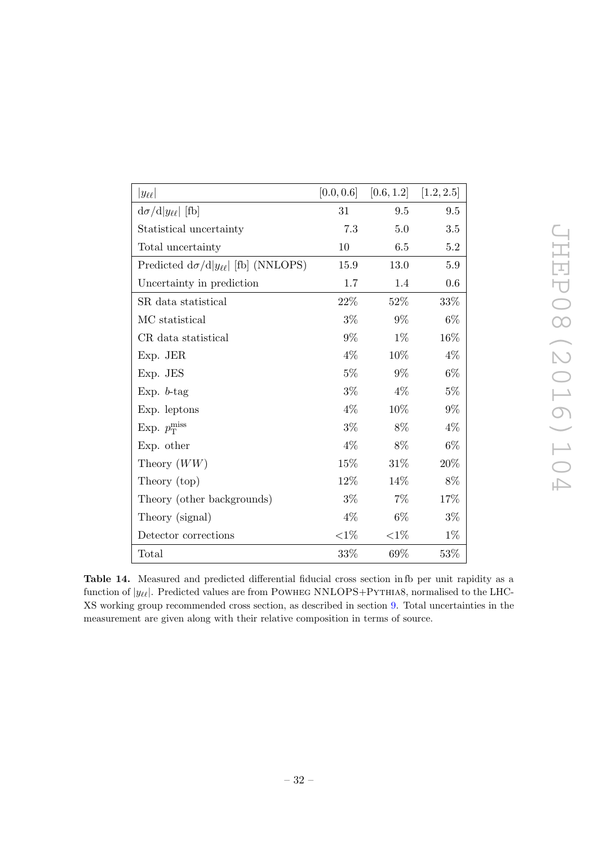<span id="page-33-0"></span>

| $ y_{\ell\ell} $                                  | [0.0, 0.6] | [0.6, 1.2] | [1.2, 2.5] |
|---------------------------------------------------|------------|------------|------------|
| $d\sigma/d y_{\ell\ell} $ [fb]                    | 31         | 9.5        | 9.5        |
| Statistical uncertainty                           | 7.3        | $5.0\,$    | $3.5\,$    |
| Total uncertainty                                 | 10         | 6.5        | 5.2        |
| Predicted $d\sigma/d y_{\ell\ell} $ [fb] (NNLOPS) | 15.9       | 13.0       | $5.9\,$    |
| Uncertainty in prediction                         | 1.7        | 1.4        | 0.6        |
| SR data statistical                               | $22\%$     | $52\%$     | $33\%$     |
| MC statistical                                    | $3\%$      | $9\%$      | $6\%$      |
| CR data statistical                               | $9\%$      | $1\%$      | $16\%$     |
| Exp. JER                                          | $4\%$      | 10%        | $4\%$      |
| Exp. JES                                          | $5\%$      | $9\%$      | $6\%$      |
| Exp. $b$ -tag                                     | $3\%$      | $4\%$      | $5\%$      |
| Exp. leptons                                      | $4\%$      | 10%        | $9\%$      |
| Exp. $p_T^{\text{miss}}$                          | $3\%$      | 8%         | $4\%$      |
| Exp. other                                        | $4\%$      | $8\%$      | $6\%$      |
| Theory $(WW)$                                     | $15\%$     | $31\%$     | $20\%$     |
| Theory (top)                                      | $12\%$     | 14\%       | $8\%$      |
| Theory (other backgrounds)                        | $3\%$      | $7\%$      | 17%        |
| Theory (signal)                                   | $4\%$      | $6\%$      | $3\%$      |
| Detector corrections                              | ${<}1\%$   | ${<}1\%$   | $1\%$      |
| Total                                             | $33\%$     | 69%        | 53%        |

Table 14. Measured and predicted differential fiducial cross section in fb per unit rapidity as a function of  $|y_{\ell\ell}|$ . Predicted values are from POWHEG NNLOPS+PYTHIA8, normalised to the LHC-XS working group recommended cross section, as described in section [9.](#page-24-0) Total uncertainties in the measurement are given along with their relative composition in terms of source.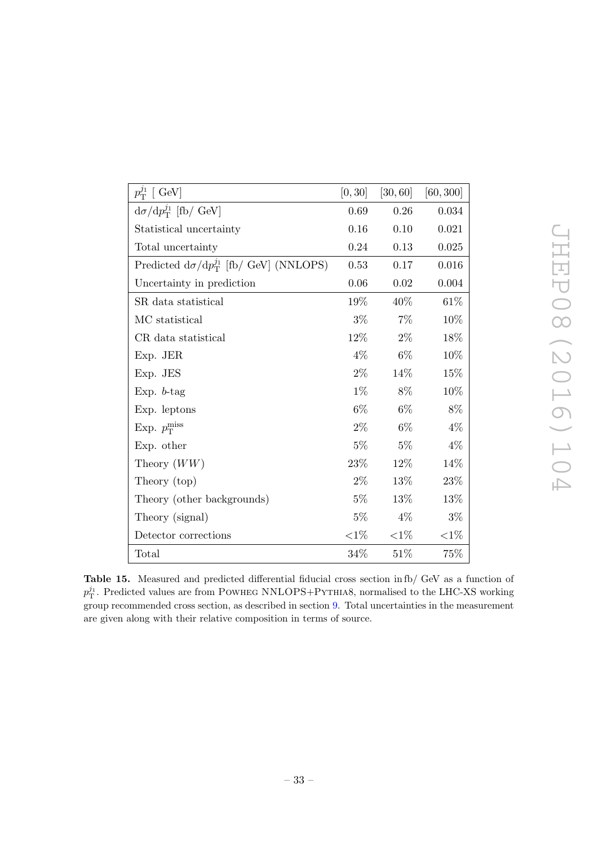<span id="page-34-0"></span>

| $p_{\rm T}^{j_1} \restriction$ GeV]                     | [0, 30]  | [30, 60] | [60, 300] |
|---------------------------------------------------------|----------|----------|-----------|
| $d\sigma/dp_{\rm T}^{j_1}$ [fb/ GeV]                    | 0.69     | 0.26     | 0.034     |
| Statistical uncertainty                                 | 0.16     | 0.10     | 0.021     |
| Total uncertainty                                       | 0.24     | 0.13     | 0.025     |
| Predicted $d\sigma/dp_{\rm T}^{j_1}$ [fb/ GeV] (NNLOPS) | 0.53     | 0.17     | 0.016     |
| Uncertainty in prediction                               | 0.06     | 0.02     | 0.004     |
| SR data statistical                                     | 19%      | 40%      | 61\%      |
| MC statistical                                          | $3\%$    | 7%       | 10%       |
| CR data statistical                                     | 12%      | $2\%$    | 18%       |
| Exp. JER                                                | $4\%$    | $6\%$    | 10%       |
| Exp. JES                                                | $2\%$    | 14%      | 15%       |
| Exp. $b$ -tag                                           | $1\%$    | 8%       | 10%       |
| Exp. leptons                                            | $6\%$    | $6\%$    | 8%        |
| Exp. $p_T^{\text{miss}}$                                | $2\%$    | $6\%$    | $4\%$     |
| Exp. other                                              | $5\%$    | $5\%$    | 4%        |
| Theory $(WW)$                                           | 23\%     | 12%      | 14%       |
| Theory (top)                                            | $2\%$    | 13%      | 23%       |
| Theory (other backgrounds)                              | $5\%$    | 13\%     | 13\%      |
| Theory (signal)                                         | $5\%$    | $4\%$    | $3\%$     |
| Detector corrections                                    | ${<}1\%$ | ${<}1\%$ | ${<}1\%$  |
| Total                                                   | $34\%$   | $51\%$   | 75%       |

Table 15. Measured and predicted differential fiducial cross section in fb/ GeV as a function of  $p_T^{j_1}$ . Predicted values are from POWHEG NNLOPS+PYTHIA8, normalised to the LHC-XS working group recommended cross section, as described in section [9.](#page-24-0) Total uncertainties in the measurement are given along with their relative composition in terms of source.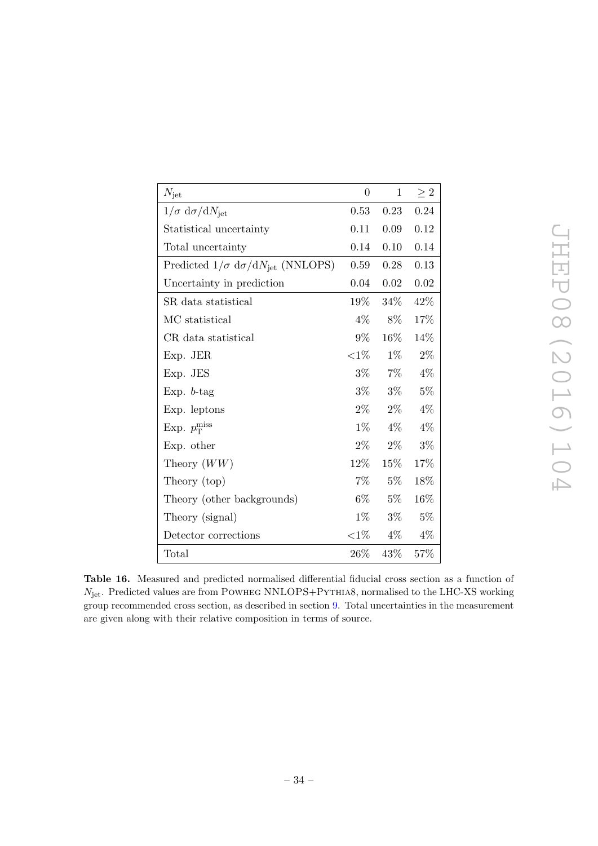| $N_{\rm jet}$                                        | $\overline{0}$ | $\mathbf{1}$ | $\geq 2$ |
|------------------------------------------------------|----------------|--------------|----------|
| $1/\sigma \, d\sigma/dN_{\rm jet}$                   | 0.53           | 0.23         | 0.24     |
| Statistical uncertainty                              | 0.11           | 0.09         | 0.12     |
| Total uncertainty                                    | 0.14           | 0.10         | 0.14     |
| Predicted $1/\sigma \ d\sigma/dN_{\rm jet}$ (NNLOPS) | 0.59           | 0.28         | 0.13     |
| Uncertainty in prediction                            | 0.04           | 0.02         | 0.02     |
| SR data statistical                                  | $19\%$         | $34\%$       | 42%      |
| MC statistical                                       | $4\%$          | 8%           | 17%      |
| CR data statistical                                  | $9\%$          | $16\%$       | 14%      |
| Exp. JER                                             | ${<}1\%$       | $1\%$        | $2\%$    |
| Exp. JES                                             | $3\%$          | $7\%$        | $4\%$    |
| Exp. $b$ -tag                                        | $3\%$          | $3\%$        | $5\%$    |
| Exp. leptons                                         | $2\%$          | $2\%$        | $4\%$    |
| Exp. $p_T^{\text{miss}}$                             | $1\%$          | $4\%$        | 4%       |
| Exp. other                                           | $2\%$          | $2\%$        | $3\%$    |
| Theory $(WW)$                                        | $12\%$         | $15\%$       | 17%      |
| Theory (top)                                         | $7\%$          | $5\%$        | 18%      |
| Theory (other backgrounds)                           | $6\%$          | $5\%$        | 16%      |
| Theory (signal)                                      | $1\%$          | $3\%$        | $5\%$    |
| Detector corrections                                 | ${<}1\%$       | $4\%$        | $4\%$    |
| Total                                                | $26\%$         | 43\%         | 57%      |

JHEP08(2016)104 JHEP08(2016)104

Table 16. Measured and predicted normalised differential fiducial cross section as a function of  $N_{\text{jet}}$ . Predicted values are from POWHEG NNLOPS+PYTHIA8, normalised to the LHC-XS working group recommended cross section, as described in section [9.](#page-24-0) Total uncertainties in the measurement are given along with their relative composition in terms of source.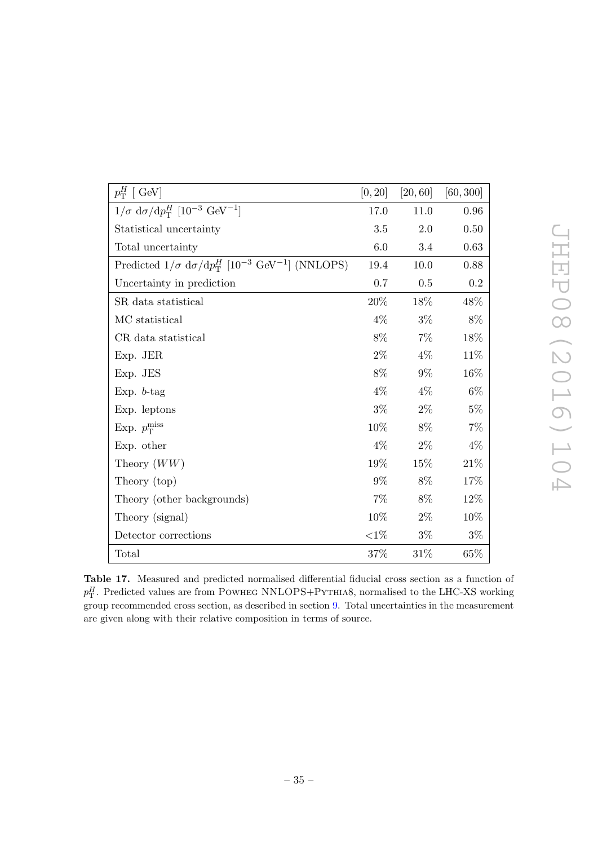| $p_{\rm T}^H$ [ GeV]                                                                                       | [0, 20]  | [20, 60] | [60, 300] |
|------------------------------------------------------------------------------------------------------------|----------|----------|-----------|
| $1/\sigma \, d\sigma/dp_{\rm T}^H \, [10^{-3} \; {\rm GeV}^{-1}]$                                          | 17.0     | 11.0     | 0.96      |
| Statistical uncertainty                                                                                    | 3.5      | 2.0      | 0.50      |
| Total uncertainty                                                                                          | 6.0      | 3.4      | 0.63      |
| Predicted $1/\sigma \text{ d}\sigma/\text{d}p_{\text{T}}^H$ [10 <sup>-3</sup> GeV <sup>-1</sup> ] (NNLOPS) | 19.4     | 10.0     | 0.88      |
| Uncertainty in prediction                                                                                  | 0.7      | 0.5      | 0.2       |
| SR data statistical                                                                                        | 20%      | 18%      | 48%       |
| MC statistical                                                                                             | $4\%$    | $3\%$    | 8%        |
| CR data statistical                                                                                        | $8\%$    | $7\%$    | 18%       |
| Exp. JER                                                                                                   | $2\%$    | $4\%$    | 11%       |
| Exp. JES                                                                                                   | $8\%$    | $9\%$    | 16%       |
| Exp. $b$ -tag                                                                                              | $4\%$    | $4\%$    | $6\%$     |
| Exp. leptons                                                                                               | $3\%$    | $2\%$    | $5\%$     |
| Exp. $p_T^{\text{miss}}$                                                                                   | 10%      | 8%       | $7\%$     |
| Exp. other                                                                                                 | $4\%$    | $2\%$    | $4\%$     |
| Theory $(WW)$                                                                                              | 19%      | 15%      | 21\%      |
| Theory (top)                                                                                               | $9\%$    | $8\%$    | 17%       |
| Theory (other backgrounds)                                                                                 | 7%       | 8%       | 12%       |
| Theory (signal)                                                                                            | 10%      | $2\%$    | 10%       |
| Detector corrections                                                                                       | ${<}1\%$ | $3\%$    | $3\%$     |
| Total                                                                                                      | 37\%     | 31%      | 65%       |

Table 17. Measured and predicted normalised differential fiducial cross section as a function of  $p_T^H$ . Predicted values are from POWHEG NNLOPS+PYTHIA8, normalised to the LHC-XS working group recommended cross section, as described in section [9.](#page-24-0) Total uncertainties in the measurement are given along with their relative composition in terms of source.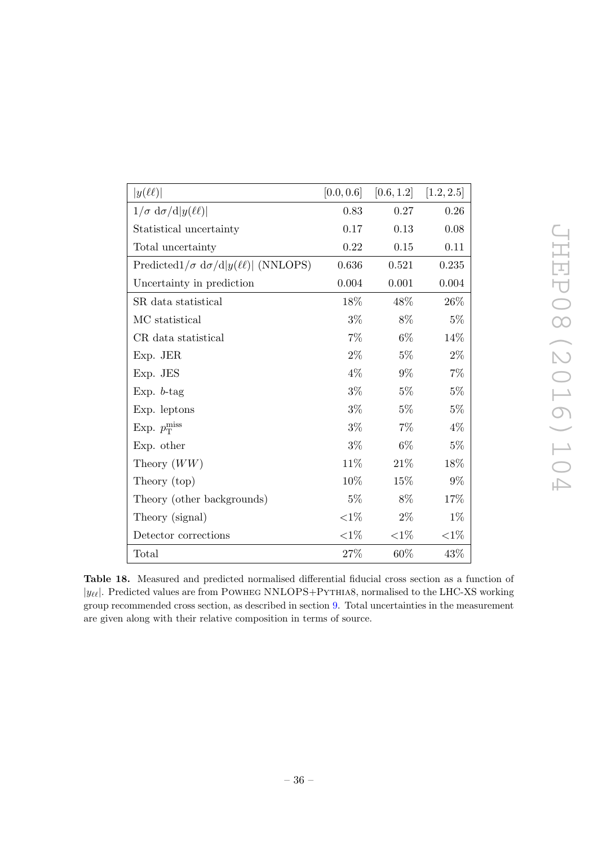<span id="page-37-0"></span>

| $ y(\ell\ell) $                                        | [0.0, 0.6] | [0.6, 1.2] | [1.2, 2.5] |
|--------------------------------------------------------|------------|------------|------------|
| $1/\sigma \, \mathrm{d}\sigma/\mathrm{d} y(\ell\ell) $ | 0.83       | 0.27       | 0.26       |
| Statistical uncertainty                                | $0.17\,$   | $0.13\,$   | 0.08       |
| Total uncertainty                                      | 0.22       | 0.15       | 0.11       |
| Predicted $1/\sigma d\sigma/d y(\ell\ell) $ (NNLOPS)   | 0.636      | 0.521      | 0.235      |
| Uncertainty in prediction                              | 0.004      | 0.001      | 0.004      |
| SR data statistical                                    | $18\%$     | 48\%       | $26\%$     |
| MC statistical                                         | $3\%$      | 8%         | $5\%$      |
| CR data statistical                                    | $7\%$      | $6\%$      | 14\%       |
| Exp. JER                                               | $2\%$      | $5\%$      | $2\%$      |
| Exp. JES                                               | $4\%$      | $9\%$      | $7\%$      |
| Exp. $b$ -tag                                          | $3\%$      | $5\%$      | $5\%$      |
| Exp. leptons                                           | $3\%$      | $5\%$      | $5\%$      |
| Exp. $p_{\rm T}^{\rm miss}$                            | $3\%$      | $7\%$      | $4\%$      |
| Exp. other                                             | $3\%$      | $6\%$      | $5\%$      |
| Theory $(WW)$                                          | 11\%       | $21\%$     | 18%        |
| Theory (top)                                           | 10%        | 15\%       | $9\%$      |
| Theory (other backgrounds)                             | $5\%$      | 8%         | 17%        |
| Theory (signal)                                        | ${<}1\%$   | $2\%$      | $1\%$      |
| Detector corrections                                   | ${<}1\%$   | ${<}1\%$   | ${<}1\%$   |
| Total                                                  | $27\%$     | $60\%$     | 43%        |

Table 18. Measured and predicted normalised differential fiducial cross section as a function of  $|y_{\ell\ell}|$ . Predicted values are from POWHEG NNLOPS+PYTHIA8, normalised to the LHC-XS working group recommended cross section, as described in section [9.](#page-24-0) Total uncertainties in the measurement are given along with their relative composition in terms of source.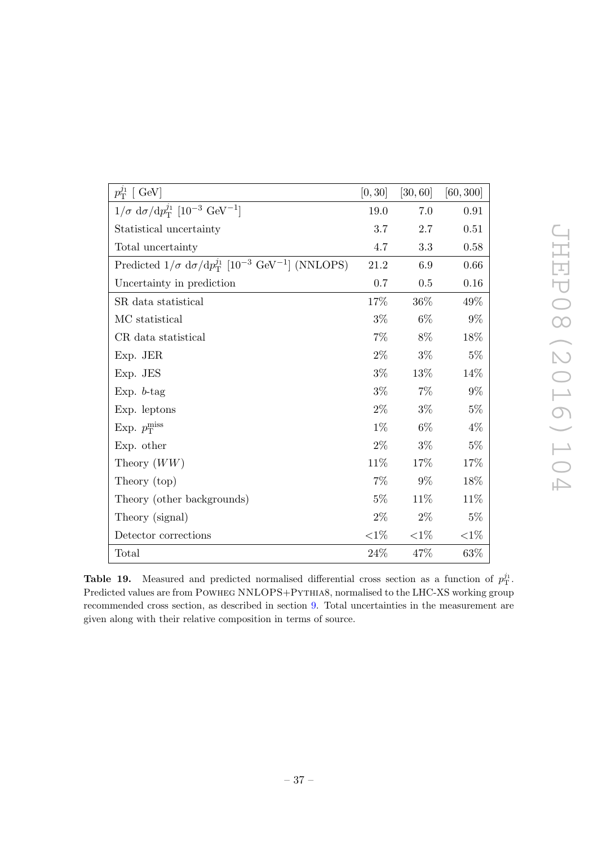<span id="page-38-0"></span>

| $p_T^{j_1} \restriction \text{GeV}$                                                            | [0, 30]  | [30, 60] | [60, 300] |
|------------------------------------------------------------------------------------------------|----------|----------|-----------|
| $1/\sigma \, d\sigma/dp_{\rm T}^{j_1}$ [10 <sup>-3</sup> GeV <sup>-1</sup> ]                   | 19.0     | 7.0      | 0.91      |
| Statistical uncertainty                                                                        | 3.7      | 2.7      | 0.51      |
| Total uncertainty                                                                              | 4.7      | 3.3      | 0.58      |
| Predicted $1/\sigma \ d\sigma/dp_{\rm T}^{j_1}$ [10 <sup>-3</sup> GeV <sup>-1</sup> ] (NNLOPS) | 21.2     | 6.9      | 0.66      |
| Uncertainty in prediction                                                                      | 0.7      | 0.5      | 0.16      |
| SR data statistical                                                                            | 17%      | $36\%$   | 49%       |
| MC statistical                                                                                 | $3\%$    | $6\%$    | $9\%$     |
| CR data statistical                                                                            | $7\%$    | $8\%$    | 18%       |
| Exp. JER                                                                                       | $2\%$    | $3\%$    | $5\%$     |
| Exp. JES                                                                                       | $3\%$    | $13\%$   | 14%       |
| Exp. $b$ -tag                                                                                  | $3\%$    | $7\%$    | $9\%$     |
| Exp. leptons                                                                                   | $2\%$    | $3\%$    | $5\%$     |
| Exp. $p_T^{\text{miss}}$                                                                       | $1\%$    | $6\%$    | $4\%$     |
| Exp. other                                                                                     | $2\%$    | $3\%$    | $5\%$     |
| Theory $(WW)$                                                                                  | 11\%     | 17%      | 17%       |
| Theory (top)                                                                                   | $7\%$    | $9\%$    | 18%       |
| Theory (other backgrounds)                                                                     | $5\%$    | 11\%     | 11%       |
| Theory (signal)                                                                                | $2\%$    | $2\%$    | $5\%$     |
| Detector corrections                                                                           | ${<}1\%$ | ${<}1\%$ | ${<}1\%$  |
| Total                                                                                          | 24%      | 47%      | 63%       |

**Table 19.** Measured and predicted normalised differential cross section as a function of  $p_T^{j_1}$ . Predicted values are from Powheg NNLOPS+Pythia8, normalised to the LHC-XS working group recommended cross section, as described in section [9.](#page-24-0) Total uncertainties in the measurement are given along with their relative composition in terms of source.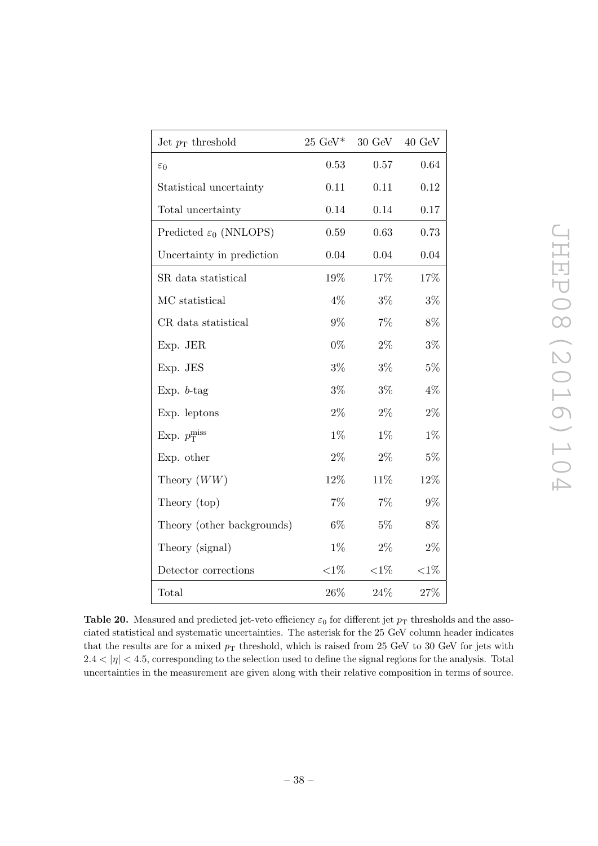<span id="page-39-1"></span>

| Jet $p_T$ threshold                | $25 \text{ GeV}^*$ | $30 \text{ GeV}$ | 40 GeV   |
|------------------------------------|--------------------|------------------|----------|
| $\varepsilon_0$                    | 0.53               | 0.57             | 0.64     |
| Statistical uncertainty            | 0.11               | 0.11             | 0.12     |
| Total uncertainty                  | 0.14               | $0.14\,$         | 0.17     |
| Predicted $\varepsilon_0$ (NNLOPS) | 0.59               | 0.63             | 0.73     |
| Uncertainty in prediction          | 0.04               | 0.04             | 0.04     |
| SR data statistical                | $19\%$             | 17%              | 17%      |
| MC statistical                     | $4\%$              | $3\%$            | $3\%$    |
| CR data statistical                | $9\%$              | $7\%$            | 8%       |
| Exp. JER                           | $0\%$              | $2\%$            | $3\%$    |
| Exp. JES                           | $3\%$              | $3\%$            | $5\%$    |
| Exp. $b$ -tag                      | $3\%$              | $3\%$            | $4\%$    |
| Exp. leptons                       | $2\%$              | $2\%$            | $2\%$    |
| Exp. $p_{\rm T}^{\rm miss}$        | $1\%$              | $1\%$            | $1\%$    |
| Exp. other                         | $2\%$              | $2\%$            | $5\%$    |
| Theory $(WW)$                      | 12%                | 11%              | 12%      |
| Theory (top)                       | $7\%$              | $7\%$            | $9\%$    |
| Theory (other backgrounds)         | $6\%$              | $5\%$            | 8%       |
| Theory (signal)                    | $1\%$              | $2\%$            | $2\%$    |
| Detector corrections               | ${<}1\%$           | ${<}1\%$         | ${<}1\%$ |
| Total                              | 26\%               | 24%              | 27%      |

<span id="page-39-0"></span>**Table 20.** Measured and predicted jet-veto efficiency  $\varepsilon_0$  for different jet  $p_T$  thresholds and the associated statistical and systematic uncertainties. The asterisk for the 25 GeV column header indicates that the results are for a mixed  $p<sub>T</sub>$  threshold, which is raised from 25 GeV to 30 GeV for jets with  $2.4 < |\eta| < 4.5$ , corresponding to the selection used to define the signal regions for the analysis. Total uncertainties in the measurement are given along with their relative composition in terms of source.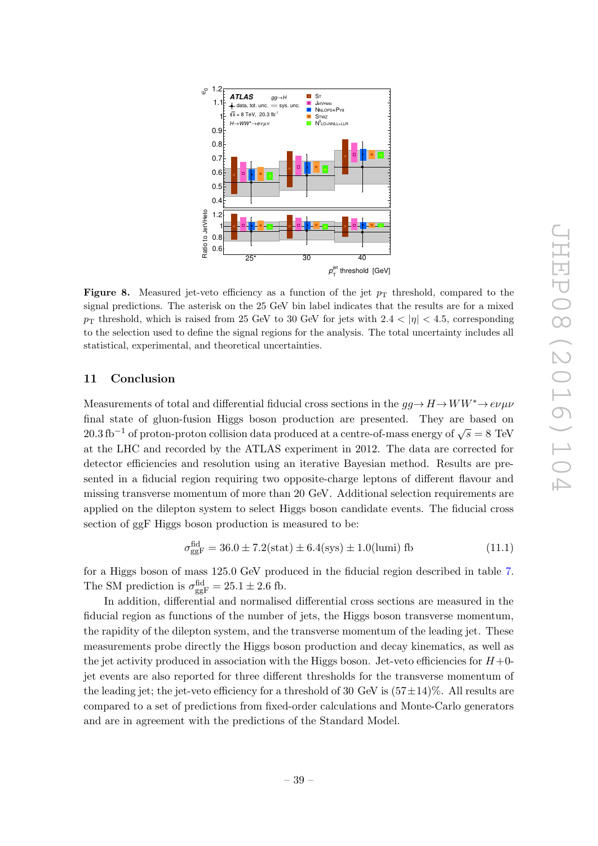

**Figure 8.** Measured jet-veto efficiency as a function of the jet  $p_T$  threshold, compared to the signal predictions. The asterisk on the 25 GeV bin label indicates that the results are for a mixed  $p_{\rm T}$  threshold, which is raised from 25 GeV to 30 GeV for jets with 2.4  $\langle \eta | \cdot \rangle$  4.5, corresponding to the selection used to define the signal regions for the analysis. The total uncertainty includes all statistical, experimental, and theoretical uncertainties.

#### 11 Conclusion

Measurements of total and differential fiducial cross sections in the  $gg \to H \to WW^* \to e\nu\mu\nu$ final state of gluon-fusion Higgs boson production are presented. They are based on 20.3 fb<sup>-1</sup> of proton-proton collision data produced at a centre-of-mass energy of  $\sqrt{s} = 8$  TeV at the LHC and recorded by the ATLAS experiment in 2012. The data are corrected for detector efficiencies and resolution using an iterative Bayesian method. Results are presented in a fiducial region requiring two opposite-charge leptons of different flavour and missing transverse momentum of more than 20 GeV. Additional selection requirements are applied on the dilepton system to select Higgs boson candidate events. The fiducial cross section of ggF Higgs boson production is measured to be:

$$
\sigma_{ggF}^{\text{fid}} = 36.0 \pm 7.2 \text{(stat)} \pm 6.4 \text{(sys)} \pm 1.0 \text{(lumi)} \text{ fb} \tag{11.1}
$$

for a Higgs boson of mass 125 .0 GeV produced in the fiducial region described in table [7](#page-18-1) . The SM prediction is  $\sigma_{\text{ggF}}^{\text{fid}} = 25.1 \pm 2.6$  fb.

<span id="page-40-2"></span><span id="page-40-1"></span><span id="page-40-0"></span>In addition, differential and normalised differential cross sections are measured in the fiducial region as functions of the number of jets, the Higgs boson transverse momentum, the rapidity of the dilepton system, and the transverse momentum of the leading jet. These measurements probe directly the Higgs boson production and decay kinematics, as well as the jet activity produced in association with the Higgs boson. Jet-veto efficiencies for  $H+0$ jet events are also reported for three different thresholds for the transverse momentum of the leading jet; the jet-veto efficiency for a threshold of 30 GeV is  $(57\pm14)\%$ . All results are compared to a set of predictions from fixed-order calculations and Monte-Carlo generators and are in agreement with the predictions of the Standard Model.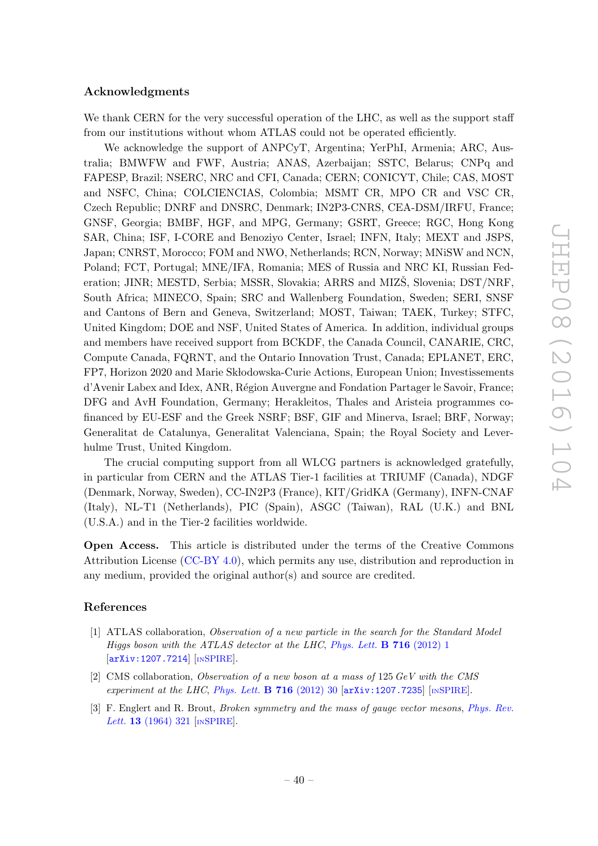#### Acknowledgments

We thank CERN for the very successful operation of the LHC, as well as the support staff from our institutions without whom ATLAS could not be operated efficiently.

<span id="page-41-1"></span><span id="page-41-0"></span>We acknowledge the support of ANPCyT, Argentina; YerPhI, Armenia; ARC, Australia; BMWFW and FWF, Austria; ANAS, Azerbaijan; SSTC, Belarus; CNPq and FAPESP, Brazil; NSERC, NRC and CFI, Canada; CERN; CONICYT, Chile; CAS, MOST and NSFC, China; COLCIENCIAS, Colombia; MSMT CR, MPO CR and VSC CR, Czech Republic; DNRF and DNSRC, Denmark; IN2P3-CNRS, CEA-DSM/IRFU, France; GNSF, Georgia; BMBF, HGF, and MPG, Germany; GSRT, Greece; RGC, Hong Kong SAR, China; ISF, I-CORE and Benoziyo Center, Israel; INFN, Italy; MEXT and JSPS, Japan; CNRST, Morocco; FOM and NWO, Netherlands; RCN, Norway; MNiSW and NCN, Poland; FCT, Portugal; MNE/IFA, Romania; MES of Russia and NRC KI, Russian Federation; JINR; MESTD, Serbia; MSSR, Slovakia; ARRS and MIZŠ, Slovenia; DST/NRF, South Africa; MINECO, Spain; SRC and Wallenberg Foundation, Sweden; SERI, SNSF and Cantons of Bern and Geneva, Switzerland; MOST, Taiwan; TAEK, Turkey; STFC, United Kingdom; DOE and NSF, United States of America. In addition, individual groups and members have received support from BCKDF, the Canada Council, CANARIE, CRC, Compute Canada, FQRNT, and the Ontario Innovation Trust, Canada; EPLANET, ERC, FP7, Horizon 2020 and Marie Skłodowska-Curie Actions, European Union; Investissements d'Avenir Labex and Idex, ANR, R´egion Auvergne and Fondation Partager le Savoir, France; DFG and AvH Foundation, Germany; Herakleitos, Thales and Aristeia programmes cofinanced by EU-ESF and the Greek NSRF; BSF, GIF and Minerva, Israel; BRF, Norway; Generalitat de Catalunya, Generalitat Valenciana, Spain; the Royal Society and Leverhulme Trust, United Kingdom.

<span id="page-41-5"></span><span id="page-41-4"></span><span id="page-41-3"></span><span id="page-41-2"></span>The crucial computing support from all WLCG partners is acknowledged gratefully, in particular from CERN and the ATLAS Tier-1 facilities at TRIUMF (Canada), NDGF (Denmark, Norway, Sweden), CC-IN2P3 (France), KIT/GridKA (Germany), INFN-CNAF (Italy), NL-T1 (Netherlands), PIC (Spain), ASGC (Taiwan), RAL (U.K.) and BNL (U.S.A.) and in the Tier-2 facilities worldwide.

<span id="page-41-7"></span><span id="page-41-6"></span>Open Access. This article is distributed under the terms of the Creative Commons Attribution License [\(CC-BY 4.0\)](http://creativecommons.org/licenses/by/4.0/), which permits any use, distribution and reproduction in any medium, provided the original author(s) and source are credited.

#### <span id="page-41-8"></span>References

- [1] ATLAS collaboration, Observation of a new particle in the search for the Standard Model Higgs boson with the ATLAS detector at the LHC, [Phys. Lett.](http://dx.doi.org/10.1016/j.physletb.2012.08.020) **B** 716 (2012) 1 [[arXiv:1207.7214](http://arxiv.org/abs/1207.7214)] [IN[SPIRE](http://inspirehep.net/search?p=find+EPRINT+arXiv:1207.7214)].
- <span id="page-41-9"></span>[2] CMS collaboration, Observation of a new boson at a mass of 125 GeV with the CMS experiment at the LHC, [Phys. Lett.](http://dx.doi.org/10.1016/j.physletb.2012.08.021) **B** 716 (2012) 30  $[\text{arXiv:1207.7235}]$  $[\text{arXiv:1207.7235}]$  $[\text{arXiv:1207.7235}]$   $[\text{insPIRE}]$ .
- <span id="page-41-10"></span>[3] F. Englert and R. Brout, *Broken symmetry and the mass of gauge vector mesons*, *[Phys. Rev.](http://dx.doi.org/10.1103/PhysRevLett.13.321)* Lett. **13** [\(1964\) 321](http://dx.doi.org/10.1103/PhysRevLett.13.321) [IN[SPIRE](http://inspirehep.net/search?p=find+J+%22Phys.Rev.Lett.,13,321%22)].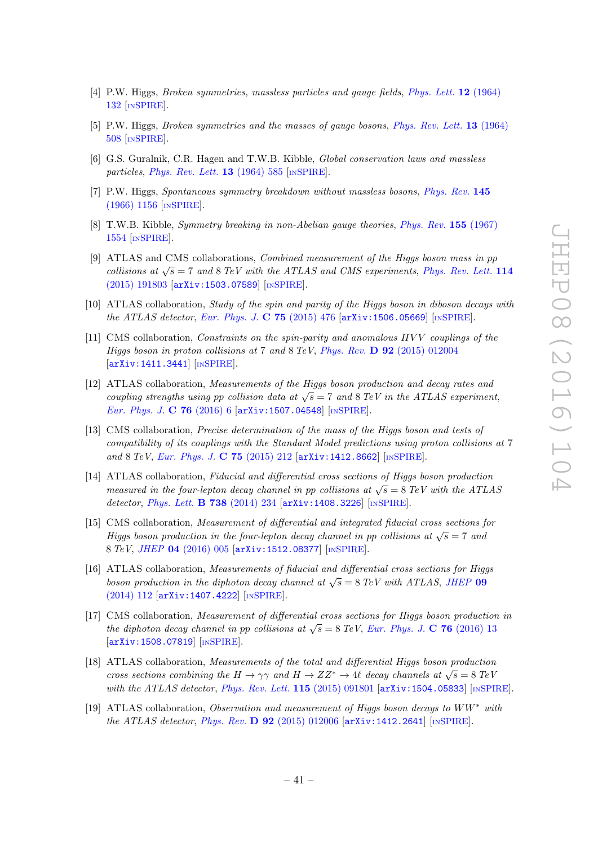- <span id="page-42-0"></span>[4] P.W. Higgs, *Broken symmetries, massless particles and gauge fields, [Phys. Lett.](http://dx.doi.org/10.1016/0031-9163(64)91136-9)* 12 (1964) [132](http://dx.doi.org/10.1016/0031-9163(64)91136-9) [IN[SPIRE](http://inspirehep.net/search?p=find+J+%22Phys.Lett.,12,132%22)].
- <span id="page-42-1"></span>[5] P.W. Higgs, *Broken symmetries and the masses of gauge bosons, [Phys. Rev. Lett.](http://dx.doi.org/10.1103/PhysRevLett.13.508)* **13** (1964) [508](http://dx.doi.org/10.1103/PhysRevLett.13.508) [IN[SPIRE](http://inspirehep.net/search?p=find+J+%22Phys.Rev.Lett.,13,508%22)].
- <span id="page-42-2"></span>[6] G.S. Guralnik, C.R. Hagen and T.W.B. Kibble, Global conservation laws and massless particles, *[Phys. Rev. Lett.](http://dx.doi.org/10.1103/PhysRevLett.13.585)* **13** (1964) 585 [IN[SPIRE](http://inspirehep.net/search?p=find+J+%22Phys.Rev.Lett.,13,585%22)].
- [7] P.W. Higgs, Spontaneous symmetry breakdown without massless bosons, [Phys. Rev.](http://dx.doi.org/10.1103/PhysRev.145.1156) 145 [\(1966\) 1156](http://dx.doi.org/10.1103/PhysRev.145.1156) [IN[SPIRE](http://inspirehep.net/search?p=find+J+%22Phys.Rev.,145,1156%22)].
- [8] T.W.B. Kibble, Symmetry breaking in non-Abelian gauge theories , [Phys. Rev.](http://dx.doi.org/10.1103/PhysRev.155.1554) 155 (1967) [1554](http://dx.doi.org/10.1103/PhysRev.155.1554) [IN[SPIRE](http://inspirehep.net/search?p=find+J+%22Phys.Rev.,155,1554%22)].
- <span id="page-42-3"></span>[9] ATLAS and CMS collaborations, Combined measurement of the Higgs boson mass in pp collisions at  $\sqrt{s} = 7$  and 8 TeV with the ATLAS and CMS experiments, [Phys. Rev. Lett.](http://dx.doi.org/10.1103/PhysRevLett.114.191803) 114 [\(2015\) 191803](http://dx.doi.org/10.1103/PhysRevLett.114.191803) [[arXiv:1503.07589](http://arxiv.org/abs/1503.07589)] [IN[SPIRE](http://inspirehep.net/search?p=find+EPRINT+arXiv:1503.07589)].
- <span id="page-42-4"></span>[10] ATLAS collaboration, Study of the spin and parity of the Higgs boson in diboson decays with the ATLAS detector, [Eur. Phys. J.](http://dx.doi.org/10.1140/epjc/s10052-015-3685-1) C 75 (2015) 476 [[arXiv:1506.05669](http://arxiv.org/abs/1506.05669)] [IN[SPIRE](http://inspirehep.net/search?p=find+EPRINT+arXiv:1506.05669)].
- <span id="page-42-6"></span><span id="page-42-5"></span>[11] CMS collaboration, *Constraints on the spin-parity and anomalous HVV couplings of the* Higgs boson in proton collisions at 7 and 8 TeV, Phys. Rev.  $\bf{D}$  92 [\(2015\) 012004](http://dx.doi.org/10.1103/PhysRevD.92.012004) [[arXiv:1411.3441](http://arxiv.org/abs/1411.3441)] [IN[SPIRE](http://inspirehep.net/search?p=find+EPRINT+arXiv:1411.3441)].
- <span id="page-42-7"></span>[12] ATLAS collaboration, Measurements of the Higgs boson production and decay rates and coupling strengths using pp collision data at  $\sqrt{s} = 7$  and 8 TeV in the ATLAS experiment, *[Eur. Phys. J.](http://dx.doi.org/10.1140/epjc/s10052-015-3769-y)* **C** 76 (2016) 6  $[\text{arXiv:1507.04548}]$  $[\text{arXiv:1507.04548}]$  $[\text{arXiv:1507.04548}]$   $[\text{insPIRE}]$ .
- <span id="page-42-9"></span><span id="page-42-8"></span>[13] CMS collaboration, Precise determination of the mass of the Higgs boson and tests of compatibility of its couplings with the Standard Model predictions using proton collisions at 7 and 8 TeV, [Eur. Phys. J.](http://dx.doi.org/10.1140/epjc/s10052-015-3351-7) C 75 (2015) 212 [[arXiv:1412.8662](http://arxiv.org/abs/1412.8662)] [IN[SPIRE](http://inspirehep.net/search?p=find+EPRINT+arXiv:1412.8662)].
- <span id="page-42-10"></span>[14] ATLAS collaboration, Fiducial and differential cross sections of Higgs boson production measured in the four-lepton decay channel in pp collisions at  $\sqrt{s} = 8 \text{ TeV}$  with the ATLAS detector, [Phys. Lett.](http://dx.doi.org/10.1016/j.physletb.2014.09.054) **B 738** (2014) 234 [[arXiv:1408.3226](http://arxiv.org/abs/1408.3226)] [IN[SPIRE](http://inspirehep.net/search?p=find+EPRINT+arXiv:1408.3226)].
- <span id="page-42-11"></span>[15] CMS collaboration, Measurement of differential and integrated fiducial cross sections for Higgs boson production in the four-lepton decay channel in pp collisions at  $\sqrt{s} = 7$  and  $8 \ TeV, \ JHEP \ {\bf 04} \ (2016) \ 005 \ [{\tt arXiv:1512.08377}] \ [ {\tt insPIRE}].$  $8 \ TeV, \ JHEP \ {\bf 04} \ (2016) \ 005 \ [{\tt arXiv:1512.08377}] \ [ {\tt insPIRE}].$  $8 \ TeV, \ JHEP \ {\bf 04} \ (2016) \ 005 \ [{\tt arXiv:1512.08377}] \ [ {\tt insPIRE}].$
- <span id="page-42-12"></span>[16] ATLAS collaboration, *Measurements of fiducial and differential cross sections for Higgs* boson production in the diphoton decay channel at  $\sqrt{s} = 8 \text{ TeV}$  with ATLAS, [JHEP](http://dx.doi.org/10.1007/JHEP09(2014)112) 09 [\(2014\) 112](http://dx.doi.org/10.1007/JHEP09(2014)112) [[arXiv:1407.4222](http://arxiv.org/abs/1407.4222)] [IN[SPIRE](http://inspirehep.net/search?p=find+EPRINT+arXiv:1407.4222)].
- <span id="page-42-14"></span><span id="page-42-13"></span>[17] CMS collaboration, Measurement of differential cross sections for Higgs boson production in the diphoton decay channel in pp collisions at  $\sqrt{s} = 8 \text{ TeV}$ , [Eur. Phys. J.](http://dx.doi.org/10.1140/epjc/s10052-015-3853-3) C 76 (2016) 13 [[arXiv:1508.07819](http://arxiv.org/abs/1508.07819)] [IN[SPIRE](http://inspirehep.net/search?p=find+EPRINT+arXiv:1508.07819)].
- <span id="page-42-15"></span>[18] ATLAS collaboration, Measurements of the total and differential Higgs boson production cross sections combining the  $H \to \gamma\gamma$  and  $H \to ZZ^* \to 4\ell$  decay channels at  $\sqrt{s} = 8 \text{ TeV}$ with the ATLAS detector, [Phys. Rev. Lett.](http://dx.doi.org/10.1103/PhysRevLett.115.091801) **115** (2015) 091801 [[arXiv:1504.05833](http://arxiv.org/abs/1504.05833)] [IN[SPIRE](http://inspirehep.net/search?p=find+EPRINT+arXiv:1504.05833)].
- <span id="page-42-16"></span>[19] ATLAS collaboration, Observation and measurement of Higgs boson decays to WW<sup>\*</sup> with the ATLAS detector, Phys. Rev. D  $92$  [\(2015\) 012006](http://dx.doi.org/10.1103/PhysRevD.92.012006) [[arXiv:1412.2641](http://arxiv.org/abs/1412.2641)] [IN[SPIRE](http://inspirehep.net/search?p=find+EPRINT+arXiv:1412.2641)].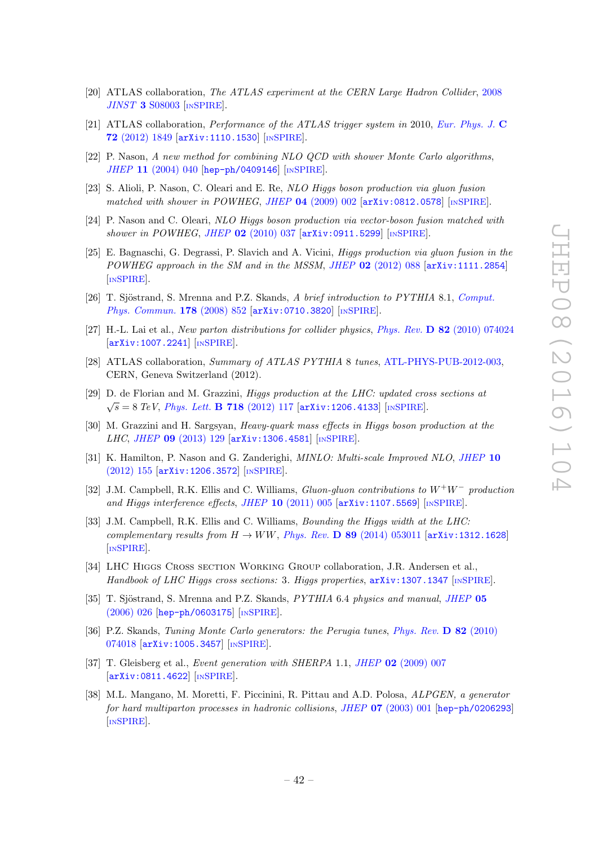- <span id="page-43-0"></span>[20] ATLAS collaboration, The ATLAS experiment at the CERN Large Hadron Collider, [2008](http://dx.doi.org/10.1088/1748-0221/3/08/S08003) JINST 3 [S08003](http://dx.doi.org/10.1088/1748-0221/3/08/S08003) [IN[SPIRE](http://inspirehep.net/search?p=find+J+%22JINST,3,S08003%22)].
- <span id="page-43-1"></span>[21] ATLAS collaboration, Performance of the ATLAS trigger system in 2010, [Eur. Phys. J.](http://dx.doi.org/10.1140/epjc/s10052-011-1849-1) C 72 [\(2012\) 1849](http://dx.doi.org/10.1140/epjc/s10052-011-1849-1) [[arXiv:1110.1530](http://arxiv.org/abs/1110.1530)] [IN[SPIRE](http://inspirehep.net/search?p=find+EPRINT+arXiv:1110.1530)].
- <span id="page-43-2"></span>[22] P. Nason, A new method for combining NLO QCD with shower Monte Carlo algorithms , JHEP 11 [\(2004\) 040](http://dx.doi.org/10.1088/1126-6708/2004/11/040) [[hep-ph/0409146](http://arxiv.org/abs/hep-ph/0409146)] [IN[SPIRE](http://inspirehep.net/search?p=find+EPRINT+hep-ph/0409146)].
- <span id="page-43-3"></span>[23] S. Alioli, P. Nason, C. Oleari and E. Re, NLO Higgs boson production via gluon fusion matched with shower in POWHEG, JHEP 04  $(2009)$  002  $[\text{arXiv:}0812.0578]$  [IN[SPIRE](http://inspirehep.net/search?p=find+EPRINT+arXiv:0812.0578)].
- <span id="page-43-4"></span>[24] P. Nason and C. Oleari, NLO Higgs boson production via vector-boson fusion matched with shower in POWHEG, JHEP 02 [\(2010\) 037](http://dx.doi.org/10.1007/JHEP02(2010)037) [[arXiv:0911.5299](http://arxiv.org/abs/0911.5299)] [IN[SPIRE](http://inspirehep.net/search?p=find+EPRINT+arXiv:0911.5299)].
- <span id="page-43-5"></span>[25] E. Bagnaschi, G. Degrassi, P. Slavich and A. Vicini, Higgs production via gluon fusion in the POWHEG approach in the SM and in the MSSM, JHEP  $\overline{O2}$  [\(2012\) 088](http://dx.doi.org/10.1007/JHEP02(2012)088) [[arXiv:1111.2854](http://arxiv.org/abs/1111.2854)] [IN[SPIRE](http://inspirehep.net/search?p=find+EPRINT+arXiv:1111.2854)].
- <span id="page-43-6"></span>[26] T. Sjöstrand, S. Mrenna and P.Z. Skands, A brief introduction to PYTHIA 8.1, [Comput.](http://dx.doi.org/10.1016/j.cpc.2008.01.036) [Phys. Commun.](http://dx.doi.org/10.1016/j.cpc.2008.01.036) 178 (2008) 852 [[arXiv:0710.3820](http://arxiv.org/abs/0710.3820)] [IN[SPIRE](http://inspirehep.net/search?p=find+EPRINT+arXiv:0710.3820)].
- <span id="page-43-7"></span>[27] H.-L. Lai et al., New parton distributions for collider physics, Phys. Rev. D 82 [\(2010\) 074024](http://dx.doi.org/10.1103/PhysRevD.82.074024) [[arXiv:1007.2241](http://arxiv.org/abs/1007.2241)] [IN[SPIRE](http://inspirehep.net/search?p=find+EPRINT+arXiv:1007.2241)].
- [28] ATLAS collaboration, Summary of ATLAS PYTHIA 8 tunes, [ATL-PHYS-PUB-2012-003](http://cds.cern.ch/record/1474107), CERN, Geneva Switzerland (2012).
- <span id="page-43-9"></span>[29] D. de Florian and M. Grazzini, *Higgs production at the LHC: updated cross sections at*  $\sqrt{s} = 8 \text{ TeV}$ , *[Phys. Lett.](http://dx.doi.org/10.1016/j.physletb.2012.10.019)* **B 718** (2012) 117 [[arXiv:1206.4133](http://arxiv.org/abs/1206.4133)] [IN[SPIRE](http://inspirehep.net/search?p=find+EPRINT+arXiv:1206.4133)].
- <span id="page-43-8"></span>[30] M. Grazzini and H. Sargsyan, Heavy-quark mass effects in Higgs boson production at the LHC, JHEP 09 [\(2013\) 129](http://dx.doi.org/10.1007/JHEP09(2013)129) [[arXiv:1306.4581](http://arxiv.org/abs/1306.4581)] [IN[SPIRE](http://inspirehep.net/search?p=find+EPRINT+arXiv:1306.4581)].
- <span id="page-43-10"></span>[31] K. Hamilton, P. Nason and G. Zanderighi, *MINLO: Multi-scale Improved NLO*, *[JHEP](http://dx.doi.org/10.1007/JHEP10(2012)155)* 10 [\(2012\) 155](http://dx.doi.org/10.1007/JHEP10(2012)155) [[arXiv:1206.3572](http://arxiv.org/abs/1206.3572)] [IN[SPIRE](http://inspirehep.net/search?p=find+EPRINT+arXiv:1206.3572)].
- [32] J.M. Campbell, R.K. Ellis and C. Williams, *Gluon-gluon contributions to*  $W^+W^-$  production and Higgs interference effects, JHEP 10 [\(2011\) 005](http://dx.doi.org/10.1007/JHEP10(2011)005) [[arXiv:1107.5569](http://arxiv.org/abs/1107.5569)] [IN[SPIRE](http://inspirehep.net/search?p=find+EPRINT+arXiv:1107.5569)].
- <span id="page-43-11"></span>[33] J.M. Campbell, R.K. Ellis and C. Williams, *Bounding the Higgs width at the LHC*: complementary results from  $H \to WW$ , Phys. Rev. **D 89** [\(2014\) 053011](http://dx.doi.org/10.1103/PhysRevD.89.053011) [[arXiv:1312.1628](http://arxiv.org/abs/1312.1628)] [IN[SPIRE](http://inspirehep.net/search?p=find+EPRINT+arXiv:1312.1628)].
- [34] LHC HIGGS CROSS SECTION WORKING GROUP collaboration, J.R. Andersen et al., Handbook of LHC Higgs cross sections: 3. Higgs properties,  $arXiv:1307.1347$  [IN[SPIRE](http://inspirehep.net/search?p=find+EPRINT+arXiv:1307.1347)].
- <span id="page-43-12"></span>[35] T. Sjöstrand, S. Mrenna and P.Z. Skands, PYTHIA 6.4 physics and manual, [JHEP](http://dx.doi.org/10.1088/1126-6708/2006/05/026) 05 [\(2006\) 026](http://dx.doi.org/10.1088/1126-6708/2006/05/026) [[hep-ph/0603175](http://arxiv.org/abs/hep-ph/0603175)] [IN[SPIRE](http://inspirehep.net/search?p=find+EPRINT+hep-ph/0603175)].
- <span id="page-43-13"></span>[36] P.Z. Skands, Tuning Monte Carlo generators: the Perugia tunes, [Phys. Rev.](http://dx.doi.org/10.1103/PhysRevD.82.074018) D 82 (2010) [074018](http://dx.doi.org/10.1103/PhysRevD.82.074018) [[arXiv:1005.3457](http://arxiv.org/abs/1005.3457)] [IN[SPIRE](http://inspirehep.net/search?p=find+EPRINT+arXiv:1005.3457)].
- <span id="page-43-14"></span>[37] T. Gleisberg et al., *Event generation with SHERPA* 1.1, *JHEP*  $02$  [\(2009\) 007](http://dx.doi.org/10.1088/1126-6708/2009/02/007) [[arXiv:0811.4622](http://arxiv.org/abs/0811.4622)] [IN[SPIRE](http://inspirehep.net/search?p=find+EPRINT+arXiv:0811.4622)].
- <span id="page-43-15"></span>[38] M.L. Mangano, M. Moretti, F. Piccinini, R. Pittau and A.D. Polosa, ALPGEN, a generator for hard multiparton processes in hadronic collisions, JHEP 07 [\(2003\) 001](http://dx.doi.org/10.1088/1126-6708/2003/07/001) [[hep-ph/0206293](http://arxiv.org/abs/hep-ph/0206293)] [IN[SPIRE](http://inspirehep.net/search?p=find+EPRINT+hep-ph/0206293)].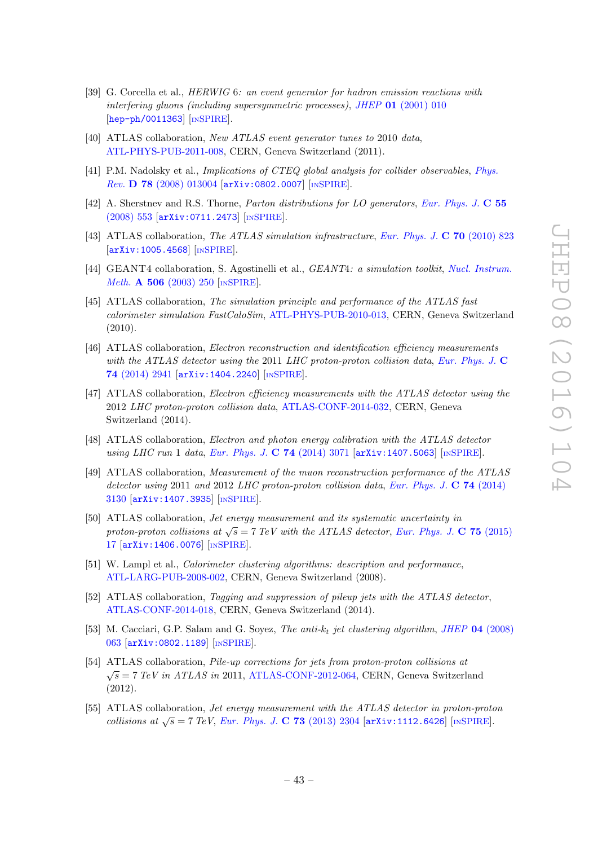- <span id="page-44-0"></span>[39] G. Corcella et al., HERWIG 6: an event generator for hadron emission reactions with interfering gluons (including supersymmetric processes), JHEP 01 [\(2001\) 010](http://dx.doi.org/10.1088/1126-6708/2001/01/010) [[hep-ph/0011363](http://arxiv.org/abs/hep-ph/0011363)] [IN[SPIRE](http://inspirehep.net/search?p=find+J+%22JHEP,0101,010%22)].
- <span id="page-44-1"></span>[40] ATLAS collaboration, New ATLAS event generator tunes to 2010 data, [ATL-PHYS-PUB-2011-008,](http://cds.cern.ch/record/1345343) CERN, Geneva Switzerland (2011).
- <span id="page-44-2"></span>[41] P.M. Nadolsky et al., *Implications of CTEQ global analysis for collider observables*, *[Phys.](http://dx.doi.org/10.1103/PhysRevD.78.013004)* Rev. D 78 [\(2008\) 013004](http://dx.doi.org/10.1103/PhysRevD.78.013004) [[arXiv:0802.0007](http://arxiv.org/abs/0802.0007)] [IN[SPIRE](http://inspirehep.net/search?p=find+EPRINT+arXiv:0802.0007)].
- <span id="page-44-3"></span>[42] A. Sherstnev and R.S. Thorne, *Parton distributions for LO generators*, *[Eur. Phys. J.](http://dx.doi.org/10.1140/epjc/s10052-008-0610-x)* C 55 [\(2008\) 553](http://dx.doi.org/10.1140/epjc/s10052-008-0610-x) [[arXiv:0711.2473](http://arxiv.org/abs/0711.2473)] [IN[SPIRE](http://inspirehep.net/search?p=find+EPRINT+arXiv:0711.2473)].
- <span id="page-44-4"></span>[43] ATLAS collaboration, The ATLAS simulation infrastructure, [Eur. Phys. J.](http://dx.doi.org/10.1140/epjc/s10052-010-1429-9) C 70 (2010) 823 [[arXiv:1005.4568](http://arxiv.org/abs/1005.4568)] [IN[SPIRE](http://inspirehep.net/search?p=find+EPRINT+arXiv:1005.4568)].
- <span id="page-44-5"></span>[44] GEANT4 collaboration, S. Agostinelli et al., *GEANT4: a simulation toolkit, [Nucl. Instrum.](http://dx.doi.org/10.1016/S0168-9002(03)01368-8)* Meth. **A 506** [\(2003\) 250](http://dx.doi.org/10.1016/S0168-9002(03)01368-8) [IN[SPIRE](http://inspirehep.net/search?p=find+J+%22Nucl.Instrum.Meth.,A506,250%22)].
- <span id="page-44-6"></span>[45] ATLAS collaboration, The simulation principle and performance of the ATLAS fast calorimeter simulation FastCaloSim , [ATL-PHYS-PUB-2010-013,](http://cds.cern.ch/record/1300517) CERN, Geneva Switzerland (2010).
- <span id="page-44-7"></span>[46] ATLAS collaboration, Electron reconstruction and identification efficiency measurements with the ATLAS detector using the 2011 LHC proton-proton collision data, [Eur. Phys. J.](http://dx.doi.org/10.1140/epjc/s10052-014-2941-0) C 74 [\(2014\) 2941](http://dx.doi.org/10.1140/epjc/s10052-014-2941-0) [[arXiv:1404.2240](http://arxiv.org/abs/1404.2240)] [IN[SPIRE](http://inspirehep.net/search?p=find+EPRINT+arXiv:1404.2240)].
- <span id="page-44-8"></span>[47] ATLAS collaboration, Electron efficiency measurements with the ATLAS detector using the 2012 LHC proton-proton collision data , [ATLAS-CONF-2014-032,](http://cds.cern.ch/record/1706245) CERN, Geneva Switzerland (2014).
- <span id="page-44-10"></span><span id="page-44-9"></span>[48] ATLAS collaboration, Electron and photon energy calibration with the ATLAS detector using LHC run 1 data, [Eur. Phys. J.](http://dx.doi.org/10.1140/epjc/s10052-014-3071-4) C 74 (2014) 3071 [[arXiv:1407.5063](http://arxiv.org/abs/1407.5063)] [IN[SPIRE](http://inspirehep.net/search?p=find+EPRINT+arXiv:1407.5063)].
- <span id="page-44-11"></span>[49] ATLAS collaboration, Measurement of the muon reconstruction performance of the ATLAS detector using 2011 and 2012 LHC proton-proton collision data, [Eur. Phys. J.](http://dx.doi.org/10.1140/epjc/s10052-014-3130-x)  $\bf{C}$  **74** (2014) [3130](http://dx.doi.org/10.1140/epjc/s10052-014-3130-x) [[arXiv:1407.3935](http://arxiv.org/abs/1407.3935)] [IN[SPIRE](http://inspirehep.net/search?p=find+EPRINT+arXiv:1407.3935)].
- <span id="page-44-12"></span>[50] ATLAS collaboration, Jet energy measurement and its systematic uncertainty in proton-proton collisions at  $\sqrt{s} = 7$  TeV with the ATLAS detector, [Eur. Phys. J.](http://dx.doi.org/10.1140/epjc/s10052-014-3190-y) C 75 (2015) [17](http://dx.doi.org/10.1140/epjc/s10052-014-3190-y) [[arXiv:1406.0076](http://arxiv.org/abs/1406.0076)] [IN[SPIRE](http://inspirehep.net/search?p=find+EPRINT+arXiv:1406.0076)].
- <span id="page-44-13"></span>[51] W. Lampl et al., *Calorimeter clustering algorithms: description and performance*, [ATL-LARG-PUB-2008-002,](http://cds.cern.ch/record/1099735) CERN, Geneva Switzerland (2008).
- <span id="page-44-14"></span>[52] ATLAS collaboration, Tagging and suppression of pileup jets with the ATLAS detector, [ATLAS-CONF-2014-018,](http://cds.cern.ch/record/1700870) CERN, Geneva Switzerland (2014).
- <span id="page-44-15"></span>[53] M. Cacciari, G.P. Salam and G. Soyez, The anti- $k_t$  jet clustering algorithm, JHEP 04 [\(2008\)](http://dx.doi.org/10.1088/1126-6708/2008/04/063) [063](http://dx.doi.org/10.1088/1126-6708/2008/04/063) [[arXiv:0802.1189](http://arxiv.org/abs/0802.1189)] [IN[SPIRE](http://inspirehep.net/search?p=find+EPRINT+arXiv:0802.1189)].
- <span id="page-44-16"></span>[54] ATLAS collaboration, *Pile-up corrections for jets from proton-proton collisions at*  $\sqrt{s} = 7 \text{ TeV}$  in ATLAS in 2011, [ATLAS-CONF-2012-064,](http://cds.cern.ch/record/1459529) CERN, Geneva Switzerland (2012).
- [55] ATLAS collaboration, *Jet energy measurement with the ATLAS detector in proton-proton* collisions at  $\sqrt{s} = 7 \text{ TeV}$ , [Eur. Phys. J.](http://dx.doi.org/10.1140/epjc/s10052-013-2304-2) C 73 (2013) 2304 [[arXiv:1112.6426](http://arxiv.org/abs/1112.6426)] [IN[SPIRE](http://inspirehep.net/search?p=find+EPRINT+arXiv:1112.6426)].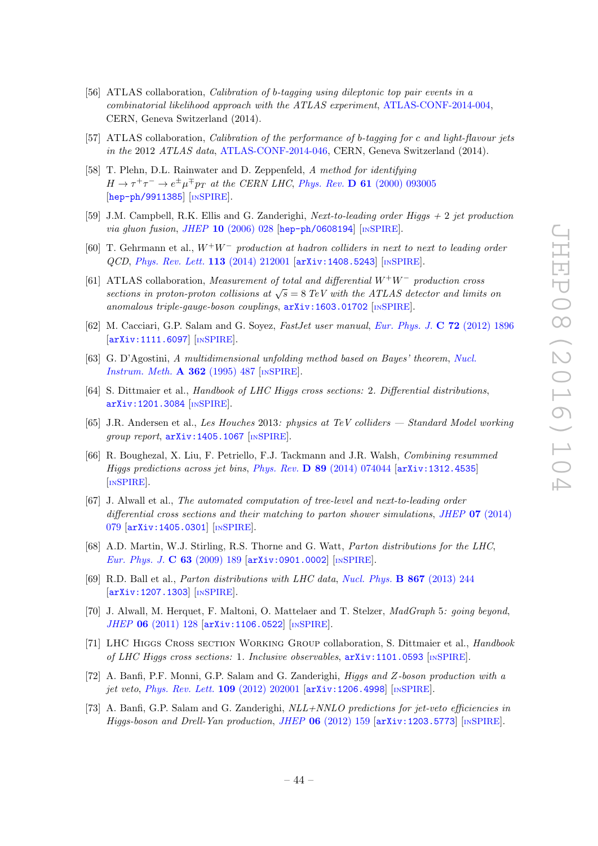- <span id="page-45-0"></span>[56] ATLAS collaboration, *Calibration of b-tagging using dileptonic top pair events in a* combinatorial likelihood approach with the ATLAS experiment , [ATLAS-CONF-2014-004](http://cds.cern.ch/record/1664335) , CERN, Geneva Switzerland (2014).
- <span id="page-45-2"></span><span id="page-45-1"></span>[57] ATLAS collaboration, *Calibration of the performance of b-tagging for c and light-flavour jets* in the 2012 ATLAS data, [ATLAS-CONF-2014-046,](http://cds.cern.ch/record/1741020) CERN, Geneva Switzerland (2014).
- <span id="page-45-3"></span>[58] T. Plehn, D.L. Rainwater and D. Zeppenfeld, A method for identifying  $H \rightarrow \tau^+\tau^- \rightarrow e^{\pm} \mu^{\mp} p_T$  at the CERN LHC, Phys. Rev. **D** 61 [\(2000\) 093005](http://dx.doi.org/10.1103/PhysRevD.61.093005) [[hep-ph/9911385](http://arxiv.org/abs/hep-ph/9911385)] [IN[SPIRE](http://inspirehep.net/search?p=find+EPRINT+hep-ph/9911385)].
- <span id="page-45-4"></span>[59] J.M. Campbell, R.K. Ellis and G. Zanderighi, *Next-to-leading order Higgs + 2 jet production* via gluon fusion, JHEP 10 [\(2006\) 028](http://dx.doi.org/10.1088/1126-6708/2006/10/028) [[hep-ph/0608194](http://arxiv.org/abs/hep-ph/0608194)] [IN[SPIRE](http://inspirehep.net/search?p=find+EPRINT+hep-ph/0608194)].
- <span id="page-45-5"></span>[60] T. Gehrmann et al.,  $W^+W^-$  production at hadron colliders in next to next to leading order QCD , [Phys. Rev. Lett.](http://dx.doi.org/10.1103/PhysRevLett.113.212001) 113 (2014) 212001 [[arXiv:1408.5243](http://arxiv.org/abs/1408.5243)] [IN[SPIRE](http://inspirehep.net/search?p=find+EPRINT+arXiv:1408.5243)].
- <span id="page-45-6"></span>[61] ATLAS collaboration, Measurement of total and differential  $W^+W^-$  production cross sections in proton-proton collisions at  $\sqrt{s} = 8 \text{ TeV}$  with the ATLAS detector and limits on anomalous triple-gauge-boson couplings , [arXiv:1603.01702](http://arxiv.org/abs/1603.01702) [IN[SPIRE](http://inspirehep.net/search?p=find+EPRINT+arXiv:1603.01702)].
- <span id="page-45-14"></span><span id="page-45-13"></span>[62] M. Cacciari, G.P. Salam and G. Soyez, *FastJet user manual, [Eur. Phys. J.](http://dx.doi.org/10.1140/epjc/s10052-012-1896-2)* C 72 (2012) 1896  $\left[$ [arXiv:1111.6097](http://arxiv.org/abs/1111.6097) $\right]$  $\left[$ IN[SPIRE](http://inspirehep.net/search?p=find+EPRINT+arXiv:1111.6097) $\right]$ .
- <span id="page-45-7"></span>[63] G. D'Agostini, A multidimensional unfolding method based on Bayes' theorem, [Nucl.](http://dx.doi.org/10.1016/0168-9002(95)00274-X) [Instrum. Meth.](http://dx.doi.org/10.1016/0168-9002(95)00274-X) **A 362** (1995) 487 [IN[SPIRE](http://inspirehep.net/search?p=find+J+%22Nucl.Instrum.Meth.,A362,487%22)].
- <span id="page-45-8"></span>[64] S. Dittmaier et al., *Handbook of LHC Higgs cross sections: 2. Differential distributions*, [arXiv:1201.3084](http://arxiv.org/abs/1201.3084) [IN[SPIRE](http://inspirehep.net/search?p=find+EPRINT+arXiv:1201.3084)].
- <span id="page-45-9"></span>[65] J.R. Andersen et al., Les Houches 2013: physics at TeV colliders — Standard Model working group report,  $arXiv:1405.1067$  [IN[SPIRE](http://inspirehep.net/search?p=find+EPRINT+arXiv:1405.1067)].
- <span id="page-45-10"></span>[66] R. Boughezal, X. Liu, F. Petriello, F.J. Tackmann and J.R. Walsh, Combining resummed Higgs predictions across jet bins, Phys. Rev.  $\bf{D}$  89 [\(2014\) 074044](http://dx.doi.org/10.1103/PhysRevD.89.074044) [[arXiv:1312.4535](http://arxiv.org/abs/1312.4535)] [IN[SPIRE](http://inspirehep.net/search?p=find+EPRINT+arXiv:1312.4535)].
- <span id="page-45-11"></span>[67] J. Alwall et al., The automated computation of tree-level and next-to-leading order differential cross sections and their matching to parton shower simulations, JHEP  $07$  [\(2014\)](http://dx.doi.org/10.1007/JHEP07(2014)079) [079](http://dx.doi.org/10.1007/JHEP07(2014)079) [[arXiv:1405.0301](http://arxiv.org/abs/1405.0301)] [IN[SPIRE](http://inspirehep.net/search?p=find+EPRINT+arXiv:1405.0301)].
- <span id="page-45-12"></span>[68] A.D. Martin, W.J. Stirling, R.S. Thorne and G. Watt, Parton distributions for the LHC, [Eur. Phys. J.](http://dx.doi.org/10.1140/epjc/s10052-009-1072-5) C 63 (2009) 189 [[arXiv:0901.0002](http://arxiv.org/abs/0901.0002)] [IN[SPIRE](http://inspirehep.net/search?p=find+EPRINT+arXiv:0901.0002)].
- <span id="page-45-15"></span>[69] R.D. Ball et al., *Parton distributions with LHC data, [Nucl. Phys.](http://dx.doi.org/10.1016/j.nuclphysb.2012.10.003)* **B 867** (2013) 244 [[arXiv:1207.1303](http://arxiv.org/abs/1207.1303)] [IN[SPIRE](http://inspirehep.net/search?p=find+EPRINT+arXiv:1207.1303)].
- [70] J. Alwall, M. Herquet, F. Maltoni, O. Mattelaer and T. Stelzer, *MadGraph 5: going beyond*, JHEP 06 [\(2011\) 128](http://dx.doi.org/10.1007/JHEP06(2011)128) [[arXiv:1106.0522](http://arxiv.org/abs/1106.0522)] [IN[SPIRE](http://inspirehep.net/search?p=find+EPRINT+arXiv:1106.0522)].
- [71] LHC Higgs Cross section Working Group collaboration, S. Dittmaier et al., Handbook of LHC Higgs cross sections: 1. Inclusive observables , [arXiv:1101.0593](http://arxiv.org/abs/1101.0593) [IN[SPIRE](http://inspirehep.net/search?p=find+EPRINT+arXiv:1101.0593)].
- [72] A. Banfi, P.F. Monni, G.P. Salam and G. Zanderighi, Higgs and Z-boson production with a jet veto, [Phys. Rev. Lett.](http://dx.doi.org/10.1103/PhysRevLett.109.202001) 109 (2012) 202001 [[arXiv:1206.4998](http://arxiv.org/abs/1206.4998)] [IN[SPIRE](http://inspirehep.net/search?p=find+EPRINT+arXiv:1206.4998)].
- [73] A. Banfi, G.P. Salam and G. Zanderighi,  $NLL+NNLO$  predictions for jet-veto efficiencies in Higgs-boson and Drell-Yan production, JHEP  $06$  [\(2012\) 159](http://dx.doi.org/10.1007/JHEP06(2012)159) [[arXiv:1203.5773](http://arxiv.org/abs/1203.5773)] [IN[SPIRE](http://inspirehep.net/search?p=find+EPRINT+arXiv:1203.5773)].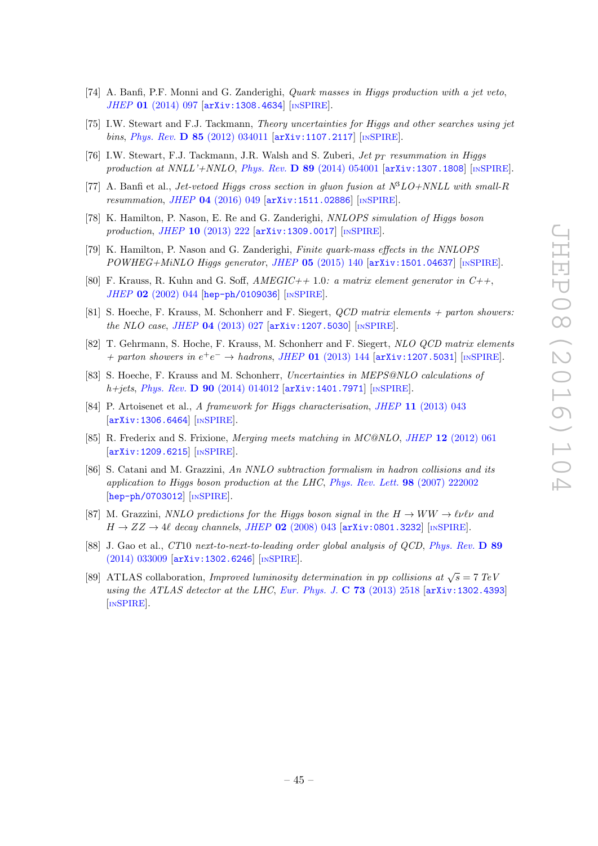- [74] A. Banfi, P.F. Monni and G. Zanderighi, *Quark masses in Higgs production with a jet veto*, JHEP 01 [\(2014\) 097](http://dx.doi.org/10.1007/JHEP01(2014)097) [[arXiv:1308.4634](http://arxiv.org/abs/1308.4634)] [IN[SPIRE](http://inspirehep.net/search?p=find+EPRINT+arXiv:1308.4634)].
- <span id="page-46-0"></span>[75] I.W. Stewart and F.J. Tackmann, Theory uncertainties for Higgs and other searches using jet bins, Phys. Rev. D 85 [\(2012\) 034011](http://dx.doi.org/10.1103/PhysRevD.85.034011) [[arXiv:1107.2117](http://arxiv.org/abs/1107.2117)] [IN[SPIRE](http://inspirehep.net/search?p=find+EPRINT+arXiv:1107.2117)].
- [76] I.W. Stewart, F.J. Tackmann, J.R. Walsh and S. Zuberi, *Jet*  $p_T$  *resummation in Higgs* production at NNLL'+NNLO, Phys. Rev. D 89 [\(2014\) 054001](http://dx.doi.org/10.1103/PhysRevD.89.054001)  $\left[\text{arXiv:1307}.1808\right]$  [IN[SPIRE](http://inspirehep.net/search?p=find+EPRINT+arXiv:1307.1808)].
- [77] A. Banfi et al., Jet-vetoed Higgs cross section in gluon fusion at  $N^3LO+NNLL$  with small-R resummation, JHEP 04 [\(2016\) 049](http://dx.doi.org/10.1007/JHEP04(2016)049) [[arXiv:1511.02886](http://arxiv.org/abs/1511.02886)] [IN[SPIRE](http://inspirehep.net/search?p=find+EPRINT+arXiv:1511.02886)].
- [78] K. Hamilton, P. Nason, E. Re and G. Zanderighi, NNLOPS simulation of Higgs boson production, JHEP 10 [\(2013\) 222](http://dx.doi.org/10.1007/JHEP10(2013)222) [[arXiv:1309.0017](http://arxiv.org/abs/1309.0017)] [IN[SPIRE](http://inspirehep.net/search?p=find+EPRINT+arXiv:1309.0017)].
- [79] K. Hamilton, P. Nason and G. Zanderighi, Finite quark-mass effects in the NNLOPS  $POWHEG+MiNLO Higgs\,\, generator, \,\, JHEP\,\, {\bf 05} \,\, (2015) \,\, 140 \,\, [{\rm arXiv:1501.04637} \,\, [{\rm nsPIRE}].$  $POWHEG+MiNLO Higgs\,\, generator, \,\, JHEP\,\, {\bf 05} \,\, (2015) \,\, 140 \,\, [{\rm arXiv:1501.04637} \,\, [{\rm nsPIRE}].$  $POWHEG+MiNLO Higgs\,\, generator, \,\, JHEP\,\, {\bf 05} \,\, (2015) \,\, 140 \,\, [{\rm arXiv:1501.04637} \,\, [{\rm nsPIRE}].$
- [80] F. Krauss, R. Kuhn and G. Soff,  $AMEGIC++1.0$ : a matrix element generator in  $C++,$ JHEP 02 [\(2002\) 044](http://dx.doi.org/10.1088/1126-6708/2002/02/044) [[hep-ph/0109036](http://arxiv.org/abs/hep-ph/0109036)] [IN[SPIRE](http://inspirehep.net/search?p=find+EPRINT+hep-ph/0109036)].
- [81] S. Hoeche, F. Krauss, M. Schonherr and F. Siegert, QCD matrix elements + parton showers: the NLO case, JHEP 04 [\(2013\) 027](http://dx.doi.org/10.1007/JHEP04(2013)027) [[arXiv:1207.5030](http://arxiv.org/abs/1207.5030)] [IN[SPIRE](http://inspirehep.net/search?p=find+EPRINT+arXiv:1207.5030)].
- [82] T. Gehrmann, S. Hoche, F. Krauss, M. Schonherr and F. Siegert, NLO QCD matrix elements + parton showers in  $e^+e^- \rightarrow$  hadrons, JHEP 01 [\(2013\) 144](http://dx.doi.org/10.1007/JHEP01(2013)144) [[arXiv:1207.5031](http://arxiv.org/abs/1207.5031)] [IN[SPIRE](http://inspirehep.net/search?p=find+EPRINT+arXiv:1207.5031)].
- [83] S. Hoeche, F. Krauss and M. Schonherr, Uncertainties in MEPS@NLO calculations of  $h+jets$ , Phys. Rev. **D** 90 [\(2014\) 014012](http://dx.doi.org/10.1103/PhysRevD.90.014012) [[arXiv:1401.7971](http://arxiv.org/abs/1401.7971)] [IN[SPIRE](http://inspirehep.net/search?p=find+EPRINT+arXiv:1401.7971)].
- [84] P. Artoisenet et al., A framework for Higgs characterisation, JHEP 11 [\(2013\) 043](http://dx.doi.org/10.1007/JHEP11(2013)043) [[arXiv:1306.6464](http://arxiv.org/abs/1306.6464)] [IN[SPIRE](http://inspirehep.net/search?p=find+EPRINT+arXiv:1306.6464)].
- [85] R. Frederix and S. Frixione, *Merging meets matching in MC@NLO*, *JHEP* 12 [\(2012\) 061](http://dx.doi.org/10.1007/JHEP12(2012)061) [[arXiv:1209.6215](http://arxiv.org/abs/1209.6215)] [IN[SPIRE](http://inspirehep.net/search?p=find+EPRINT+arXiv:1209.6215)].
- [86] S. Catani and M. Grazzini, An NNLO subtraction formalism in hadron collisions and its application to Higgs boson production at the LHC , [Phys. Rev. Lett.](http://dx.doi.org/10.1103/PhysRevLett.98.222002) 98 (2007) 222002 [[hep-ph/0703012](http://arxiv.org/abs/hep-ph/0703012)] [IN[SPIRE](http://inspirehep.net/search?p=find+EPRINT+hep-ph/0703012)].
- [87] M. Grazzini, *NNLO predictions for the Higgs boson signal in the H*  $\rightarrow$  *WW*  $\rightarrow$  *lvlv* and  $H \rightarrow ZZ \rightarrow 4\ell$  decay channels, JHEP 02 [\(2008\) 043](http://dx.doi.org/10.1088/1126-6708/2008/02/043) [[arXiv:0801.3232](http://arxiv.org/abs/0801.3232)] [IN[SPIRE](http://inspirehep.net/search?p=find+EPRINT+arXiv:0801.3232)].
- [88] J. Gao et al., CT10 next-to-next-to-leading order global analysis of QCD, [Phys. Rev.](http://dx.doi.org/10.1103/PhysRevD.89.033009) D 89 [\(2014\) 033009](http://dx.doi.org/10.1103/PhysRevD.89.033009) [[arXiv:1302.6246](http://arxiv.org/abs/1302.6246)] [IN[SPIRE](http://inspirehep.net/search?p=find+EPRINT+arXiv:1302.6246)].
- [89] ATLAS collaboration, *Improved luminosity determination in pp collisions at*  $\sqrt{s} = 7 \text{ TeV}$ using the ATLAS detector at the LHC, [Eur. Phys. J.](http://dx.doi.org/10.1140/epjc/s10052-013-2518-3)  $C$  73 (2013) 2518 [[arXiv:1302.4393](http://arxiv.org/abs/1302.4393)] [IN[SPIRE](http://inspirehep.net/search?p=find+EPRINT+arXiv:1302.4393)].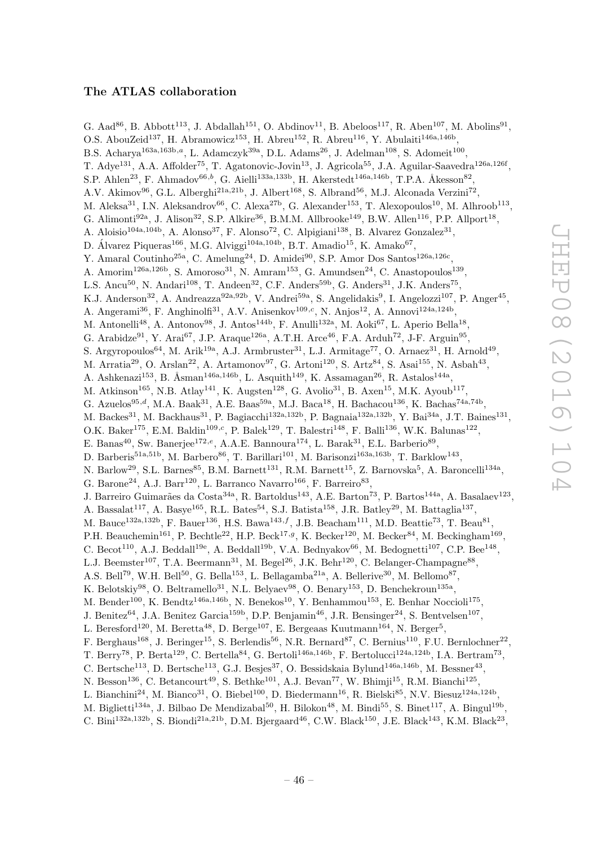## The ATLAS collaboration

G. Aad<sup>86</sup>, B. Abbott<sup>113</sup>, J. Abdallah<sup>151</sup>, O. Abdinov<sup>11</sup>, B. Abeloos<sup>117</sup>, R. Aben<sup>107</sup>, M. Abolins<sup>91</sup>, O.S. AbouZeid<sup>137</sup>, H. Abramowicz<sup>153</sup>, H. Abreu<sup>152</sup>, R. Abreu<sup>116</sup>, Y. Abulaiti<sup>146a,146b</sup>, B.S. Acharya<sup>163a,163b,a</sup>, L. Adamczyk<sup>39a</sup>, D.L. Adams<sup>26</sup>, J. Adelman<sup>108</sup>, S. Adomeit<sup>100</sup>, T. Adye<sup>131</sup>, A.A. Affolder<sup>75</sup>, T. Agatonovic-Jovin<sup>13</sup>, J. Agricola<sup>55</sup>, J.A. Aguilar-Saavedra<sup>126a,126f</sup>, S.P. Ahlen<sup>23</sup>, F. Ahmadov<sup>66,b</sup>, G. Aielli<sup>133a,133b</sup>, H. Akerstedt<sup>146a,146b</sup>, T.P.A. Åkesson<sup>82</sup>, A.V. Akimov<sup>96</sup>, G.L. Alberghi<sup>21a,21b</sup>, J. Albert<sup>168</sup>, S. Albrand<sup>56</sup>, M.J. Alconada Verzini<sup>72</sup>, M. Aleksa<sup>31</sup>, I.N. Aleksandrov<sup>66</sup>, C. Alexa<sup>27b</sup>, G. Alexander<sup>153</sup>, T. Alexopoulos<sup>10</sup>, M. Alhroob<sup>113</sup>, G. Alimonti<sup>92a</sup>, J. Alison<sup>32</sup>, S.P. Alkire<sup>36</sup>, B.M.M. Allbrooke<sup>149</sup>, B.W. Allen<sup>116</sup>, P.P. Allport<sup>18</sup>, A. Aloisio<sup>104a,104b</sup>, A. Alonso<sup>37</sup>, F. Alonso<sup>72</sup>, C. Alpigiani<sup>138</sup>, B. Alvarez Gonzalez<sup>31</sup>, D. Álvarez Piqueras<sup>166</sup>, M.G. Alviggi<sup>104a,104b</sup>, B.T. Amadio<sup>15</sup>, K. Amako<sup>67</sup>, Y. Amaral Coutinho<sup>25a</sup>, C. Amelung<sup>24</sup>, D. Amidei<sup>90</sup>, S.P. Amor Dos Santos<sup>126a,126c</sup>, A. Amorim<sup>126a,126b</sup>, S. Amoroso<sup>31</sup>, N. Amram<sup>153</sup>, G. Amundsen<sup>24</sup>, C. Anastopoulos<sup>139</sup>, L.S. Ancu<sup>50</sup>, N. Andari<sup>108</sup>, T. Andeen<sup>32</sup>, C.F. Anders<sup>59b</sup>, G. Anders<sup>31</sup>, J.K. Anders<sup>75</sup>, K.J. Anderson<sup>32</sup>, A. Andreazza<sup>92a,92b</sup>, V. Andrei<sup>59a</sup>, S. Angelidakis<sup>9</sup>, I. Angelozzi<sup>107</sup>, P. Anger<sup>45</sup>, A. Angerami<sup>36</sup>, F. Anghinolfi<sup>31</sup>, A.V. Anisenkov<sup>109,c</sup>, N. Anjos<sup>12</sup>, A. Annovi<sup>124a,124b</sup>, M. Antonelli<sup>48</sup>, A. Antonov<sup>98</sup>, J. Antos<sup>144b</sup>, F. Anulli<sup>132a</sup>, M. Aoki<sup>67</sup>, L. Aperio Bella<sup>18</sup>, G. Arabidze<sup>91</sup>, Y. Arai<sup>67</sup>, J.P. Araque<sup>126a</sup>, A.T.H. Arce<sup>46</sup>, F.A. Arduh<sup>72</sup>, J-F. Arguin<sup>95</sup>, S. Argyropoulos<sup>64</sup>, M. Arik<sup>19a</sup>, A.J. Armbruster<sup>31</sup>, L.J. Armitage<sup>77</sup>, O. Arnaez<sup>31</sup>, H. Arnold<sup>49</sup>, M. Arratia<sup>29</sup>, O. Arslan<sup>22</sup>, A. Artamonov<sup>97</sup>, G. Artoni<sup>120</sup>, S. Artz<sup>84</sup>, S. Asai<sup>155</sup>, N. Asbah<sup>43</sup>, A. Ashkenazi<sup>153</sup>, B. Åsman<sup>146a,146b</sup>, L. Asquith<sup>149</sup>, K. Assamagan<sup>26</sup>, R. Astalos<sup>144a</sup>, M. Atkinson<sup>165</sup>, N.B. Atlay<sup>141</sup>, K. Augsten<sup>128</sup>, G. Avolio<sup>31</sup>, B. Axen<sup>15</sup>, M.K. Ayoub<sup>117</sup>, G. Azuelos<sup>95,d</sup>, M.A. Baak<sup>31</sup>, A.E. Baas<sup>59a</sup>, M.J. Baca<sup>18</sup>, H. Bachacou<sup>136</sup>, K. Bachas<sup>74a,74b</sup>, M. Backes<sup>31</sup>, M. Backhaus<sup>31</sup>, P. Bagiacchi<sup>132a,132b</sup>, P. Bagnaia<sup>132a,132b</sup>, Y. Bai<sup>34a</sup>, J.T. Baines<sup>131</sup>, O.K. Baker<sup>175</sup>, E.M. Baldin<sup>109,c</sup>, P. Balek<sup>129</sup>, T. Balestri<sup>148</sup>, F. Balli<sup>136</sup>, W.K. Balunas<sup>122</sup>, E. Banas<sup>40</sup>, Sw. Banerjee<sup>172,e</sup>, A.A.E. Bannoura<sup>174</sup>, L. Barak<sup>31</sup>, E.L. Barberio<sup>89</sup>, D. Barberis<sup>51a,51b</sup>, M. Barbero<sup>86</sup>, T. Barillari<sup>101</sup>, M. Barisonzi<sup>163a,163b</sup>, T. Barklow<sup>143</sup>, N. Barlow<sup>29</sup>, S.L. Barnes<sup>85</sup>, B.M. Barnett<sup>131</sup>, R.M. Barnett<sup>15</sup>, Z. Barnovska<sup>5</sup>, A. Baroncelli<sup>134a</sup>, G. Barone<sup>24</sup>, A.J. Barr<sup>120</sup>, L. Barranco Navarro<sup>166</sup>, F. Barreiro<sup>83</sup>, J. Barreiro Guimarães da Costa<sup>34a</sup>, R. Bartoldus<sup>143</sup>, A.E. Barton<sup>73</sup>, P. Bartos<sup>144a</sup>, A. Basalaev<sup>123</sup>, A. Bassalat<sup>117</sup>, A. Basye<sup>165</sup>, R.L. Bates<sup>54</sup>, S.J. Batista<sup>158</sup>, J.R. Batley<sup>29</sup>, M. Battaglia<sup>137</sup>, M. Bauce<sup>132a,132b</sup>, F. Bauer<sup>136</sup>, H.S. Bawa<sup>143,f</sup>, J.B. Beacham<sup>111</sup>, M.D. Beattie<sup>73</sup>, T. Beau<sup>81</sup>, P.H. Beauchemin<sup>161</sup>, P. Bechtle<sup>22</sup>, H.P. Beck<sup>17,g</sup>, K. Becker<sup>120</sup>, M. Becker<sup>84</sup>, M. Beckingham<sup>169</sup>, C. Becot<sup>110</sup>, A.J. Beddall<sup>19e</sup>, A. Beddall<sup>19b</sup>, V.A. Bednyakov<sup>66</sup>, M. Bedognetti<sup>107</sup>, C.P. Bee<sup>148</sup>, L.J. Beemster<sup>107</sup>, T.A. Beermann<sup>31</sup>, M. Begel<sup>26</sup>, J.K. Behr<sup>120</sup>, C. Belanger-Champagne<sup>88</sup>, A.S. Bell<sup>79</sup>, W.H. Bell<sup>50</sup>, G. Bella<sup>153</sup>, L. Bellagamba<sup>21a</sup>, A. Bellerive<sup>30</sup>, M. Bellomo<sup>87</sup>, K. Belotskiy<sup>98</sup>, O. Beltramello<sup>31</sup>, N.L. Belyaev<sup>98</sup>, O. Benary<sup>153</sup>, D. Benchekroun<sup>135a</sup>, M. Bender<sup>100</sup>, K. Bendtz<sup>146a,146b</sup>, N. Benekos<sup>10</sup>, Y. Benhammou<sup>153</sup>, E. Benhar Noccioli<sup>175</sup>, J. Benitez<sup>64</sup>, J.A. Benitez Garcia<sup>159b</sup>, D.P. Benjamin<sup>46</sup>, J.R. Bensinger<sup>24</sup>, S. Bentvelsen<sup>107</sup>, L. Beresford<sup>120</sup>, M. Beretta<sup>48</sup>, D. Berge<sup>107</sup>, E. Bergeaas Kuutmann<sup>164</sup>, N. Berger<sup>5</sup>, F. Berghaus<sup>168</sup>, J. Beringer<sup>15</sup>, S. Berlendis<sup>56</sup>, N.R. Bernard<sup>87</sup>, C. Bernius<sup>110</sup>, F.U. Bernlochner<sup>22</sup>, T. Berry<sup>78</sup>, P. Berta<sup>129</sup>, C. Bertella<sup>84</sup>, G. Bertoli<sup>146a,146b</sup>, F. Bertolucci<sup>124a,124b</sup>, I.A. Bertram<sup>73</sup>, C. Bertsche<sup>113</sup>, D. Bertsche<sup>113</sup>, G.J. Besjes<sup>37</sup>, O. Bessidskaia Bylund<sup>146a,146b</sup>, M. Bessner<sup>43</sup>, N. Besson<sup>136</sup>, C. Betancourt<sup>49</sup>, S. Bethke<sup>101</sup>, A.J. Bevan<sup>77</sup>, W. Bhimji<sup>15</sup>, R.M. Bianchi<sup>125</sup>, L. Bianchini<sup>24</sup>, M. Bianco<sup>31</sup>, O. Biebel<sup>100</sup>, D. Biedermann<sup>16</sup>, R. Bielski<sup>85</sup>, N.V. Biesuz<sup>124a,124b</sup>, M. Biglietti<sup>134a</sup>, J. Bilbao De Mendizabal<sup>50</sup>, H. Bilokon<sup>48</sup>, M. Bindi<sup>55</sup>, S. Binet<sup>117</sup>, A. Bingul<sup>19b</sup>,

C. Bini<sup>132a,132b</sup>, S. Biondi<sup>21a,21b</sup>, D.M. Bjergaard<sup>46</sup>, C.W. Black<sup>150</sup>, J.E. Black<sup>143</sup>, K.M. Black<sup>23</sup>,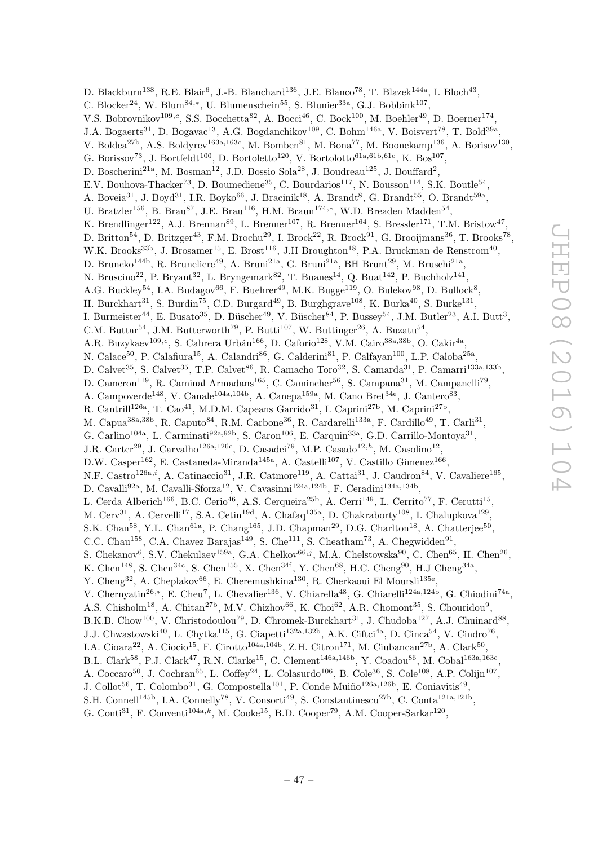D. Blackburn<sup>138</sup>, R.E. Blair<sup>6</sup>, J.-B. Blanchard<sup>136</sup>, J.E. Blanco<sup>78</sup>, T. Blazek<sup>144a</sup>, I. Bloch<sup>43</sup>, C. Blocker<sup>24</sup>, W. Blum<sup>84,\*</sup>, U. Blumenschein<sup>55</sup>, S. Blunier<sup>33a</sup>, G.J. Bobbink<sup>107</sup>, V.S. Bobrovnikov<sup>109,c</sup>, S.S. Bocchetta<sup>82</sup>, A. Bocci<sup>46</sup>, C. Bock<sup>100</sup>, M. Boehler<sup>49</sup>, D. Boerner<sup>174</sup>, J.A. Bogaerts<sup>31</sup>, D. Bogavac<sup>13</sup>, A.G. Bogdanchikov<sup>109</sup>, C. Bohm<sup>146a</sup>, V. Boisvert<sup>78</sup>, T. Bold<sup>39a</sup>, V. Boldea<sup>27b</sup>, A.S. Boldyrev<sup>163a,163c</sup>, M. Bomben<sup>81</sup>, M. Bona<sup>77</sup>, M. Boonekamp<sup>136</sup>, A. Borisov<sup>130</sup>, G. Borissov<sup>73</sup>, J. Bortfeldt<sup>100</sup>, D. Bortoletto<sup>120</sup>, V. Bortolotto<sup>61a,61b,61c</sup>, K. Bos<sup>107</sup>, D. Boscherini<sup>21a</sup>, M. Bosman<sup>12</sup>, J.D. Bossio Sola<sup>28</sup>, J. Boudreau<sup>125</sup>, J. Bouffard<sup>2</sup>, E.V. Bouhova-Thacker<sup>73</sup>, D. Boumediene<sup>35</sup>, C. Bourdarios<sup>117</sup>, N. Bousson<sup>114</sup>, S.K. Boutle<sup>54</sup>, A. Boveia<sup>31</sup>, J. Boyd<sup>31</sup>, I.R. Boyko<sup>66</sup>, J. Bracinik<sup>18</sup>, A. Brandt<sup>8</sup>, G. Brandt<sup>55</sup>, O. Brandt<sup>59a</sup>, U. Bratzler<sup>156</sup>, B. Brau<sup>87</sup>, J.E. Brau<sup>116</sup>, H.M. Braun<sup>174,\*</sup>, W.D. Breaden Madden<sup>54</sup>, K. Brendlinger<sup>122</sup>, A.J. Brennan<sup>89</sup>, L. Brenner<sup>107</sup>, R. Brenner<sup>164</sup>, S. Bressler<sup>171</sup>, T.M. Bristow<sup>47</sup>, D. Britton<sup>54</sup>, D. Britzger<sup>43</sup>, F.M. Brochu<sup>29</sup>, I. Brock<sup>22</sup>, R. Brock<sup>91</sup>, G. Brooijmans<sup>36</sup>, T. Brooks<sup>78</sup>, W.K. Brooks<sup>33b</sup>, J. Brosamer<sup>15</sup>, E. Brost<sup>116</sup>, J.H Broughton<sup>18</sup>, P.A. Bruckman de Renstrom<sup>40</sup>, D. Bruncko<sup>144b</sup>, R. Bruneliere<sup>49</sup>, A. Bruni<sup>21a</sup>, G. Bruni<sup>21a</sup>, BH Brunt<sup>29</sup>, M. Bruschi<sup>21a</sup>, N. Bruscino<sup>22</sup>, P. Bryant<sup>32</sup>, L. Bryngemark<sup>82</sup>, T. Buanes<sup>14</sup>, Q. Buat<sup>142</sup>, P. Buchholz<sup>141</sup>, A.G. Buckley<sup>54</sup>, I.A. Budagov<sup>66</sup>, F. Buehrer<sup>49</sup>, M.K. Bugge<sup>119</sup>, O. Bulekov<sup>98</sup>, D. Bullock<sup>8</sup>, H. Burckhart<sup>31</sup>, S. Burdin<sup>75</sup>, C.D. Burgard<sup>49</sup>, B. Burghgrave<sup>108</sup>, K. Burka<sup>40</sup>, S. Burke<sup>131</sup>, I. Burmeister<sup>44</sup>, E. Busato<sup>35</sup>, D. Büscher<sup>49</sup>, V. Büscher<sup>84</sup>, P. Bussey<sup>54</sup>, J.M. Butler<sup>23</sup>, A.I. Butt<sup>3</sup>, C.M. Buttar<sup>54</sup>, J.M. Butterworth<sup>79</sup>, P. Butti<sup>107</sup>, W. Buttinger<sup>26</sup>, A. Buzatu<sup>54</sup>, A.R. Buzykaev<sup>109,c</sup>, S. Cabrera Urbán<sup>166</sup>, D. Caforio<sup>128</sup>, V.M. Cairo<sup>38a,38b</sup>, O. Cakir<sup>4a</sup>, N. Calace<sup>50</sup>, P. Calafiura<sup>15</sup>, A. Calandri<sup>86</sup>, G. Calderini<sup>81</sup>, P. Calfayan<sup>100</sup>, L.P. Caloba<sup>25a</sup>, D. Calvet<sup>35</sup>, S. Calvet<sup>35</sup>, T.P. Calvet<sup>86</sup>, R. Camacho Toro<sup>32</sup>, S. Camarda<sup>31</sup>, P. Camarri<sup>133a,133b</sup>, D. Cameron<sup>119</sup>, R. Caminal Armadans<sup>165</sup>, C. Camincher<sup>56</sup>, S. Campana<sup>31</sup>, M. Campanelli<sup>79</sup>, A. Campoverde<sup>148</sup>, V. Canale<sup>104a, 104b</sup>, A. Canepa<sup>159a</sup>, M. Cano Bret<sup>34e</sup>, J. Cantero<sup>83</sup>, R. Cantrill<sup>126a</sup>, T. Cao<sup>41</sup>, M.D.M. Capeans Garrido<sup>31</sup>, I. Caprini<sup>27b</sup>, M. Caprini<sup>27b</sup>, M. Capua<sup>38a,38b</sup>, R. Caputo<sup>84</sup>, R.M. Carbone<sup>36</sup>, R. Cardarelli<sup>133a</sup>, F. Cardillo<sup>49</sup>, T. Carli<sup>31</sup>, G. Carlino<sup>104a</sup>, L. Carminati<sup>92a,92b</sup>, S. Caron<sup>106</sup>, E. Carquin<sup>33a</sup>, G.D. Carrillo-Montoya<sup>31</sup>, J.R. Carter<sup>29</sup>, J. Carvalho<sup>126a, 126c</sup>, D. Casadei<sup>79</sup>, M.P. Casado<sup>12,h</sup>, M. Casolino<sup>12</sup>, D.W. Casper<sup>162</sup>, E. Castaneda-Miranda<sup>145a</sup>, A. Castelli<sup>107</sup>, V. Castillo Gimenez<sup>166</sup>, N.F. Castro<sup>126a,i</sup>, A. Catinaccio<sup>31</sup>, J.R. Catmore<sup>119</sup>, A. Cattai<sup>31</sup>, J. Caudron<sup>84</sup>, V. Cavaliere<sup>165</sup>, D. Cavalli<sup>92a</sup>, M. Cavalli-Sforza<sup>12</sup>, V. Cavasinni<sup>124a,124b</sup>, F. Ceradini<sup>134a,134b</sup>, L. Cerda Alberich<sup>166</sup>, B.C. Cerio<sup>46</sup>, A.S. Cerqueira<sup>25b</sup>, A. Cerri<sup>149</sup>, L. Cerrito<sup>77</sup>, F. Cerutti<sup>15</sup>, M. Cerv<sup>31</sup>, A. Cervelli<sup>17</sup>, S.A. Cetin<sup>19d</sup>, A. Chafaq<sup>135a</sup>, D. Chakraborty<sup>108</sup>, I. Chalupkova<sup>129</sup>, S.K. Chan<sup>58</sup>, Y.L. Chan<sup>61a</sup>, P. Chang<sup>165</sup>, J.D. Chapman<sup>29</sup>, D.G. Charlton<sup>18</sup>, A. Chatterjee<sup>50</sup>, C.C. Chau<sup>158</sup>, C.A. Chavez Barajas<sup>149</sup>, S. Che<sup>111</sup>, S. Cheatham<sup>73</sup>, A. Chegwidden<sup>91</sup>, S. Chekanov<sup>6</sup>, S.V. Chekulaev<sup>159a</sup>, G.A. Chelkov<sup>66,j</sup>, M.A. Chelstowska<sup>90</sup>, C. Chen<sup>65</sup>, H. Chen<sup>26</sup>, K. Chen<sup>148</sup>, S. Chen<sup>34c</sup>, S. Chen<sup>155</sup>, X. Chen<sup>34f</sup>, Y. Chen<sup>68</sup>, H.C. Cheng<sup>90</sup>, H.J Cheng<sup>34a</sup>, Y. Cheng<sup>32</sup>, A. Cheplakov<sup>66</sup>, E. Cheremushkina<sup>130</sup>, R. Cherkaoui El Moursli<sup>135e</sup>, V. Chernyatin<sup>26,\*</sup>, E. Cheu<sup>7</sup>, L. Chevalier<sup>136</sup>, V. Chiarella<sup>48</sup>, G. Chiarelli<sup>124a,124b</sup>, G. Chiodini<sup>74a</sup>, A.S. Chisholm<sup>18</sup>, A. Chitan<sup>27b</sup>, M.V. Chizhov<sup>66</sup>, K. Choi<sup>62</sup>, A.R. Chomont<sup>35</sup>, S. Chouridou<sup>9</sup>, B.K.B. Chow<sup>100</sup>, V. Christodoulou<sup>79</sup>, D. Chromek-Burckhart<sup>31</sup>, J. Chudoba<sup>127</sup>, A.J. Chuinard<sup>88</sup>, J.J. Chwastowski<sup>40</sup>, L. Chytka<sup>115</sup>, G. Ciapetti<sup>132a,132b</sup>, A.K. Ciftci<sup>4a</sup>, D. Cinca<sup>54</sup>, V. Cindro<sup>76</sup>, I.A. Cioara<sup>22</sup>, A. Ciocio<sup>15</sup>, F. Cirotto<sup>104a,104b</sup>, Z.H. Citron<sup>171</sup>, M. Ciubancan<sup>27b</sup>, A. Clark<sup>50</sup>, B.L. Clark<sup>58</sup>, P.J. Clark<sup>47</sup>, R.N. Clarke<sup>15</sup>, C. Clement<sup>146a,146b</sup>, Y. Coadou<sup>86</sup>, M. Cobal<sup>163a,163c</sup>, A. Coccaro<sup>50</sup>, J. Cochran<sup>65</sup>, L. Coffey<sup>24</sup>, L. Colasurdo<sup>106</sup>, B. Cole<sup>36</sup>, S. Cole<sup>108</sup>, A.P. Colijn<sup>107</sup>, J. Collot<sup>56</sup>, T. Colombo<sup>31</sup>, G. Compostella<sup>101</sup>, P. Conde Muiño<sup>126a,126b</sup>, E. Coniavitis<sup>49</sup>,

S.H. Connell<sup>145b</sup>, I.A. Connelly<sup>78</sup>, V. Consorti<sup>49</sup>, S. Constantinescu<sup>27b</sup>, C. Conta<sup>121a,121b</sup>,

G. Conti<sup>31</sup>, F. Conventi<sup>104a,k</sup>, M. Cooke<sup>15</sup>, B.D. Cooper<sup>79</sup>, A.M. Cooper-Sarkar<sup>120</sup>,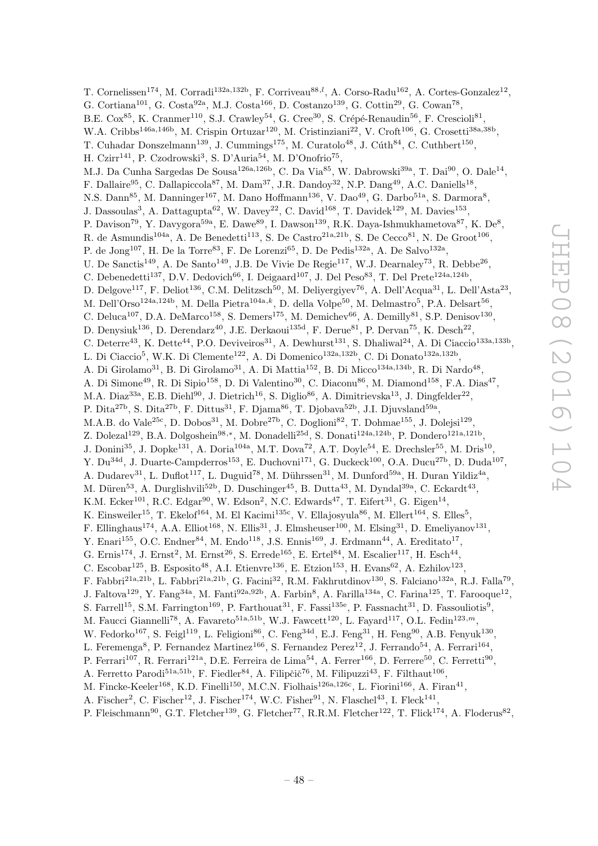T. Cornelissen<sup>174</sup>, M. Corradi<sup>132a,132b</sup>, F. Corriveau<sup>88,*l*</sup>, A. Corso-Radu<sup>162</sup>, A. Cortes-Gonzalez<sup>12</sup>, G. Cortiana<sup>101</sup>, G. Costa<sup>92a</sup>, M.J. Costa<sup>166</sup>, D. Costanzo<sup>139</sup>, G. Cottin<sup>29</sup>, G. Cowan<sup>78</sup>, B.E. Cox<sup>85</sup>, K. Cranmer<sup>110</sup>, S.J. Crawley<sup>54</sup>, G. Cree<sup>30</sup>, S. Crépé-Renaudin<sup>56</sup>, F. Crescioli<sup>81</sup>, W.A. Cribbs<sup>146a,146b</sup>, M. Crispin Ortuzar<sup>120</sup>, M. Cristinziani<sup>22</sup>, V. Croft<sup>106</sup>, G. Crosetti<sup>38a,38b</sup>, T. Cuhadar Donszelmann<sup>139</sup>, J. Cummings<sup>175</sup>, M. Curatolo<sup>48</sup>, J. Cúth<sup>84</sup>, C. Cuthbert<sup>150</sup>, H. Czirr<sup>141</sup>, P. Czodrowski<sup>3</sup>, S. D'Auria<sup>54</sup>, M. D'Onofrio<sup>75</sup>, M.J. Da Cunha Sargedas De Sousa<sup>126a,126b</sup>, C. Da Via<sup>85</sup>, W. Dabrowski<sup>39a</sup>, T. Dai<sup>90</sup>, O. Dale<sup>14</sup>, F. Dallaire<sup>95</sup>, C. Dallapiccola<sup>87</sup>, M. Dam<sup>37</sup>, J.R. Dandoy<sup>32</sup>, N.P. Dang<sup>49</sup>, A.C. Daniells<sup>18</sup>, N.S. Dann<sup>85</sup>, M. Danninger<sup>167</sup>, M. Dano Hoffmann<sup>136</sup>, V. Dao<sup>49</sup>, G. Darbo<sup>51a</sup>, S. Darmora<sup>8</sup>, J. Dassoulas<sup>3</sup>, A. Dattagupta<sup>62</sup>, W. Davey<sup>22</sup>, C. David<sup>168</sup>, T. Davidek<sup>129</sup>, M. Davies<sup>153</sup>, P. Davison<sup>79</sup>, Y. Davygora<sup>59a</sup>, E. Dawe<sup>89</sup>, I. Dawson<sup>139</sup>, R.K. Daya-Ishmukhametova<sup>87</sup>, K. De<sup>8</sup>, R. de Asmundis<sup>104a</sup>, A. De Benedetti<sup>113</sup>, S. De Castro<sup>21a, 21b</sup>, S. De Cecco<sup>81</sup>, N. De Groot<sup>106</sup>, P. de Jong<sup>107</sup>, H. De la Torre<sup>83</sup>, F. De Lorenzi<sup>65</sup>, D. De Pedis<sup>132a</sup>, A. De Salvo<sup>132a</sup>, U. De Sanctis<sup>149</sup>, A. De Santo<sup>149</sup>, J.B. De Vivie De Regie<sup>117</sup>, W.J. Dearnaley<sup>73</sup>, R. Debbe<sup>26</sup>, C. Debenedetti<sup>137</sup>, D.V. Dedovich<sup>66</sup>, I. Deigaard<sup>107</sup>, J. Del Peso<sup>83</sup>, T. Del Prete<sup>124a,124b</sup>, D. Delgove<sup>117</sup>, F. Deliot<sup>136</sup>, C.M. Delitzsch<sup>50</sup>, M. Deliyergiyev<sup>76</sup>, A. Dell'Acqua<sup>31</sup>, L. Dell'Asta<sup>23</sup>, M. Dell'Orso<sup>124a,124b</sup>, M. Della Pietra<sup>104a,k</sup>, D. della Volpe<sup>50</sup>, M. Delmastro<sup>5</sup>, P.A. Delsart<sup>56</sup>, C. Deluca<sup>107</sup>, D.A. DeMarco<sup>158</sup>, S. Demers<sup>175</sup>, M. Demichev<sup>66</sup>, A. Demilly<sup>81</sup>, S.P. Denisov<sup>130</sup>, D. Denysiuk<sup>136</sup>, D. Derendarz<sup>40</sup>, J.E. Derkaoui<sup>135d</sup>, F. Derue<sup>81</sup>, P. Dervan<sup>75</sup>, K. Desch<sup>22</sup>, C. Deterre<sup>43</sup>, K. Dette<sup>44</sup>, P.O. Deviveiros<sup>31</sup>, A. Dewhurst<sup>131</sup>, S. Dhaliwal<sup>24</sup>, A. Di Ciaccio<sup>133a,133b</sup>, L. Di Ciaccio<sup>5</sup>, W.K. Di Clemente<sup>122</sup>, A. Di Domenico<sup>132a,132b</sup>, C. Di Donato<sup>132a,132b</sup>, A. Di Girolamo<sup>31</sup>, B. Di Girolamo<sup>31</sup>, A. Di Mattia<sup>152</sup>, B. Di Micco<sup>134a,134b</sup>, R. Di Nardo<sup>48</sup>, A. Di Simone<sup>49</sup>, R. Di Sipio<sup>158</sup>, D. Di Valentino<sup>30</sup>, C. Diaconu<sup>86</sup>, M. Diamond<sup>158</sup>, F.A. Dias<sup>47</sup>, M.A. Diaz<sup>33a</sup>, E.B. Diehl<sup>90</sup>, J. Dietrich<sup>16</sup>, S. Diglio<sup>86</sup>, A. Dimitrievska<sup>13</sup>, J. Dingfelder<sup>22</sup>, P. Dita<sup>27b</sup>, S. Dita<sup>27b</sup>, F. Dittus<sup>31</sup>, F. Djama<sup>86</sup>, T. Djobava<sup>52b</sup>, J.I. Djuvsland<sup>59a</sup>, M.A.B. do Vale<sup>25c</sup>, D. Dobos<sup>31</sup>, M. Dobre<sup>27b</sup>, C. Doglioni<sup>82</sup>, T. Dohmae<sup>155</sup>, J. Dolejsi<sup>129</sup>, Z. Dolezal<sup>129</sup>, B.A. Dolgoshein<sup>98,\*</sup>, M. Donadelli<sup>25d</sup>, S. Donati<sup>124a,124b</sup>, P. Dondero<sup>121a,121b</sup>, J. Donini<sup>35</sup>, J. Dopke<sup>131</sup>, A. Doria<sup>104a</sup>, M.T. Dova<sup>72</sup>, A.T. Doyle<sup>54</sup>, E. Drechsler<sup>55</sup>, M. Dris<sup>10</sup>, Y. Du<sup>34d</sup>, J. Duarte-Campderros<sup>153</sup>, E. Duchovni<sup>171</sup>, G. Duckeck<sup>100</sup>, O.A. Ducu<sup>27b</sup>, D. Duda<sup>107</sup>, A. Dudarev<sup>31</sup>, L. Duflot<sup>117</sup>, L. Duguid<sup>78</sup>, M. Dührssen<sup>31</sup>, M. Dunford<sup>59a</sup>, H. Duran Yildiz<sup>4a</sup>, M. Düren<sup>53</sup>, A. Durglishvili<sup>52b</sup>, D. Duschinger<sup>45</sup>, B. Dutta<sup>43</sup>, M. Dyndal<sup>39a</sup>, C. Eckardt<sup>43</sup>, K.M. Ecker<sup>101</sup>, R.C. Edgar<sup>90</sup>, W. Edson<sup>2</sup>, N.C. Edwards<sup>47</sup>, T. Eifert<sup>31</sup>, G. Eigen<sup>14</sup>, K. Einsweiler<sup>15</sup>, T. Ekelof<sup>164</sup>, M. El Kacimi<sup>135c</sup>, V. Ellajosyula<sup>86</sup>, M. Ellert<sup>164</sup>, S. Elles<sup>5</sup>, F. Ellinghaus<sup>174</sup>, A.A. Elliot<sup>168</sup>, N. Ellis<sup>31</sup>, J. Elmsheuser<sup>100</sup>, M. Elsing<sup>31</sup>, D. Emeliyanov<sup>131</sup>, Y. Enari<sup>155</sup>, O.C. Endner<sup>84</sup>, M. Endo<sup>118</sup>, J.S. Ennis<sup>169</sup>, J. Erdmann<sup>44</sup>, A. Ereditato<sup>17</sup>, G. Ernis<sup>174</sup>, J. Ernst<sup>2</sup>, M. Ernst<sup>26</sup>, S. Errede<sup>165</sup>, E. Ertel<sup>84</sup>, M. Escalier<sup>117</sup>, H. Esch<sup>44</sup>, C. Escobar<sup>125</sup>, B. Esposito<sup>48</sup>, A.I. Etienvre<sup>136</sup>, E. Etzion<sup>153</sup>, H. Evans<sup>62</sup>, A. Ezhilov<sup>123</sup>, F. Fabbri<sup>21a,21b</sup>, L. Fabbri<sup>21a,21b</sup>, G. Facini<sup>32</sup>, R.M. Fakhrutdinov<sup>130</sup>, S. Falciano<sup>132a</sup>, R.J. Falla<sup>79</sup>, J. Faltova<sup>129</sup>, Y. Fang<sup>34a</sup>, M. Fanti<sup>92a,92b</sup>, A. Farbin<sup>8</sup>, A. Farilla<sup>134a</sup>, C. Farina<sup>125</sup>, T. Farooque<sup>12</sup>, S. Farrell<sup>15</sup>, S.M. Farrington<sup>169</sup>, P. Farthouat<sup>31</sup>, F. Fassi<sup>135e</sup>, P. Fassnacht<sup>31</sup>, D. Fassouliotis<sup>9</sup>, M. Faucci Giannelli<sup>78</sup>, A. Favareto<sup>51a,51b</sup>, W.J. Fawcett<sup>120</sup>, L. Fayard<sup>117</sup>, O.L. Fedin<sup>123,*m*</sup>, W. Fedorko<sup>167</sup>, S. Feigl<sup>119</sup>, L. Feligioni<sup>86</sup>, C. Feng<sup>34d</sup>, E.J. Feng<sup>31</sup>, H. Feng<sup>90</sup>, A.B. Fenyuk<sup>130</sup>, L. Feremenga<sup>8</sup>, P. Fernandez Martinez<sup>166</sup>, S. Fernandez Perez<sup>12</sup>, J. Ferrando<sup>54</sup>, A. Ferrari<sup>164</sup>, P. Ferrari<sup>107</sup>, R. Ferrari<sup>121a</sup>, D.E. Ferreira de Lima<sup>54</sup>, A. Ferrer<sup>166</sup>, D. Ferrere<sup>50</sup>, C. Ferretti<sup>90</sup>, A. Ferretto Parodi<sup>51a,51b</sup>, F. Fiedler<sup>84</sup>, A. Filipčič<sup>76</sup>, M. Filipuzzi<sup>43</sup>, F. Filthaut<sup>106</sup>, M. Fincke-Keeler<sup>168</sup>, K.D. Finelli<sup>150</sup>, M.C.N. Fiolhais<sup>126a,126c</sup>, L. Fiorini<sup>166</sup>, A. Firan<sup>41</sup>,

- A. Fischer<sup>2</sup>, C. Fischer<sup>12</sup>, J. Fischer<sup>174</sup>, W.C. Fisher<sup>91</sup>, N. Flaschel<sup>43</sup>, I. Fleck<sup>141</sup>,
- P. Fleischmann<sup>90</sup>, G.T. Fletcher<sup>139</sup>, G. Fletcher<sup>77</sup>, R.R.M. Fletcher<sup>122</sup>, T. Flick<sup>174</sup>, A. Floderus<sup>82</sup>,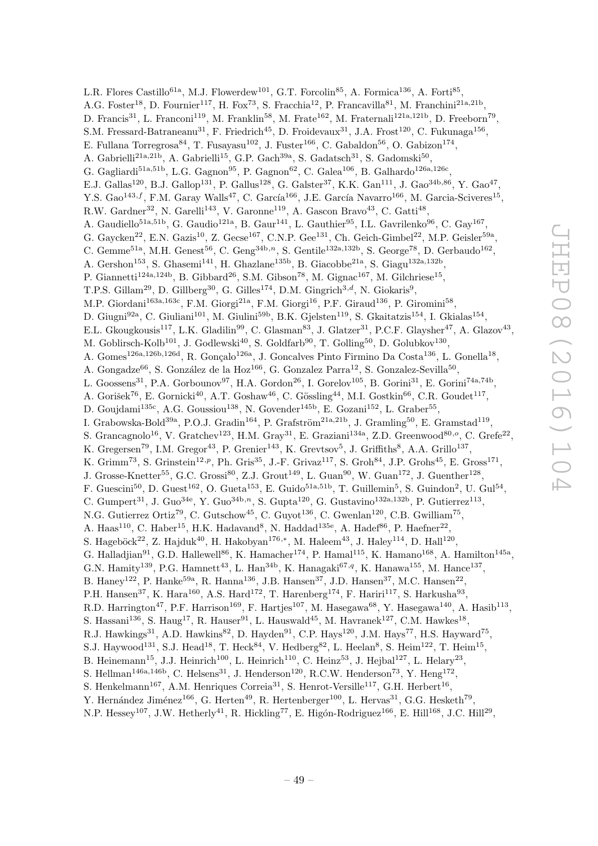L.R. Flores Castillo<sup>61a</sup>, M.J. Flowerdew<sup>101</sup>, G.T. Forcolin<sup>85</sup>, A. Formica<sup>136</sup>, A. Forti<sup>85</sup>, A.G. Foster<sup>18</sup>, D. Fournier<sup>117</sup>, H. Fox<sup>73</sup>, S. Fracchia<sup>12</sup>, P. Francavilla<sup>81</sup>, M. Franchini<sup>21a,21b</sup>, D. Francis<sup>31</sup>, L. Franconi<sup>119</sup>, M. Franklin<sup>58</sup>, M. Frate<sup>162</sup>, M. Fraternali<sup>121a,121b</sup>, D. Freeborn<sup>79</sup>, S.M. Fressard-Batraneanu<sup>31</sup>, F. Friedrich<sup>45</sup>, D. Froidevaux<sup>31</sup>, J.A. Frost<sup>120</sup>, C. Fukunaga<sup>156</sup>, E. Fullana Torregrosa<sup>84</sup>, T. Fusayasu<sup>102</sup>, J. Fuster<sup>166</sup>, C. Gabaldon<sup>56</sup>, O. Gabizon<sup>174</sup>, A. Gabrielli<sup>21a,21b</sup>, A. Gabrielli<sup>15</sup>, G.P. Gach<sup>39a</sup>, S. Gadatsch<sup>31</sup>, S. Gadomski<sup>50</sup>, G. Gagliardi<sup>51a,51b</sup>, L.G. Gagnon<sup>95</sup>, P. Gagnon<sup>62</sup>, C. Galea<sup>106</sup>, B. Galhardo<sup>126a,126c</sup>, E.J. Gallas<sup>120</sup>, B.J. Gallop<sup>131</sup>, P. Gallus<sup>128</sup>, G. Galster<sup>37</sup>, K.K. Gan<sup>111</sup>, J. Gao<sup>34b,86</sup>, Y. Gao<sup>47</sup>, Y.S. Gao $^{143,f}$ , F.M. Garay Walls<sup>47</sup>, C. García<sup>166</sup>, J.E. García Navarro<sup>166</sup>, M. Garcia-Sciveres<sup>15</sup>, R.W. Gardner<sup>32</sup>, N. Garelli<sup>143</sup>, V. Garonne<sup>119</sup>, A. Gascon Bravo<sup>43</sup>, C. Gatti<sup>48</sup>, A. Gaudiello<sup>51a,51b</sup>, G. Gaudio<sup>121a</sup>, B. Gaur<sup>141</sup>, L. Gauthier<sup>95</sup>, I.L. Gavrilenko<sup>96</sup>, C. Gay<sup>167</sup>, G. Gaycken<sup>22</sup>, E.N. Gazis<sup>10</sup>, Z. Gecse<sup>167</sup>, C.N.P. Gee<sup>131</sup>, Ch. Geich-Gimbel<sup>22</sup>, M.P. Geisler<sup>59a</sup>, C. Gemme<sup>51a</sup>, M.H. Genest<sup>56</sup>, C. Geng<sup>34b,n</sup>, S. Gentile<sup>132a,132b</sup>, S. George<sup>78</sup>, D. Gerbaudo<sup>162</sup>, A. Gershon<sup>153</sup>, S. Ghasemi<sup>141</sup>, H. Ghazlane<sup>135b</sup>, B. Giacobbe<sup>21a</sup>, S. Giagu<sup>132a,132b</sup>, P. Giannetti<sup>124a,124b</sup>, B. Gibbard<sup>26</sup>, S.M. Gibson<sup>78</sup>, M. Gignac<sup>167</sup>, M. Gilchriese<sup>15</sup>, T.P.S. Gillam<sup>29</sup>, D. Gillberg<sup>30</sup>, G. Gilles<sup>174</sup>, D.M. Gingrich<sup>3,d</sup>, N. Giokaris<sup>9</sup>, M.P. Giordani<sup>163a,163c</sup>, F.M. Giorgi<sup>21a</sup>, F.M. Giorgi<sup>16</sup>, P.F. Giraud<sup>136</sup>, P. Giromini<sup>58</sup>, D. Giugni<sup>92a</sup>, C. Giuliani<sup>101</sup>, M. Giulini<sup>59b</sup>, B.K. Gjelsten<sup>119</sup>, S. Gkaitatzis<sup>154</sup>, I. Gkialas<sup>154</sup>, E.L. Gkougkousis<sup>117</sup>, L.K. Gladilin<sup>99</sup>, C. Glasman<sup>83</sup>, J. Glatzer<sup>31</sup>, P.C.F. Glaysher<sup>47</sup>, A. Glazov<sup>43</sup>, M. Goblirsch-Kolb<sup>101</sup>, J. Godlewski<sup>40</sup>, S. Goldfarb<sup>90</sup>, T. Golling<sup>50</sup>, D. Golubkov<sup>130</sup>, A. Gomes<sup>126a,126b,126d</sup>, R. Gonçalo<sup>126a</sup>, J. Goncalves Pinto Firmino Da Costa<sup>136</sup>, L. Gonella<sup>18</sup>, A. Gongadze $^{66}$ , S. González de la Hoz<sup>166</sup>, G. Gonzalez Parra<sup>12</sup>, S. Gonzalez-Sevilla<sup>50</sup>, L. Goossens<sup>31</sup>, P.A. Gorbounov<sup>97</sup>, H.A. Gordon<sup>26</sup>, I. Gorelov<sup>105</sup>, B. Gorini<sup>31</sup>, E. Gorini<sup>74a,74b</sup>, A. Gorišek<sup>76</sup>, E. Gornicki<sup>40</sup>, A.T. Goshaw<sup>46</sup>, C. Gössling<sup>44</sup>, M.I. Gostkin<sup>66</sup>, C.R. Goudet<sup>117</sup>, D. Goujdami<sup>135c</sup>, A.G. Goussiou<sup>138</sup>, N. Govender<sup>145b</sup>, E. Gozani<sup>152</sup>, L. Graber<sup>55</sup>, I. Grabowska-Bold<sup>39a</sup>, P.O.J. Gradin<sup>164</sup>, P. Grafström<sup>21a,21b</sup>, J. Gramling<sup>50</sup>, E. Gramstad<sup>119</sup>, S. Grancagnolo<sup>16</sup>, V. Gratchev<sup>123</sup>, H.M. Gray<sup>31</sup>, E. Graziani<sup>134a</sup>, Z.D. Greenwood<sup>80,o</sup>, C. Grefe<sup>22</sup>, K. Gregersen<sup>79</sup>, I.M. Gregor<sup>43</sup>, P. Grenier<sup>143</sup>, K. Grevtsov<sup>5</sup>, J. Griffiths<sup>8</sup>, A.A. Grillo<sup>137</sup>, K. Grimm<sup>73</sup>, S. Grinstein<sup>12,p</sup>, Ph. Gris<sup>35</sup>, J.-F. Grivaz<sup>117</sup>, S. Groh<sup>84</sup>, J.P. Grohs<sup>45</sup>, E. Gross<sup>171</sup>, J. Grosse-Knetter<sup>55</sup>, G.C. Grossi<sup>80</sup>, Z.J. Grout<sup>149</sup>, L. Guan<sup>90</sup>, W. Guan<sup>172</sup>, J. Guenther<sup>128</sup>, F. Guescini<sup>50</sup>, D. Guest<sup>162</sup>, O. Gueta<sup>153</sup>, E. Guido<sup>51a,51b</sup>, T. Guillemin<sup>5</sup>, S. Guindon<sup>2</sup>, U. Gul<sup>54</sup>, C. Gumpert<sup>31</sup>, J. Guo<sup>34e</sup>, Y. Guo<sup>34b,n</sup>, S. Gupta<sup>120</sup>, G. Gustavino<sup>132a,132b</sup>, P. Gutierrez<sup>113</sup>, N.G. Gutierrez Ortiz<sup>79</sup>, C. Gutschow<sup>45</sup>, C. Guyot<sup>136</sup>, C. Gwenlan<sup>120</sup>, C.B. Gwilliam<sup>75</sup>, A. Haas<sup>110</sup>, C. Haber<sup>15</sup>, H.K. Hadavand<sup>8</sup>, N. Haddad<sup>135e</sup>, A. Hadef<sup>86</sup>, P. Haefner<sup>22</sup>, S. Hageböck<sup>22</sup>, Z. Hajduk<sup>40</sup>, H. Hakobyan<sup>176,\*</sup>, M. Haleem<sup>43</sup>, J. Haley<sup>114</sup>, D. Hall<sup>120</sup>, G. Halladjian<sup>91</sup>, G.D. Hallewell<sup>86</sup>, K. Hamacher<sup>174</sup>, P. Hamal<sup>115</sup>, K. Hamano<sup>168</sup>, A. Hamilton<sup>145a</sup>, G.N. Hamity<sup>139</sup>, P.G. Hamnett<sup>43</sup>, L. Han<sup>34b</sup>, K. Hanagaki<sup>67,q</sup>, K. Hanawa<sup>155</sup>, M. Hance<sup>137</sup>, B. Haney<sup>122</sup>, P. Hanke<sup>59a</sup>, R. Hanna<sup>136</sup>, J.B. Hansen<sup>37</sup>, J.D. Hansen<sup>37</sup>, M.C. Hansen<sup>22</sup>, P.H. Hansen<sup>37</sup>, K. Hara<sup>160</sup>, A.S. Hard<sup>172</sup>, T. Harenberg<sup>174</sup>, F. Hariri<sup>117</sup>, S. Harkusha<sup>93</sup>, R.D. Harrington<sup>47</sup>, P.F. Harrison<sup>169</sup>, F. Hartjes<sup>107</sup>, M. Hasegawa<sup>68</sup>, Y. Hasegawa<sup>140</sup>, A. Hasib<sup>113</sup>, S. Hassani<sup>136</sup>, S. Haug<sup>17</sup>, R. Hauser<sup>91</sup>, L. Hauswald<sup>45</sup>, M. Havranek<sup>127</sup>, C.M. Hawkes<sup>18</sup>, R.J. Hawkings<sup>31</sup>, A.D. Hawkins<sup>82</sup>, D. Hayden<sup>91</sup>, C.P. Hays<sup>120</sup>, J.M. Hays<sup>77</sup>, H.S. Hayward<sup>75</sup>, S.J. Haywood<sup>131</sup>, S.J. Head<sup>18</sup>, T. Heck<sup>84</sup>, V. Hedberg<sup>82</sup>, L. Heelan<sup>8</sup>, S. Heim<sup>122</sup>, T. Heim<sup>15</sup>, B. Heinemann<sup>15</sup>, J.J. Heinrich<sup>100</sup>, L. Heinrich<sup>110</sup>, C. Heinz<sup>53</sup>, J. Hejbal<sup>127</sup>, L. Helary<sup>23</sup>, S. Hellman<sup>146a,146b</sup>, C. Helsens<sup>31</sup>, J. Henderson<sup>120</sup>, R.C.W. Henderson<sup>73</sup>, Y. Heng<sup>172</sup>, S. Henkelmann<sup>167</sup>, A.M. Henriques Correia<sup>31</sup>, S. Henrot-Versille<sup>117</sup>, G.H. Herbert<sup>16</sup>,

- Y. Hernández Jiménez<sup>166</sup>, G. Herten<sup>49</sup>, R. Hertenberger<sup>100</sup>, L. Hervas<sup>31</sup>, G.G. Hesketh<sup>79</sup>,
- N.P. Hessey<sup>107</sup>, J.W. Hetherly<sup>41</sup>, R. Hickling<sup>77</sup>, E. Higón-Rodriguez<sup>166</sup>, E. Hill<sup>168</sup>, J.C. Hill<sup>29</sup>,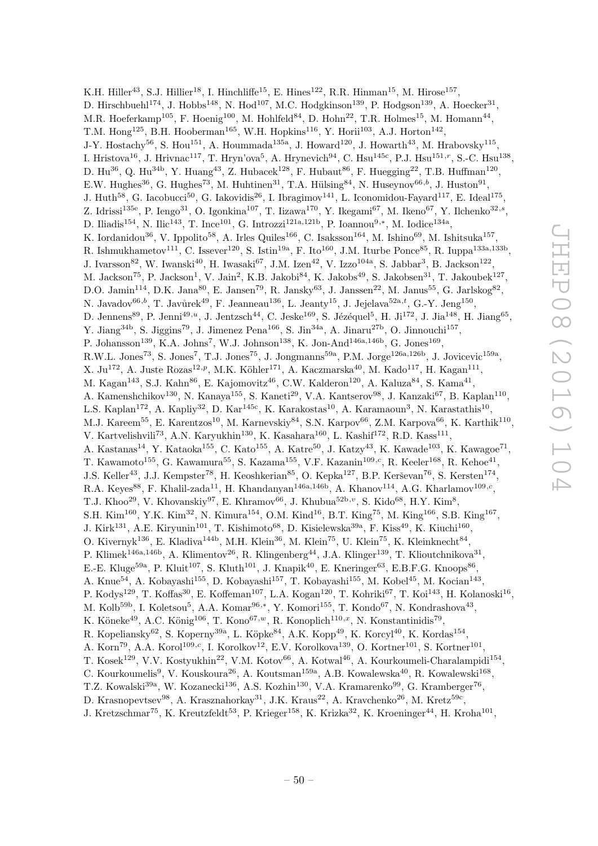K.H. Hiller<sup>43</sup>, S.J. Hillier<sup>18</sup>, I. Hinchliffe<sup>15</sup>, E. Hines<sup>122</sup>, R.R. Hinman<sup>15</sup>, M. Hirose<sup>157</sup>, D. Hirschbuehl<sup>174</sup>, J. Hobbs<sup>148</sup>, N. Hod<sup>107</sup>, M.C. Hodgkinson<sup>139</sup>, P. Hodgson<sup>139</sup>, A. Hoecker<sup>31</sup>, M.R. Hoeferkamp<sup>105</sup>, F. Hoenig<sup>100</sup>, M. Hohlfeld<sup>84</sup>, D. Hohn<sup>22</sup>, T.R. Holmes<sup>15</sup>, M. Homann<sup>44</sup>, T.M. Hong<sup>125</sup>, B.H. Hooberman<sup>165</sup>, W.H. Hopkins<sup>116</sup>, Y. Horii<sup>103</sup>, A.J. Horton<sup>142</sup>, J-Y. Hostachy<sup>56</sup>, S. Hou<sup>151</sup>, A. Hoummada<sup>135a</sup>, J. Howard<sup>120</sup>, J. Howarth<sup>43</sup>, M. Hrabovsky<sup>115</sup>, I. Hristova<sup>16</sup>, J. Hrivnac<sup>117</sup>, T. Hryn'ova<sup>5</sup>, A. Hrynevich<sup>94</sup>, C. Hsu<sup>145c</sup>, P.J. Hsu<sup>151,</sup>r, S.-C. Hsu<sup>138</sup>, D. Hu<sup>36</sup>, Q. Hu<sup>34b</sup>, Y. Huang<sup>43</sup>, Z. Hubacek<sup>128</sup>, F. Hubaut<sup>86</sup>, F. Huegging<sup>22</sup>, T.B. Huffman<sup>120</sup>, E.W. Hughes<sup>36</sup>, G. Hughes<sup>73</sup>, M. Huhtinen<sup>31</sup>, T.A. Hülsing<sup>84</sup>, N. Huseynov<sup>66,b</sup>, J. Huston<sup>91</sup>, J. Huth<sup>58</sup>, G. Iacobucci<sup>50</sup>, G. Iakovidis<sup>26</sup>, I. Ibragimov<sup>141</sup>, L. Iconomidou-Fayard<sup>117</sup>, E. Ideal<sup>175</sup>, Z. Idrissi<sup>135e</sup>, P. Iengo<sup>31</sup>, O. Igonkina<sup>107</sup>, T. Iizawa<sup>170</sup>, Y. Ikegami<sup>67</sup>, M. Ikeno<sup>67</sup>, Y. Ilchenko<sup>32,s</sup>, D. Iliadis<sup>154</sup>, N. Ilic<sup>143</sup>, T. Ince<sup>101</sup>, G. Introzzi<sup>121a,121b</sup>, P. Ioannou<sup>9,\*</sup>, M. Iodice<sup>134a</sup>, K. Iordanidou<sup>36</sup>, V. Ippolito<sup>58</sup>, A. Irles Quiles<sup>166</sup>, C. Isaksson<sup>164</sup>, M. Ishino<sup>69</sup>, M. Ishitsuka<sup>157</sup>, R. Ishmukhametov<sup>111</sup>, C. Issever<sup>120</sup>, S. Istin<sup>19a</sup>, F. Ito<sup>160</sup>, J.M. Iturbe Ponce<sup>85</sup>, R. Iuppa<sup>133a,133b</sup>, J. Ivarsson $^{82}$ , W. Iwanski $^{40}$ , H. Iwasaki $^{67}$ , J.M. Izen $^{42}$ , V. Izzo<sup>104a</sup>, S. Jabbar<sup>3</sup>, B. Jackson $^{122}$ , M. Jackson<sup>75</sup>, P. Jackson<sup>1</sup>, V. Jain<sup>2</sup>, K.B. Jakobi<sup>84</sup>, K. Jakobs<sup>49</sup>, S. Jakobsen<sup>31</sup>, T. Jakoubek<sup>127</sup>, D.O. Jamin<sup>114</sup>, D.K. Jana<sup>80</sup>, E. Jansen<sup>79</sup>, R. Jansky<sup>63</sup>, J. Janssen<sup>22</sup>, M. Janus<sup>55</sup>, G. Jarlskog<sup>82</sup>, N. Javadov $^{66,b}$ , T. Javůrek $^{49}$ , F. Jeanneau $^{136}$ , L. Jeanty $^{15}$ , J. Jejelava $^{52a,t}$ , G.-Y. Jeng $^{150}$ , D. Jennens<sup>89</sup>, P. Jenni<sup>49,u</sup>, J. Jentzsch<sup>44</sup>, C. Jeske<sup>169</sup>, S. Jézéquel<sup>5</sup>, H. Ji<sup>172</sup>, J. Jia<sup>148</sup>, H. Jiang<sup>65</sup>, Y. Jiang<sup>34b</sup>, S. Jiggins<sup>79</sup>, J. Jimenez Pena<sup>166</sup>, S. Jin<sup>34a</sup>, A. Jinaru<sup>27b</sup>, O. Jinnouchi<sup>157</sup>, P. Johansson<sup>139</sup>, K.A. Johns<sup>7</sup>, W.J. Johnson<sup>138</sup>, K. Jon-And<sup>146a,146b</sup>, G. Jones<sup>169</sup>, R.W.L. Jones<sup>73</sup>, S. Jones<sup>7</sup>, T.J. Jones<sup>75</sup>, J. Jongmanns<sup>59a</sup>, P.M. Jorge<sup>126a,126b</sup>, J. Jovicevic<sup>159a</sup>, X. Ju<sup>172</sup>, A. Juste Rozas<sup>12,p</sup>, M.K. Köhler<sup>171</sup>, A. Kaczmarska<sup>40</sup>, M. Kado<sup>117</sup>, H. Kagan<sup>111</sup>, M. Kagan $^{143}$ , S.J. Kahn $^{86}$ , E. Kajomovitz $^{46}$ , C.W. Kalderon $^{120}$ , A. Kaluza $^{84}$ , S. Kama $^{41}$ , A. Kamenshchikov<sup>130</sup>, N. Kanaya<sup>155</sup>, S. Kaneti<sup>29</sup>, V.A. Kantserov<sup>98</sup>, J. Kanzaki<sup>67</sup>, B. Kaplan<sup>110</sup>, L.S. Kaplan<sup>172</sup>, A. Kapliy<sup>32</sup>, D. Kar<sup>145c</sup>, K. Karakostas<sup>10</sup>, A. Karamaoun<sup>3</sup>, N. Karastathis<sup>10</sup>, M.J. Kareem<sup>55</sup>, E. Karentzos<sup>10</sup>, M. Karnevskiy<sup>84</sup>, S.N. Karpov<sup>66</sup>, Z.M. Karpova<sup>66</sup>, K. Karthik<sup>110</sup>, V. Kartvelishvili<sup>73</sup>, A.N. Karyukhin<sup>130</sup>, K. Kasahara<sup>160</sup>, L. Kashif<sup>172</sup>, R.D. Kass<sup>111</sup>, A. Kastanas<sup>14</sup>, Y. Kataoka<sup>155</sup>, C. Kato<sup>155</sup>, A. Katre<sup>50</sup>, J. Katzy<sup>43</sup>, K. Kawade<sup>103</sup>, K. Kawagoe<sup>71</sup>, T. Kawamoto<sup>155</sup>, G. Kawamura<sup>55</sup>, S. Kazama<sup>155</sup>, V.F. Kazanin<sup>109,c</sup>, R. Keeler<sup>168</sup>, R. Kehoe<sup>41</sup>, J.S. Keller<sup>43</sup>, J.J. Kempster<sup>78</sup>, H. Keoshkerian<sup>85</sup>, O. Kepka<sup>127</sup>, B.P. Kerševan<sup>76</sup>, S. Kersten<sup>174</sup>, R.A. Keyes<sup>88</sup>, F. Khalil-zada<sup>11</sup>, H. Khandanyan<sup>146a,146b</sup>, A. Khanov<sup>114</sup>, A.G. Kharlamov<sup>109,*c*</sup>, T.J. Khoo<sup>29</sup>, V. Khovanskiy<sup>97</sup>, E. Khramov<sup>66</sup>, J. Khubua<sup>52b, v</sup>, S. Kido<sup>68</sup>, H.Y. Kim<sup>8</sup>, S.H. Kim<sup>160</sup>, Y.K. Kim<sup>32</sup>, N. Kimura<sup>154</sup>, O.M. Kind<sup>16</sup>, B.T. King<sup>75</sup>, M. King<sup>166</sup>, S.B. King<sup>167</sup>, J. Kirk<sup>131</sup>, A.E. Kiryunin<sup>101</sup>, T. Kishimoto<sup>68</sup>, D. Kisielewska<sup>39a</sup>, F. Kiss<sup>49</sup>, K. Kiuchi<sup>160</sup>, O. Kivernyk<sup>136</sup>, E. Kladiva<sup>144b</sup>, M.H. Klein<sup>36</sup>, M. Klein<sup>75</sup>, U. Klein<sup>75</sup>, K. Kleinknecht<sup>84</sup>, P. Klimek<sup>146a,146b</sup>, A. Klimentov<sup>26</sup>, R. Klingenberg<sup>44</sup>, J.A. Klinger<sup>139</sup>, T. Klioutchnikova<sup>31</sup>, E.-E. Kluge<sup>59a</sup>, P. Kluit<sup>107</sup>, S. Kluth<sup>101</sup>, J. Knapik<sup>40</sup>, E. Kneringer<sup>63</sup>, E.B.F.G. Knoops<sup>86</sup>, A. Knue<sup>54</sup>, A. Kobayashi<sup>155</sup>, D. Kobayashi<sup>157</sup>, T. Kobayashi<sup>155</sup>, M. Kobel<sup>45</sup>, M. Kocian<sup>143</sup>, P. Kodys<sup>129</sup>, T. Koffas<sup>30</sup>, E. Koffeman<sup>107</sup>, L.A. Kogan<sup>120</sup>, T. Kohriki<sup>67</sup>, T. Koi<sup>143</sup>, H. Kolanoski<sup>16</sup>, M. Kolb<sup>59b</sup>, I. Koletsou<sup>5</sup>, A.A. Komar<sup>96,\*</sup>, Y. Komori<sup>155</sup>, T. Kondo<sup>67</sup>, N. Kondrashova<sup>43</sup>, K. Köneke<sup>49</sup>, A.C. König<sup>106</sup>, T. Kono<sup>67,*w*</sup>, R. Konoplich<sup>110,*x*</sup>, N. Konstantinidis<sup>79</sup>, R. Kopeliansky $^{62}$ , S. Koperny $^{39a}$ , L. Köpke $^{84}$ , A.K. Kopp $^{49}$ , K. Korcyl $^{40}$ , K. Kordas $^{154}$ , A. Korn<sup>79</sup>, A.A. Korol<sup>109,c</sup>, I. Korolkov<sup>12</sup>, E.V. Korolkova<sup>139</sup>, O. Kortner<sup>101</sup>, S. Kortner<sup>101</sup>, T. Kosek<sup>129</sup>, V.V. Kostyukhin<sup>22</sup>, V.M. Kotov<sup>66</sup>, A. Kotwal<sup>46</sup>, A. Kourkoumeli-Charalampidi<sup>154</sup>, C. Kourkoumelis<sup>9</sup>, V. Kouskoura<sup>26</sup>, A. Koutsman<sup>159a</sup>, A.B. Kowalewska<sup>40</sup>, R. Kowalewski<sup>168</sup>, T.Z. Kowalski<sup>39a</sup>, W. Kozanecki<sup>136</sup>, A.S. Kozhin<sup>130</sup>, V.A. Kramarenko<sup>99</sup>, G. Kramberger<sup>76</sup>, D. Krasnopevtsev $^{98}$ , A. Krasznahorkay $^{31}$ , J.K. Kraus $^{22}$ , A. Kravchenko $^{26}$ , M. Kretz $^{59c}$ ,

J. Kretzschmar<sup>75</sup>, K. Kreutzfeldt<sup>53</sup>, P. Krieger<sup>158</sup>, K. Krizka<sup>32</sup>, K. Kroeninger<sup>44</sup>, H. Kroha<sup>101</sup>,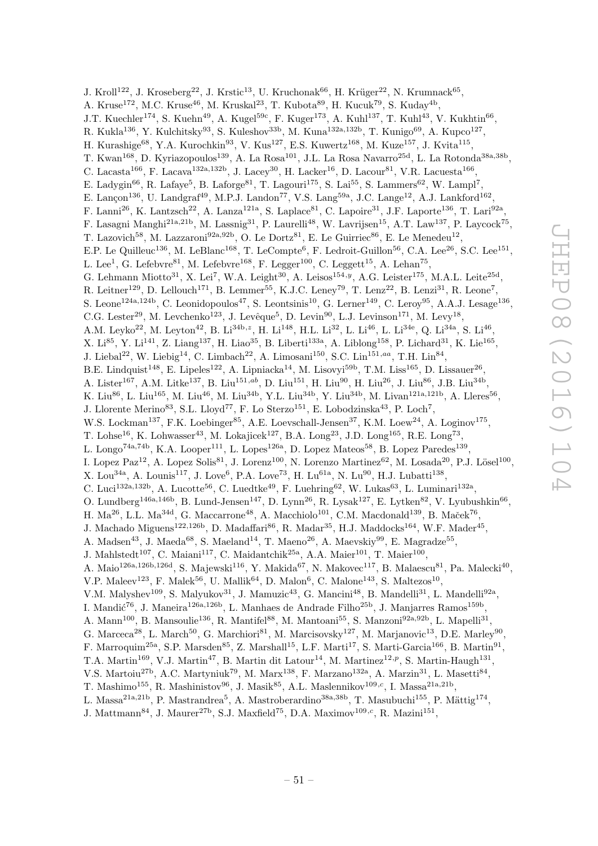J. Kroll<sup>122</sup>, J. Kroseberg<sup>22</sup>, J. Krstic<sup>13</sup>, U. Kruchonak<sup>66</sup>, H. Krüger<sup>22</sup>, N. Krumnack<sup>65</sup>, A. Kruse<sup>172</sup>, M.C. Kruse<sup>46</sup>, M. Kruskal<sup>23</sup>, T. Kubota<sup>89</sup>, H. Kucuk<sup>79</sup>, S. Kuday<sup>4b</sup>, J.T. Kuechler<sup>174</sup>, S. Kuehn<sup>49</sup>, A. Kugel<sup>59c</sup>, F. Kuger<sup>173</sup>, A. Kuhl<sup>137</sup>, T. Kuhl<sup>43</sup>, V. Kukhtin<sup>66</sup>, R. Kukla<sup>136</sup>, Y. Kulchitsky<sup>93</sup>, S. Kuleshov<sup>33b</sup>, M. Kuna<sup>132a,132b</sup>, T. Kunigo<sup>69</sup>, A. Kupco<sup>127</sup>, H. Kurashige $^{68}$ , Y.A. Kurochkin $^{93}$ , V. Kus<sup>127</sup>, E.S. Kuwertz<sup>168</sup>, M. Kuze<sup>157</sup>, J. Kvita<sup>115</sup>, T. Kwan<sup>168</sup>, D. Kyriazopoulos<sup>139</sup>, A. La Rosa<sup>101</sup>, J.L. La Rosa Navarro<sup>25d</sup>, L. La Rotonda<sup>38a,38b</sup>, C. Lacasta<sup>166</sup>, F. Lacava<sup>132a,132b</sup>, J. Lacey<sup>30</sup>, H. Lacker<sup>16</sup>, D. Lacour<sup>81</sup>, V.R. Lacuesta<sup>166</sup>, E. Ladygin<sup>66</sup>, R. Lafaye<sup>5</sup>, B. Laforge<sup>81</sup>, T. Lagouri<sup>175</sup>, S. Lai<sup>55</sup>, S. Lammers<sup>62</sup>, W. Lampl<sup>7</sup>, E. Lançon<sup>136</sup>, U. Landgraf<sup>49</sup>, M.P.J. Landon<sup>77</sup>, V.S. Lang<sup>59a</sup>, J.C. Lange<sup>12</sup>, A.J. Lankford<sup>162</sup>, F. Lanni<sup>26</sup>, K. Lantzsch<sup>22</sup>, A. Lanza<sup>121a</sup>, S. Laplace<sup>81</sup>, C. Lapoire<sup>31</sup>, J.F. Laporte<sup>136</sup>, T. Lari<sup>92a</sup>, F. Lasagni Manghi<sup>21a,21b</sup>, M. Lassnig<sup>31</sup>, P. Laurelli<sup>48</sup>, W. Lavrijsen<sup>15</sup>, A.T. Law<sup>137</sup>, P. Laycock<sup>75</sup>, T. Lazovich<sup>58</sup>, M. Lazzaroni<sup>92a,92b</sup>, O. Le Dortz<sup>81</sup>, E. Le Guirriec<sup>86</sup>, E. Le Menedeu<sup>12</sup>, E.P. Le Quilleuc<sup>136</sup>, M. LeBlanc<sup>168</sup>, T. LeCompte<sup>6</sup>, F. Ledroit-Guillon<sup>56</sup>, C.A. Lee<sup>26</sup>, S.C. Lee<sup>151</sup>, L. Lee<sup>1</sup>, G. Lefebvre<sup>81</sup>, M. Lefebvre<sup>168</sup>, F. Legger<sup>100</sup>, C. Leggett<sup>15</sup>, A. Lehan<sup>75</sup>, G. Lehmann Miotto<sup>31</sup>, X. Lei<sup>7</sup>, W.A. Leight<sup>30</sup>, A. Leisos<sup>154,y</sup>, A.G. Leister<sup>175</sup>, M.A.L. Leite<sup>25d</sup>, R. Leitner<sup>129</sup>, D. Lellouch<sup>171</sup>, B. Lemmer<sup>55</sup>, K.J.C. Leney<sup>79</sup>, T. Lenz<sup>22</sup>, B. Lenzi<sup>31</sup>, R. Leone<sup>7</sup>, S. Leone<sup>124a,124b</sup>, C. Leonidopoulos<sup>47</sup>, S. Leontsinis<sup>10</sup>, G. Lerner<sup>149</sup>, C. Leroy<sup>95</sup>, A.A.J. Lesage<sup>136</sup>, C.G. Lester<sup>29</sup>, M. Levchenko<sup>123</sup>, J. Levêque<sup>5</sup>, D. Levin<sup>90</sup>, L.J. Levinson<sup>171</sup>, M. Levy<sup>18</sup>, A.M. Leyko<sup>22</sup>, M. Leyton<sup>42</sup>, B. Li<sup>34b, z</sup>, H. Li<sup>148</sup>, H.L. Li<sup>32</sup>, L. Li<sup>46</sup>, L. Li<sup>34e</sup>, Q. Li<sup>34a</sup>, S. Li<sup>46</sup>, X. Li<sup>85</sup>, Y. Li<sup>141</sup>, Z. Liang<sup>137</sup>, H. Liao<sup>35</sup>, B. Liberti<sup>133a</sup>, A. Liblong<sup>158</sup>, P. Lichard<sup>31</sup>, K. Lie<sup>165</sup>, J. Liebal<sup>22</sup>, W. Liebig<sup>14</sup>, C. Limbach<sup>22</sup>, A. Limosani<sup>150</sup>, S.C. Lin<sup>151,aa</sup>, T.H. Lin<sup>84</sup>, B.E. Lindquist<sup>148</sup>, E. Lipeles<sup>122</sup>, A. Lipniacka<sup>14</sup>, M. Lisovyi<sup>59b</sup>, T.M. Liss<sup>165</sup>, D. Lissauer<sup>26</sup>, A. Lister<sup>167</sup>, A.M. Litke<sup>137</sup>, B. Liu<sup>151,ab</sup>, D. Liu<sup>151</sup>, H. Liu<sup>90</sup>, H. Liu<sup>26</sup>, J. Liu<sup>86</sup>, J.B. Liu<sup>34b</sup>, K. Liu<sup>86</sup>, L. Liu<sup>165</sup>, M. Liu<sup>46</sup>, M. Liu<sup>34b</sup>, Y.L. Liu<sup>34b</sup>, Y. Liu<sup>34b</sup>, M. Livan<sup>121a,121b</sup>, A. Lleres<sup>56</sup>, J. Llorente Merino<sup>83</sup>, S.L. Lloyd<sup>77</sup>, F. Lo Sterzo<sup>151</sup>, E. Lobodzinska<sup>43</sup>, P. Loch<sup>7</sup>, W.S. Lockman<sup>137</sup>, F.K. Loebinger<sup>85</sup>, A.E. Loevschall-Jensen<sup>37</sup>, K.M. Loew<sup>24</sup>, A. Loginov<sup>175</sup>, T. Lohse<sup>16</sup>, K. Lohwasser<sup>43</sup>, M. Lokajicek<sup>127</sup>, B.A. Long<sup>23</sup>, J.D. Long<sup>165</sup>, R.E. Long<sup>73</sup>, L. Longo<sup>74a,74b</sup>, K.A. Looper<sup>111</sup>, L. Lopes<sup>126a</sup>, D. Lopez Mateos<sup>58</sup>, B. Lopez Paredes<sup>139</sup>, I. Lopez Paz<sup>12</sup>, A. Lopez Solis<sup>81</sup>, J. Lorenz<sup>100</sup>, N. Lorenzo Martinez<sup>62</sup>, M. Losada<sup>20</sup>, P.J. Lösel<sup>100</sup>, X. Lou<sup>34a</sup>, A. Lounis<sup>117</sup>, J. Love<sup>6</sup>, P.A. Love<sup>73</sup>, H. Lu<sup>61a</sup>, N. Lu<sup>90</sup>, H.J. Lubatti<sup>138</sup>, C. Luci<sup>132a,132b</sup>, A. Lucotte<sup>56</sup>, C. Luedtke<sup>49</sup>, F. Luehring<sup>62</sup>, W. Lukas<sup>63</sup>, L. Luminari<sup>132a</sup>, O. Lundberg<sup>146a, 146b</sup>, B. Lund-Jensen<sup>147</sup>, D. Lynn<sup>26</sup>, R. Lysak<sup>127</sup>, E. Lytken<sup>82</sup>, V. Lyubushkin<sup>66</sup>, H. Ma<sup>26</sup>, L.L. Ma<sup>34d</sup>, G. Maccarrone<sup>48</sup>, A. Macchiolo<sup>101</sup>, C.M. Macdonald<sup>139</sup>, B. Maček<sup>76</sup>, J. Machado Miguens<sup>122,126b</sup>, D. Madaffari<sup>86</sup>, R. Madar<sup>35</sup>, H.J. Maddocks<sup>164</sup>, W.F. Mader<sup>45</sup>, A. Madsen<sup>43</sup>, J. Maeda<sup>68</sup>, S. Maeland<sup>14</sup>, T. Maeno<sup>26</sup>, A. Maevskiy<sup>99</sup>, E. Magradze<sup>55</sup>, J. Mahlstedt<sup>107</sup>, C. Maiani<sup>117</sup>, C. Maidantchik<sup>25a</sup>, A.A. Maier<sup>101</sup>, T. Maier<sup>100</sup>, A. Maio<sup>126a,126b,126d</sup>, S. Majewski<sup>116</sup>, Y. Makida<sup>67</sup>, N. Makovec<sup>117</sup>, B. Malaescu<sup>81</sup>, Pa. Malecki<sup>40</sup>, V.P. Maleev<sup>123</sup>, F. Malek<sup>56</sup>, U. Mallik<sup>64</sup>, D. Malon<sup>6</sup>, C. Malone<sup>143</sup>, S. Maltezos<sup>10</sup>, V.M. Malyshev<sup>109</sup>, S. Malyukov<sup>31</sup>, J. Mamuzic<sup>43</sup>, G. Mancini<sup>48</sup>, B. Mandelli<sup>31</sup>, L. Mandelli<sup>92a</sup>, I. Mandić<sup>76</sup>, J. Maneira<sup>126a,126b</sup>, L. Manhaes de Andrade Filho<sup>25b</sup>, J. Manjarres Ramos<sup>159b</sup>, A. Mann<sup>100</sup>, B. Mansoulie<sup>136</sup>, R. Mantifel<sup>88</sup>, M. Mantoani<sup>55</sup>, S. Manzoni<sup>92a,92b</sup>, L. Mapelli<sup>31</sup>, G. Marceca<sup>28</sup>, L. March<sup>50</sup>, G. Marchiori<sup>81</sup>, M. Marcisovsky<sup>127</sup>, M. Marjanovic<sup>13</sup>, D.E. Marley<sup>90</sup>, F. Marroquim<sup>25a</sup>, S.P. Marsden<sup>85</sup>, Z. Marshall<sup>15</sup>, L.F. Marti<sup>17</sup>, S. Marti-Garcia<sup>166</sup>, B. Martin<sup>91</sup>, T.A. Martin<sup>169</sup>, V.J. Martin<sup>47</sup>, B. Martin dit Latour<sup>14</sup>, M. Martinez<sup>12,p</sup>, S. Martin-Haugh<sup>131</sup>, V.S. Martoiu<sup>27b</sup>, A.C. Martyniuk<sup>79</sup>, M. Marx<sup>138</sup>, F. Marzano<sup>132a</sup>, A. Marzin<sup>31</sup>, L. Masetti<sup>84</sup>, T. Mashimo<sup>155</sup>, R. Mashinistov<sup>96</sup>, J. Masik<sup>85</sup>, A.L. Maslennikov<sup>109,*c*</sup>, I. Massa<sup>21a,21b</sup>,

L. Massa<sup>21a,21b</sup>, P. Mastrandrea<sup>5</sup>, A. Mastroberardino<sup>38a,38b</sup>, T. Masubuchi<sup>155</sup>, P. Mättig<sup>174</sup>,

J. Mattmann<sup>84</sup>, J. Maurer<sup>27b</sup>, S.J. Maxfield<sup>75</sup>, D.A. Maximov<sup>109,c</sup>, R. Mazini<sup>151</sup>,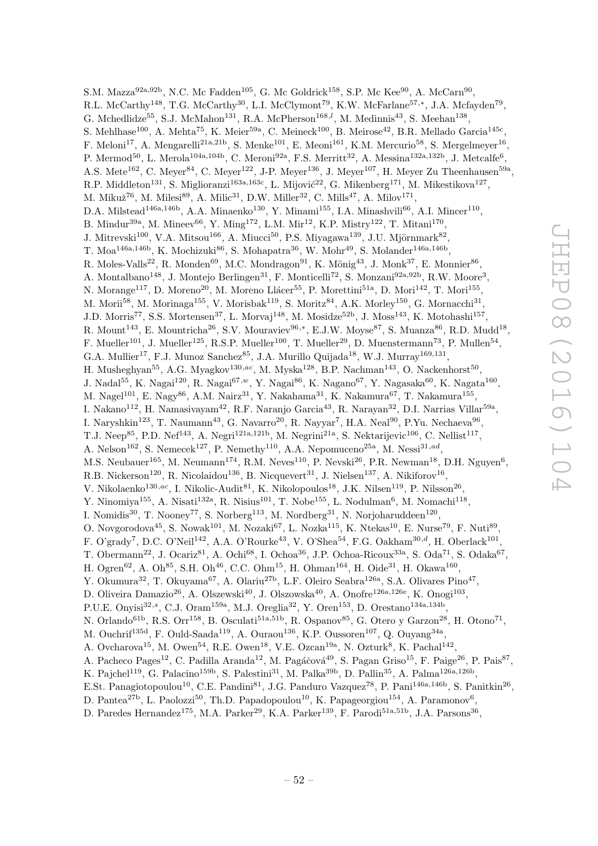S.M. Mazza<sup>92a,92b</sup>, N.C. Mc Fadden<sup>105</sup>, G. Mc Goldrick<sup>158</sup>, S.P. Mc Kee<sup>90</sup>, A. McCarn<sup>90</sup>, R.L. McCarthy<sup>148</sup>, T.G. McCarthy<sup>30</sup>, L.I. McClymont<sup>79</sup>, K.W. McFarlane<sup>57,\*</sup>, J.A. Mcfayden<sup>79</sup>, G. Mchedlidze<sup>55</sup>, S.J. McMahon<sup>131</sup>, R.A. McPherson<sup>168,*l*</sup>, M. Medinnis<sup>43</sup>, S. Meehan<sup>138</sup>, S. Mehlhase<sup>100</sup>, A. Mehta<sup>75</sup>, K. Meier<sup>59a</sup>, C. Meineck<sup>100</sup>, B. Meirose<sup>42</sup>, B.R. Mellado Garcia<sup>145c</sup>, F. Meloni<sup>17</sup>, A. Mengarelli<sup>21a,21b</sup>, S. Menke<sup>101</sup>, E. Meoni<sup>161</sup>, K.M. Mercurio<sup>58</sup>, S. Mergelmeyer<sup>16</sup>, P. Mermod<sup>50</sup>, L. Merola<sup>104a,104b</sup>, C. Meroni<sup>92a</sup>, F.S. Merritt<sup>32</sup>, A. Messina<sup>132a,132b</sup>, J. Metcalfe<sup>6</sup>, A.S. Mete<sup>162</sup>, C. Meyer<sup>84</sup>, C. Meyer<sup>122</sup>, J-P. Meyer<sup>136</sup>, J. Meyer<sup>107</sup>, H. Meyer Zu Theenhausen<sup>59a</sup>, R.P. Middleton<sup>131</sup>, S. Miglioranzi<sup>163a,163c</sup>, L. Mijović<sup>22</sup>, G. Mikenberg<sup>171</sup>, M. Mikestikova<sup>127</sup>, M. Mikuž $^{76}$ , M. Milesi $^{89}$ , A. Milic $^{31}$ , D.W. Miller $^{32}$ , C. Mills $^{47}$ , A. Milov $^{171}$ , D.A. Milstead<sup>146a,146b</sup>, A.A. Minaenko<sup>130</sup>, Y. Minami<sup>155</sup>, I.A. Minashvili<sup>66</sup>, A.I. Mincer<sup>110</sup>, B. Mindur<sup>39a</sup>, M. Mineev<sup>66</sup>, Y. Ming<sup>172</sup>, L.M. Mir<sup>12</sup>, K.P. Mistry<sup>122</sup>, T. Mitani<sup>170</sup>, J. Mitrevski $^{100}$ , V.A. Mitsou<sup>166</sup>, A. Miucci<sup>50</sup>, P.S. Miyagawa<sup>139</sup>, J.U. Mjörnmark $^{82}$ , T. Moa<sup>146a,146b</sup>, K. Mochizuki<sup>86</sup>, S. Mohapatra<sup>36</sup>, W. Mohr<sup>49</sup>, S. Molander<sup>146a,146b</sup>, R. Moles-Valls<sup>22</sup>, R. Monden<sup>69</sup>, M.C. Mondragon<sup>91</sup>, K. Mönig<sup>43</sup>, J. Monk<sup>37</sup>, E. Monnier<sup>86</sup>, A. Montalbano<sup>148</sup>, J. Montejo Berlingen<sup>31</sup>, F. Monticelli<sup>72</sup>, S. Monzani<sup>92a,92b</sup>, R.W. Moore<sup>3</sup>, N. Morange<sup>117</sup>, D. Moreno<sup>20</sup>, M. Moreno Llácer<sup>55</sup>, P. Morettini<sup>51a</sup>, D. Mori<sup>142</sup>, T. Mori<sup>155</sup>, M. Morii<sup>58</sup>, M. Morinaga<sup>155</sup>, V. Morisbak<sup>119</sup>, S. Moritz<sup>84</sup>, A.K. Morley<sup>150</sup>, G. Mornacchi<sup>31</sup>, J.D. Morris<sup>77</sup>, S.S. Mortensen<sup>37</sup>, L. Morvaj<sup>148</sup>, M. Mosidze<sup>52b</sup>, J. Moss<sup>143</sup>, K. Motohashi<sup>157</sup>, R. Mount<sup>143</sup>, E. Mountricha<sup>26</sup>, S.V. Mouraviev<sup>96,\*</sup>, E.J.W. Moyse<sup>87</sup>, S. Muanza<sup>86</sup>, R.D. Mudd<sup>18</sup>, F. Mueller<sup>101</sup>, J. Mueller<sup>125</sup>, R.S.P. Mueller<sup>100</sup>, T. Mueller<sup>29</sup>, D. Muenstermann<sup>73</sup>, P. Mullen<sup>54</sup>, G.A. Mullier<sup>17</sup>, F.J. Munoz Sanchez<sup>85</sup>, J.A. Murillo Quijada<sup>18</sup>, W.J. Murray<sup>169,131</sup>, H. Musheghyan<sup>55</sup>, A.G. Myagkov<sup>130,ac</sup>, M. Myska<sup>128</sup>, B.P. Nachman<sup>143</sup>, O. Nackenhorst<sup>50</sup>, J. Nadal $^{55}$ , K. Nagai $^{120}$ , R. Nagai $^{67,w}$ , Y. Nagai $^{86}$ , K. Nagano $^{67}$ , Y. Nagasaka $^{60}$ , K. Nagata $^{160}$ , M. Nagel $^{101}$ , E. Nagy $^{86}$ , A.M. Nairz $^{31}$ , Y. Nakahama $^{31}$ , K. Nakamura $^{67}$ , T. Nakamura $^{155}$ , I. Nakano<sup>112</sup>, H. Namasivayam<sup>42</sup>, R.F. Naranjo Garcia<sup>43</sup>, R. Narayan<sup>32</sup>, D.I. Narrias Villar<sup>59a</sup>, I. Naryshkin<sup>123</sup>, T. Naumann<sup>43</sup>, G. Navarro<sup>20</sup>, R. Nayyar<sup>7</sup>, H.A. Neal<sup>90</sup>, P.Yu. Nechaeva<sup>96</sup>, T.J. Neep<sup>85</sup>, P.D. Nef<sup>143</sup>, A. Negri<sup>121a,121b</sup>, M. Negrini<sup>21a</sup>, S. Nektarijevic<sup>106</sup>, C. Nellist<sup>117</sup>, A. Nelson<sup>162</sup>, S. Nemecek<sup>127</sup>, P. Nemethy<sup>110</sup>, A.A. Nepomuceno<sup>25a</sup>, M. Nessi<sup>31,ad</sup>, M.S. Neubauer<sup>165</sup>, M. Neumann<sup>174</sup>, R.M. Neves<sup>110</sup>, P. Nevski<sup>26</sup>, P.R. Newman<sup>18</sup>, D.H. Nguyen<sup>6</sup>, R.B. Nickerson<sup>120</sup>, R. Nicolaidou<sup>136</sup>, B. Nicquevert<sup>31</sup>, J. Nielsen<sup>137</sup>, A. Nikiforov<sup>16</sup>, V. Nikolaenko<sup>130,ac</sup>, I. Nikolic-Audit<sup>81</sup>, K. Nikolopoulos<sup>18</sup>, J.K. Nilsen<sup>119</sup>, P. Nilsson<sup>26</sup>, Y. Ninomiya<sup>155</sup>, A. Nisati<sup>132a</sup>, R. Nisius<sup>101</sup>, T. Nobe<sup>155</sup>, L. Nodulman<sup>6</sup>, M. Nomachi<sup>118</sup>, I. Nomidis<sup>30</sup>, T. Nooney<sup>77</sup>, S. Norberg<sup>113</sup>, M. Nordberg<sup>31</sup>, N. Norjoharuddeen<sup>120</sup>, O. Novgorodova<sup>45</sup>, S. Nowak<sup>101</sup>, M. Nozaki<sup>67</sup>, L. Nozka<sup>115</sup>, K. Ntekas<sup>10</sup>, E. Nurse<sup>79</sup>, F. Nuti<sup>89</sup>, F. O'grady<sup>7</sup>, D.C. O'Neil<sup>142</sup>, A.A. O'Rourke<sup>43</sup>, V. O'Shea<sup>54</sup>, F.G. Oakham<sup>30,d</sup>, H. Oberlack<sup>101</sup>, T. Obermann<sup>22</sup>, J. Ocariz<sup>81</sup>, A. Ochi<sup>68</sup>, I. Ochoa<sup>36</sup>, J.P. Ochoa-Ricoux<sup>33a</sup>, S. Oda<sup>71</sup>, S. Odaka<sup>67</sup>, H. Ogren<sup>62</sup>, A. Oh<sup>85</sup>, S.H. Oh<sup>46</sup>, C.C. Ohm<sup>15</sup>, H. Ohman<sup>164</sup>, H. Oide<sup>31</sup>, H. Okawa<sup>160</sup>, Y. Okumura<sup>32</sup>, T. Okuyama<sup>67</sup>, A. Olariu<sup>27b</sup>, L.F. Oleiro Seabra<sup>126a</sup>, S.A. Olivares Pino<sup>47</sup>, D. Oliveira Damazio<sup>26</sup>, A. Olszewski<sup>40</sup>, J. Olszowska<sup>40</sup>, A. Onofre<sup>126a, 126e</sup>, K. Onogi<sup>103</sup>, P.U.E. Onyisi<sup>32,s</sup>, C.J. Oram<sup>159a</sup>, M.J. Oreglia<sup>32</sup>, Y. Oren<sup>153</sup>, D. Orestano<sup>134a,134b</sup>, N. Orlando<sup>61b</sup>, R.S. Orr<sup>158</sup>, B. Osculati<sup>51a,51b</sup>, R. Ospanov<sup>85</sup>, G. Otero y Garzon<sup>28</sup>, H. Otono<sup>71</sup>, M. Ouchrif<sup>135d</sup>, F. Ould-Saada<sup>119</sup>, A. Ouraou<sup>136</sup>, K.P. Oussoren<sup>107</sup>, Q. Ouyang<sup>34a</sup>, A. Ovcharova<sup>15</sup>, M. Owen<sup>54</sup>, R.E. Owen<sup>18</sup>, V.E. Ozcan<sup>19a</sup>, N. Ozturk<sup>8</sup>, K. Pachal<sup>142</sup>, A. Pacheco Pages<sup>12</sup>, C. Padilla Aranda<sup>12</sup>, M. Pagáčová<sup>49</sup>, S. Pagan Griso<sup>15</sup>, F. Paige<sup>26</sup>, P. Pais<sup>87</sup>, K. Pajchel<sup>119</sup>, G. Palacino<sup>159b</sup>, S. Palestini<sup>31</sup>, M. Palka<sup>39b</sup>, D. Pallin<sup>35</sup>, A. Palma<sup>126a,126b</sup>, E.St. Panagiotopoulou<sup>10</sup>, C.E. Pandini<sup>81</sup>, J.G. Panduro Vazquez<sup>78</sup>, P. Pani<sup>146a,146b</sup>, S. Panitkin<sup>26</sup>,

D. Pantea<sup>27b</sup>, L. Paolozzi<sup>50</sup>, Th.D. Papadopoulou<sup>10</sup>, K. Papageorgiou<sup>154</sup>, A. Paramonov<sup>6</sup>,

D. Paredes Hernandez<sup>175</sup>, M.A. Parker<sup>29</sup>, K.A. Parker<sup>139</sup>, F. Parodi<sup>51a,51b</sup>, J.A. Parsons<sup>36</sup>,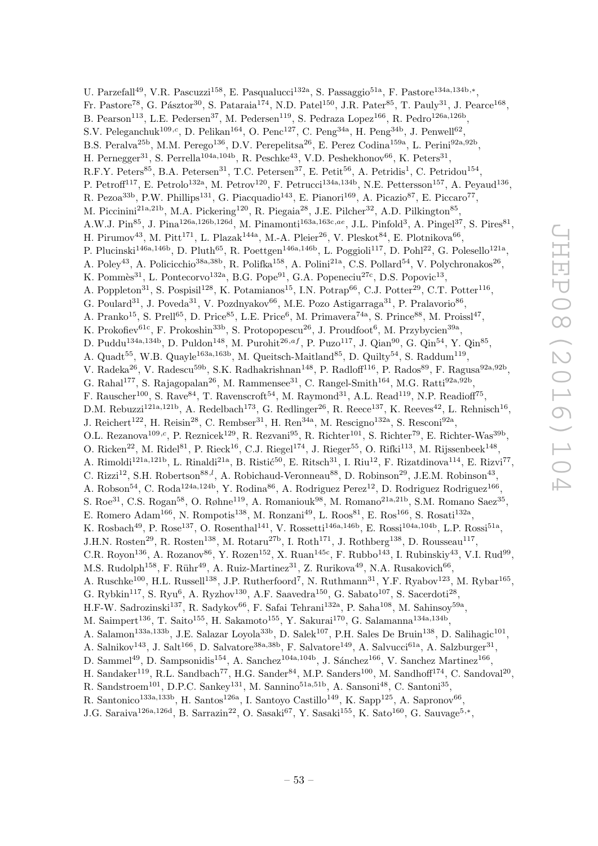U. Parzefall<sup>49</sup>, V.R. Pascuzzi<sup>158</sup>, E. Pasqualucci<sup>132a</sup>, S. Passaggio<sup>51a</sup>, F. Pastore<sup>134a,134b,\*</sup>, Fr. Pastore<sup>78</sup>, G. Pásztor<sup>30</sup>, S. Pataraia<sup>174</sup>, N.D. Patel<sup>150</sup>, J.R. Pater<sup>85</sup>, T. Pauly<sup>31</sup>, J. Pearce<sup>168</sup>, B. Pearson<sup>113</sup>, L.E. Pedersen<sup>37</sup>, M. Pedersen<sup>119</sup>, S. Pedraza Lopez<sup>166</sup>, R. Pedro<sup>126a,126b</sup>, S.V. Peleganchuk<sup>109,c</sup>, D. Pelikan<sup>164</sup>, O. Penc<sup>127</sup>, C. Peng<sup>34a</sup>, H. Peng<sup>34b</sup>, J. Penwell<sup>62</sup>, B.S. Peralva<sup>25b</sup>, M.M. Perego<sup>136</sup>, D.V. Perepelitsa<sup>26</sup>, E. Perez Codina<sup>159a</sup>, L. Perini<sup>92a,92b</sup>, H. Pernegger<sup>31</sup>, S. Perrella<sup>104a,104b</sup>, R. Peschke<sup>43</sup>, V.D. Peshekhonov<sup>66</sup>, K. Peters<sup>31</sup>, R.F.Y. Peters<sup>85</sup>, B.A. Petersen<sup>31</sup>, T.C. Petersen<sup>37</sup>, E. Petit<sup>56</sup>, A. Petridis<sup>1</sup>, C. Petridou<sup>154</sup>, P. Petroff<sup>117</sup>, E. Petrolo<sup>132a</sup>, M. Petrov<sup>120</sup>, F. Petrucci<sup>134a,134b</sup>, N.E. Pettersson<sup>157</sup>, A. Peyaud<sup>136</sup>, R. Pezoa<sup>33b</sup>, P.W. Phillips<sup>131</sup>, G. Piacquadio<sup>143</sup>, E. Pianori<sup>169</sup>, A. Picazio<sup>87</sup>, E. Piccaro<sup>77</sup>, M. Piccinini<sup>21a,21b</sup>, M.A. Pickering<sup>120</sup>, R. Piegaia<sup>28</sup>, J.E. Pilcher<sup>32</sup>, A.D. Pilkington<sup>85</sup>, A.W.J. Pin<sup>85</sup>, J. Pina<sup>126a,126b,126d</sup>, M. Pinamonti<sup>163a,163c,ae</sup>, J.L. Pinfold<sup>3</sup>, A. Pingel<sup>37</sup>, S. Pires<sup>81</sup>, H. Pirumov<sup>43</sup>, M. Pitt<sup>171</sup>, L. Plazak<sup>144a</sup>, M.-A. Pleier<sup>26</sup>, V. Pleskot<sup>84</sup>, E. Plotnikova<sup>66</sup>, P. Plucinski<sup>146a,146b</sup>, D. Pluth<sup>65</sup>, R. Poettgen<sup>146a,146b</sup>, L. Poggioli<sup>117</sup>, D. Pohl<sup>22</sup>, G. Polesello<sup>121a</sup>, A. Poley<sup>43</sup>, A. Policicchio<sup>38a,38b</sup>, R. Polifka<sup>158</sup>, A. Polini<sup>21a</sup>, C.S. Pollard<sup>54</sup>, V. Polychronakos<sup>26</sup>, K. Pommès<sup>31</sup>, L. Pontecorvo<sup>132a</sup>, B.G. Pope<sup>91</sup>, G.A. Popeneciu<sup>27c</sup>, D.S. Popovic<sup>13</sup>, A. Poppleton<sup>31</sup>, S. Pospisil<sup>128</sup>, K. Potamianos<sup>15</sup>, I.N. Potrap<sup>66</sup>, C.J. Potter<sup>29</sup>, C.T. Potter<sup>116</sup>, G. Poulard<sup>31</sup>, J. Poveda<sup>31</sup>, V. Pozdnyakov<sup>66</sup>, M.E. Pozo Astigarraga<sup>31</sup>, P. Pralavorio<sup>86</sup>, A. Pranko<sup>15</sup>, S. Prell<sup>65</sup>, D. Price<sup>85</sup>, L.E. Price<sup>6</sup>, M. Primavera<sup>74a</sup>, S. Prince<sup>88</sup>, M. Proissl<sup>47</sup>, K. Prokofiev<sup>61c</sup>, F. Prokoshin<sup>33b</sup>, S. Protopopescu<sup>26</sup>, J. Proudfoot<sup>6</sup>, M. Przybycien<sup>39a</sup>, D. Puddu<sup>134a,134b</sup>, D. Puldon<sup>148</sup>, M. Purohit<sup>26,af</sup>, P. Puzo<sup>117</sup>, J. Qian<sup>90</sup>, G. Qin<sup>54</sup>, Y. Qin<sup>85</sup>, A. Quadt<sup>55</sup>, W.B. Quayle<sup>163a, 163b</sup>, M. Queitsch-Maitland<sup>85</sup>, D. Quilty<sup>54</sup>, S. Raddum<sup>119</sup>, V. Radeka<sup>26</sup>, V. Radescu<sup>59b</sup>, S.K. Radhakrishnan<sup>148</sup>, P. Radloff<sup>116</sup>, P. Rados<sup>89</sup>, F. Ragusa<sup>92a,92b</sup>, G. Rahal<sup>177</sup>, S. Rajagopalan<sup>26</sup>, M. Rammensee<sup>31</sup>, C. Rangel-Smith<sup>164</sup>, M.G. Ratti<sup>92a,92b</sup>, F. Rauscher<sup>100</sup>, S. Rave<sup>84</sup>, T. Ravenscroft<sup>54</sup>, M. Raymond<sup>31</sup>, A.L. Read<sup>119</sup>, N.P. Readioff<sup>75</sup>, D.M. Rebuzzi<sup>121a,121b</sup>, A. Redelbach<sup>173</sup>, G. Redlinger<sup>26</sup>, R. Reece<sup>137</sup>, K. Reeves<sup>42</sup>, L. Rehnisch<sup>16</sup>, J. Reichert<sup>122</sup>, H. Reisin<sup>28</sup>, C. Rembser<sup>31</sup>, H. Ren<sup>34a</sup>, M. Rescigno<sup>132a</sup>, S. Resconi<sup>92a</sup>, O.L. Rezanova<sup>109,c</sup>, P. Reznicek<sup>129</sup>, R. Rezvani<sup>95</sup>, R. Richter<sup>101</sup>, S. Richter<sup>79</sup>, E. Richter-Was<sup>39b</sup>, O. Ricken<sup>22</sup>, M. Ridel<sup>81</sup>, P. Rieck<sup>16</sup>, C.J. Riegel<sup>174</sup>, J. Rieger<sup>55</sup>, O. Rifki<sup>113</sup>, M. Rijssenbeek<sup>148</sup>, A. Rimoldi<sup>121a,121b</sup>, L. Rinaldi<sup>21a</sup>, B. Ristić<sup>50</sup>, E. Ritsch<sup>31</sup>, I. Riu<sup>12</sup>, F. Rizatdinova<sup>114</sup>, E. Rizvi<sup>77</sup>, C. Rizzi<sup>12</sup>, S.H. Robertson<sup>88,*l*</sup>, A. Robichaud-Veronneau<sup>88</sup>, D. Robinson<sup>29</sup>, J.E.M. Robinson<sup>43</sup>, A. Robson<sup>54</sup>, C. Roda<sup>124a,124b</sup>, Y. Rodina<sup>86</sup>, A. Rodriguez Perez<sup>12</sup>, D. Rodriguez Rodriguez<sup>166</sup>, S. Roe<sup>31</sup>, C.S. Rogan<sup>58</sup>, O. Røhne<sup>119</sup>, A. Romaniouk<sup>98</sup>, M. Romano<sup>21a,21b</sup>, S.M. Romano Saez<sup>35</sup>, E. Romero Adam<sup>166</sup>, N. Rompotis<sup>138</sup>, M. Ronzani<sup>49</sup>, L. Roos<sup>81</sup>, E. Ros<sup>166</sup>, S. Rosati<sup>132a</sup>, K. Rosbach<sup>49</sup>, P. Rose<sup>137</sup>, O. Rosenthal<sup>141</sup>, V. Rossetti<sup>146a,146b</sup>, E. Rossi<sup>104a,104b</sup>, L.P. Rossi<sup>51a</sup>, J.H.N. Rosten<sup>29</sup>, R. Rosten<sup>138</sup>, M. Rotaru<sup>27b</sup>, I. Roth<sup>171</sup>, J. Rothberg<sup>138</sup>, D. Rousseau<sup>117</sup>, C.R. Royon<sup>136</sup>, A. Rozanov<sup>86</sup>, Y. Rozen<sup>152</sup>, X. Ruan<sup>145c</sup>, F. Rubbo<sup>143</sup>, I. Rubinskiy<sup>43</sup>, V.I. Rud<sup>99</sup>, M.S. Rudolph<sup>158</sup>, F. Rühr<sup>49</sup>, A. Ruiz-Martinez<sup>31</sup>, Z. Rurikova<sup>49</sup>, N.A. Rusakovich<sup>66</sup>, A. Ruschke<sup>100</sup>, H.L. Russell<sup>138</sup>, J.P. Rutherfoord<sup>7</sup>, N. Ruthmann<sup>31</sup>, Y.F. Ryabov<sup>123</sup>, M. Rybar<sup>165</sup>, G. Rybkin<sup>117</sup>, S. Ryu<sup>6</sup>, A. Ryzhov<sup>130</sup>, A.F. Saavedra<sup>150</sup>, G. Sabato<sup>107</sup>, S. Sacerdoti<sup>28</sup>, H.F-W. Sadrozinski<sup>137</sup>, R. Sadykov<sup>66</sup>, F. Safai Tehrani<sup>132a</sup>, P. Saha<sup>108</sup>, M. Sahinsoy<sup>59a</sup>, M. Saimpert<sup>136</sup>, T. Saito<sup>155</sup>, H. Sakamoto<sup>155</sup>, Y. Sakurai<sup>170</sup>, G. Salamanna<sup>134a,134b</sup>, A. Salamon<sup>133a, 133b</sup>, J.E. Salazar Loyola<sup>33b</sup>, D. Salek<sup>107</sup>, P.H. Sales De Bruin<sup>138</sup>, D. Salihagic<sup>101</sup>, A. Salnikov<sup>143</sup>, J. Salt<sup>166</sup>, D. Salvatore<sup>38a,38b</sup>, F. Salvatore<sup>149</sup>, A. Salvucci<sup>61a</sup>, A. Salzburger<sup>31</sup>, D. Sammel<sup>49</sup>, D. Sampsonidis<sup>154</sup>, A. Sanchez<sup>104a,104b</sup>, J. Sánchez<sup>166</sup>, V. Sanchez Martinez<sup>166</sup>, H. Sandaker<sup>119</sup>, R.L. Sandbach<sup>77</sup>, H.G. Sander<sup>84</sup>, M.P. Sanders<sup>100</sup>, M. Sandhoff<sup>174</sup>, C. Sandoval<sup>20</sup>, R. Sandstroem<sup>101</sup>, D.P.C. Sankey<sup>131</sup>, M. Sannino<sup>51a,51b</sup>, A. Sansoni<sup>48</sup>, C. Santoni<sup>35</sup>,

- R. Santonico<sup>133a,133b</sup>, H. Santos<sup>126a</sup>, I. Santoyo Castillo<sup>149</sup>, K. Sapp<sup>125</sup>, A. Sapronov<sup>66</sup>,
- J.G. Saraiva<sup>126a,126d</sup>, B. Sarrazin<sup>22</sup>, O. Sasaki<sup>67</sup>, Y. Sasaki<sup>155</sup>, K. Sato<sup>160</sup>, G. Sauvage<sup>5,\*</sup>,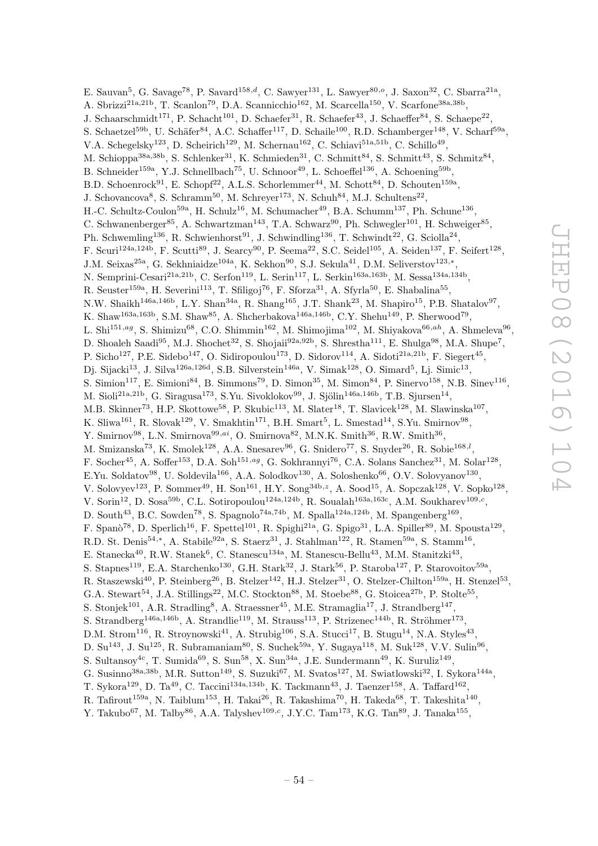E. Sauvan<sup>5</sup>, G. Savage<sup>78</sup>, P. Savard<sup>158,d</sup>, C. Sawyer<sup>131</sup>, L. Sawyer<sup>80,o</sup>, J. Saxon<sup>32</sup>, C. Sbarra<sup>21a</sup>, A. Sbrizzi<sup>21a,21b</sup>, T. Scanlon<sup>79</sup>, D.A. Scannicchio<sup>162</sup>, M. Scarcella<sup>150</sup>, V. Scarfone<sup>38a,38b</sup>, J. Schaarschmidt<sup>171</sup>, P. Schacht<sup>101</sup>, D. Schaefer<sup>31</sup>, R. Schaefer<sup>43</sup>, J. Schaeffer<sup>84</sup>, S. Schaepe<sup>22</sup>, S. Schaetzel<sup>59b</sup>, U. Schäfer<sup>84</sup>, A.C. Schaffer<sup>117</sup>, D. Schaile<sup>100</sup>, R.D. Schamberger<sup>148</sup>, V. Scharf<sup>59a</sup>, V.A. Schegelsky<sup>123</sup>, D. Scheirich<sup>129</sup>, M. Schernau<sup>162</sup>, C. Schiavi<sup>51a,51b</sup>, C. Schillo<sup>49</sup>, M. Schioppa<sup>38a,38b</sup>, S. Schlenker<sup>31</sup>, K. Schmieden<sup>31</sup>, C. Schmitt<sup>84</sup>, S. Schmitt<sup>43</sup>, S. Schmitz<sup>84</sup>, B. Schneider<sup>159a</sup>, Y.J. Schnellbach<sup>75</sup>, U. Schnoor<sup>49</sup>, L. Schoeffel<sup>136</sup>, A. Schoening<sup>59b</sup>, B.D. Schoenrock<sup>91</sup>, E. Schopf<sup>22</sup>, A.L.S. Schorlemmer<sup>44</sup>, M. Schott<sup>84</sup>, D. Schouten<sup>159a</sup>, J. Schovancova<sup>8</sup>, S. Schramm<sup>50</sup>, M. Schreyer<sup>173</sup>, N. Schuh<sup>84</sup>, M.J. Schultens<sup>22</sup>, H.-C. Schultz-Coulon<sup>59a</sup>, H. Schulz<sup>16</sup>, M. Schumacher<sup>49</sup>, B.A. Schumm<sup>137</sup>, Ph. Schune<sup>136</sup>, C. Schwanenberger<sup>85</sup>, A. Schwartzman<sup>143</sup>, T.A. Schwarz<sup>90</sup>, Ph. Schwegler<sup>101</sup>, H. Schweiger<sup>85</sup>, Ph. Schwemling<sup>136</sup>, R. Schwienhorst<sup>91</sup>, J. Schwindling<sup>136</sup>, T. Schwindt<sup>22</sup>, G. Sciolla<sup>24</sup>, F. Scuri<sup>124a,124b</sup>, F. Scutti<sup>89</sup>, J. Searcy<sup>90</sup>, P. Seema<sup>22</sup>, S.C. Seidel<sup>105</sup>, A. Seiden<sup>137</sup>, F. Seifert<sup>128</sup>, J.M. Seixas<sup>25a</sup>, G. Sekhniaidze<sup>104a</sup>, K. Sekhon<sup>90</sup>, S.J. Sekula<sup>41</sup>, D.M. Seliverstov<sup>123,\*</sup>, N. Semprini-Cesari<sup>21a,21b</sup>, C. Serfon<sup>119</sup>, L. Serin<sup>117</sup>, L. Serkin<sup>163a,163b</sup>, M. Sessa<sup>134a,134b</sup>, R. Seuster<sup>159a</sup>, H. Severini<sup>113</sup>, T. Sfiligoj<sup>76</sup>, F. Sforza<sup>31</sup>, A. Sfyrla<sup>50</sup>, E. Shabalina<sup>55</sup>, N.W. Shaikh<sup>146a,146b</sup>, L.Y. Shan<sup>34a</sup>, R. Shang<sup>165</sup>, J.T. Shank<sup>23</sup>, M. Shapiro<sup>15</sup>, P.B. Shatalov<sup>97</sup>, K. Shaw<sup>163a,163b</sup>, S.M. Shaw<sup>85</sup>, A. Shcherbakova<sup>146a,146b</sup>, C.Y. Shehu<sup>149</sup>, P. Sherwood<sup>79</sup>, L. Shi $^{151,ag}$ , S. Shimizu<sup>68</sup>, C.O. Shimmin<sup>162</sup>, M. Shimojima<sup>102</sup>, M. Shiyakova<sup>66,ah</sup>, A. Shmeleva<sup>96</sup>, D. Shoaleh Saadi $^{95}$ , M.J. Shochet<sup>32</sup>, S. Shojaii $^{92a,92b}$ , S. Shrestha<sup>111</sup>, E. Shulga<sup>98</sup>, M.A. Shupe<sup>7</sup>, P. Sicho<sup>127</sup>, P.E. Sidebo<sup>147</sup>, O. Sidiropoulou<sup>173</sup>, D. Sidorov<sup>114</sup>, A. Sidoti<sup>21a,21b</sup>, F. Siegert<sup>45</sup>, Dj. Sijacki<sup>13</sup>, J. Silva<sup>126a,126d</sup>, S.B. Silverstein<sup>146a</sup>, V. Simak<sup>128</sup>, O. Simard<sup>5</sup>, Lj. Simic<sup>13</sup>, S. Simion<sup>117</sup>, E. Simioni<sup>84</sup>, B. Simmons<sup>79</sup>, D. Simon<sup>35</sup>, M. Simon<sup>84</sup>, P. Sinervo<sup>158</sup>, N.B. Sinev<sup>116</sup>, M. Sioli $^{21a,21b}$ , G. Siragusa $^{173}$ , S.Yu. Sivoklokov $^{99}$ , J. Sjölin $^{146a,146b}$ , T.B. Sjursen $^{14}$ , M.B. Skinner<sup>73</sup>, H.P. Skottowe<sup>58</sup>, P. Skubic<sup>113</sup>, M. Slater<sup>18</sup>, T. Slavicek<sup>128</sup>, M. Slawinska<sup>107</sup>, K. Sliwa<sup>161</sup>, R. Slovak<sup>129</sup>, V. Smakhtin<sup>171</sup>, B.H. Smart<sup>5</sup>, L. Smestad<sup>14</sup>, S.Yu. Smirnov<sup>98</sup>, Y. Smirnov<sup>98</sup>, L.N. Smirnova<sup>99,ai</sup>, O. Smirnova<sup>82</sup>, M.N.K. Smith<sup>36</sup>, R.W. Smith<sup>36</sup>, M. Smizanska<sup>73</sup>, K. Smolek<sup>128</sup>, A.A. Snesarev<sup>96</sup>, G. Snidero<sup>77</sup>, S. Snyder<sup>26</sup>, R. Sobie<sup>168,*l*</sup>, F. Socher<sup>45</sup>, A. Soffer<sup>153</sup>, D.A. Soh<sup>151,ag</sup>, G. Sokhrannyi<sup>76</sup>, C.A. Solans Sanchez<sup>31</sup>, M. Solar<sup>128</sup>, E.Yu. Soldatov<sup>98</sup>, U. Soldevila<sup>166</sup>, A.A. Solodkov<sup>130</sup>, A. Soloshenko<sup>66</sup>, O.V. Solovyanov<sup>130</sup>, V. Solovyev<sup>123</sup>, P. Sommer<sup>49</sup>, H. Son<sup>161</sup>, H.Y. Song<sup>34b,z</sup>, A. Sood<sup>15</sup>, A. Sopczak<sup>128</sup>, V. Sopko<sup>128</sup>, V. Sorin<sup>12</sup>, D. Sosa<sup>59b</sup>, C.L. Sotiropoulou<sup>124a,124b</sup>, R. Soualah<sup>163a,163c</sup>, A.M. Soukharev<sup>109,c</sup>, D. South<sup>43</sup>, B.C. Sowden<sup>78</sup>, S. Spagnolo<sup>74a,74b</sup>, M. Spalla<sup>124a,124b</sup>, M. Spangenberg<sup>169</sup>, F. Spanò<sup>78</sup>, D. Sperlich<sup>16</sup>, F. Spettel<sup>101</sup>, R. Spighi<sup>21a</sup>, G. Spigo<sup>31</sup>, L.A. Spiller<sup>89</sup>, M. Spousta<sup>129</sup>, R.D. St. Denis<sup>54,\*</sup>, A. Stabile<sup>92a</sup>, S. Staerz<sup>31</sup>, J. Stahlman<sup>122</sup>, R. Stamen<sup>59a</sup>, S. Stamm<sup>16</sup>, E. Stanecka<sup>40</sup>, R.W. Stanek<sup>6</sup>, C. Stanescu<sup>134a</sup>, M. Stanescu-Bellu<sup>43</sup>, M.M. Stanitzki<sup>43</sup>, S. Stapnes<sup>119</sup>, E.A. Starchenko<sup>130</sup>, G.H. Stark<sup>32</sup>, J. Stark<sup>56</sup>, P. Staroba<sup>127</sup>, P. Starovoitov<sup>59a</sup>, R. Staszewski<sup>40</sup>, P. Steinberg<sup>26</sup>, B. Stelzer<sup>142</sup>, H.J. Stelzer<sup>31</sup>, O. Stelzer-Chilton<sup>159a</sup>, H. Stenzel<sup>53</sup>, G.A. Stewart<sup>54</sup>, J.A. Stillings<sup>22</sup>, M.C. Stockton<sup>88</sup>, M. Stoebe<sup>88</sup>, G. Stoicea<sup>27b</sup>, P. Stolte<sup>55</sup>, S. Stonjek<sup>101</sup>, A.R. Stradling<sup>8</sup>, A. Straessner<sup>45</sup>, M.E. Stramaglia<sup>17</sup>, J. Strandberg<sup>147</sup>, S. Strandberg<sup>146a, 146b</sup>, A. Strandlie<sup>119</sup>, M. Strauss<sup>113</sup>, P. Strizenec<sup>144b</sup>, R. Ströhmer<sup>173</sup>, D.M. Strom<sup>116</sup>, R. Stroynowski<sup>41</sup>, A. Strubig<sup>106</sup>, S.A. Stucci<sup>17</sup>, B. Stugu<sup>14</sup>, N.A. Styles<sup>43</sup>, D. Su<sup>143</sup>, J. Su<sup>125</sup>, R. Subramaniam<sup>80</sup>, S. Suchek<sup>59a</sup>, Y. Sugaya<sup>118</sup>, M. Suk<sup>128</sup>, V.V. Sulin<sup>96</sup>, S. Sultansoy<sup>4c</sup>, T. Sumida<sup>69</sup>, S. Sun<sup>58</sup>, X. Sun<sup>34a</sup>, J.E. Sundermann<sup>49</sup>, K. Suruliz<sup>149</sup>, G. Susinno<sup>38a,38b</sup>, M.R. Sutton<sup>149</sup>, S. Suzuki<sup>67</sup>, M. Svatos<sup>127</sup>, M. Swiatlowski<sup>32</sup>, I. Sykora<sup>144a</sup>, T. Sykora<sup>129</sup>, D. Ta<sup>49</sup>, C. Taccini<sup>134a,134b</sup>, K. Tackmann<sup>43</sup>, J. Taenzer<sup>158</sup>, A. Taffard<sup>162</sup>, R. Tafirout<sup>159a</sup>, N. Taiblum<sup>153</sup>, H. Takai<sup>26</sup>, R. Takashima<sup>70</sup>, H. Takeda<sup>68</sup>, T. Takeshita<sup>140</sup>,

Y. Takubo<sup>67</sup>, M. Talby<sup>86</sup>, A.A. Talyshev<sup>109,c</sup>, J.Y.C. Tam<sup>173</sup>, K.G. Tan<sup>89</sup>, J. Tanaka<sup>155</sup>,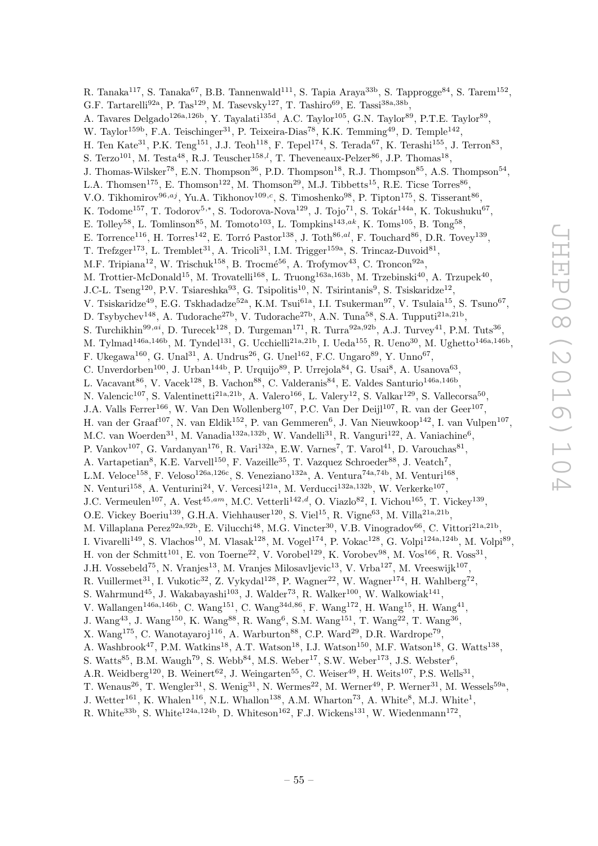R. Tanaka $^{117}$ , S. Tanaka $^{67}$ , B.B. Tannenwald $^{111}$ , S. Tapia Araya $^{33b}$ , S. Tapprogge $^{84}$ , S. Tarem $^{152}$ , G.F. Tartarelli<sup>92a</sup>, P. Tas<sup>129</sup>, M. Tasevsky<sup>127</sup>, T. Tashiro<sup>69</sup>, E. Tassi<sup>38a,38b</sup>, A. Tavares Delgado<sup>126a,126b</sup>, Y. Tayalati<sup>135d</sup>, A.C. Taylor<sup>105</sup>, G.N. Taylor<sup>89</sup>, P.T.E. Taylor<sup>89</sup>, W. Taylor<sup>159b</sup>, F.A. Teischinger<sup>31</sup>, P. Teixeira-Dias<sup>78</sup>, K.K. Temming<sup>49</sup>, D. Temple<sup>142</sup>, H. Ten Kate<sup>31</sup>, P.K. Teng<sup>151</sup>, J.J. Teoh<sup>118</sup>, F. Tepel<sup>174</sup>, S. Terada<sup>67</sup>, K. Terashi<sup>155</sup>, J. Terron<sup>83</sup>, S. Terzo<sup>101</sup>, M. Testa<sup>48</sup>, R.J. Teuscher<sup>158,*l*</sup>, T. Theveneaux-Pelzer<sup>86</sup>, J.P. Thomas<sup>18</sup>, J. Thomas-Wilsker<sup>78</sup>, E.N. Thompson<sup>36</sup>, P.D. Thompson<sup>18</sup>, R.J. Thompson<sup>85</sup>, A.S. Thompson<sup>54</sup>, L.A. Thomsen<sup>175</sup>, E. Thomson<sup>122</sup>, M. Thomson<sup>29</sup>, M.J. Tibbetts<sup>15</sup>, R.E. Ticse Torres<sup>86</sup>, V.O. Tikhomirov<sup>96,aj</sup>, Yu.A. Tikhonov<sup>109,c</sup>, S. Timoshenko<sup>98</sup>, P. Tipton<sup>175</sup>, S. Tisserant<sup>86</sup>, K. Todome<sup>157</sup>, T. Todorov<sup>5,\*</sup>, S. Todorova-Nova<sup>129</sup>, J. Tojo<sup>71</sup>, S. Tokár<sup>144a</sup>, K. Tokushuku<sup>67</sup>, E. Tolley<sup>58</sup>, L. Tomlinson<sup>85</sup>, M. Tomoto<sup>103</sup>, L. Tompkins<sup>143,ak</sup>, K. Toms<sup>105</sup>, B. Tong<sup>58</sup>, E. Torrence<sup>116</sup>, H. Torres<sup>142</sup>, E. Torró Pastor<sup>138</sup>, J. Toth<sup>86,al</sup>, F. Touchard<sup>86</sup>, D.R. Tovey<sup>139</sup>, T. Trefzger<sup>173</sup>, L. Tremblet<sup>31</sup>, A. Tricoli<sup>31</sup>, I.M. Trigger<sup>159a</sup>, S. Trincaz-Duvoid<sup>81</sup>, M.F. Tripiana<sup>12</sup>, W. Trischuk<sup>158</sup>, B. Trocmé<sup>56</sup>, A. Trofymov<sup>43</sup>, C. Troncon<sup>92a</sup>, M. Trottier-McDonald<sup>15</sup>, M. Trovatelli<sup>168</sup>, L. Truong<sup>163a,163b</sup>, M. Trzebinski<sup>40</sup>, A. Trzupek<sup>40</sup>, J.C-L. Tseng<sup>120</sup>, P.V. Tsiareshka<sup>93</sup>, G. Tsipolitis<sup>10</sup>, N. Tsirintanis<sup>9</sup>, S. Tsiskaridze<sup>12</sup>, V. Tsiskaridze<sup>49</sup>, E.G. Tskhadadze<sup>52a</sup>, K.M. Tsui<sup>61a</sup>, I.I. Tsukerman<sup>97</sup>, V. Tsulaia<sup>15</sup>, S. Tsuno<sup>67</sup>, D. Tsybychev<sup>148</sup>, A. Tudorache<sup>27b</sup>, V. Tudorache<sup>27b</sup>, A.N. Tuna<sup>58</sup>, S.A. Tupputi<sup>21a,21b</sup>, S. Turchikhin<sup>99,ai</sup>, D. Turecek<sup>128</sup>, D. Turgeman<sup>171</sup>, R. Turra<sup>92a,92b</sup>, A.J. Turvey<sup>41</sup>, P.M. Tuts<sup>36</sup>, M. Tylmad<sup>146a,146b</sup>, M. Tyndel<sup>131</sup>, G. Ucchielli<sup>21a,21b</sup>, I. Ueda<sup>155</sup>, R. Ueno<sup>30</sup>, M. Ughetto<sup>146a,146b</sup>, F. Ukegawa<sup>160</sup>, G. Unal<sup>31</sup>, A. Undrus<sup>26</sup>, G. Unel<sup>162</sup>, F.C. Ungaro<sup>89</sup>, Y. Unno<sup>67</sup>, C. Unverdorben<sup>100</sup>, J. Urban<sup>144b</sup>, P. Urquijo<sup>89</sup>, P. Urrejola<sup>84</sup>, G. Usai<sup>8</sup>, A. Usanova<sup>63</sup>, L. Vacavant<sup>86</sup>, V. Vacek<sup>128</sup>, B. Vachon<sup>88</sup>, C. Valderanis<sup>84</sup>, E. Valdes Santurio<sup>146a,146b</sup>, N. Valencic<sup>107</sup>, S. Valentinetti<sup>21a,21b</sup>, A. Valero<sup>166</sup>, L. Valery<sup>12</sup>, S. Valkar<sup>129</sup>, S. Vallecorsa<sup>50</sup>, J.A. Valls Ferrer<sup>166</sup>, W. Van Den Wollenberg<sup>107</sup>, P.C. Van Der Deijl<sup>107</sup>, R. van der Geer<sup>107</sup>, H. van der Graaf<sup>107</sup>, N. van Eldik<sup>152</sup>, P. van Gemmeren<sup>6</sup>, J. Van Nieuwkoop<sup>142</sup>, I. van Vulpen<sup>107</sup>, M.C. van Woerden<sup>31</sup>, M. Vanadia<sup>132a,132b</sup>, W. Vandelli<sup>31</sup>, R. Vanguri<sup>122</sup>, A. Vaniachine<sup>6</sup>, P. Vankov<sup>107</sup>, G. Vardanyan<sup>176</sup>, R. Vari<sup>132a</sup>, E.W. Varnes<sup>7</sup>, T. Varol<sup>41</sup>, D. Varouchas<sup>81</sup>, A. Vartapetian<sup>8</sup>, K.E. Varvell<sup>150</sup>, F. Vazeille<sup>35</sup>, T. Vazquez Schroeder<sup>88</sup>, J. Veatch<sup>7</sup>, L.M. Veloce<sup>158</sup>, F. Veloso<sup>126a,126c</sup>, S. Veneziano<sup>132a</sup>, A. Ventura<sup>74a,74b</sup>, M. Venturi<sup>168</sup>, N. Venturi<sup>158</sup>, A. Venturini<sup>24</sup>, V. Vercesi<sup>121a</sup>, M. Verducci<sup>132a,132b</sup>, W. Verkerke<sup>107</sup>, J.C. Vermeulen<sup>107</sup>, A. Vest<sup>45,am</sup>, M.C. Vetterli<sup>142,d</sup>, O. Viazlo<sup>82</sup>, I. Vichou<sup>165</sup>, T. Vickey<sup>139</sup>, O.E. Vickey Boeriu<sup>139</sup>, G.H.A. Viehhauser<sup>120</sup>, S. Viel<sup>15</sup>, R. Vigne<sup>63</sup>, M. Villa<sup>21a,21b</sup>, M. Villaplana Perez<sup>92a,92b</sup>, E. Vilucchi<sup>48</sup>, M.G. Vincter<sup>30</sup>, V.B. Vinogradov<sup>66</sup>, C. Vittori<sup>21a,21b</sup>, I. Vivarelli<sup>149</sup>, S. Vlachos<sup>10</sup>, M. Vlasak<sup>128</sup>, M. Vogel<sup>174</sup>, P. Vokac<sup>128</sup>, G. Volpi<sup>124a,124b</sup>, M. Volpi<sup>89</sup>, H. von der Schmitt<sup>101</sup>, E. von Toerne<sup>22</sup>, V. Vorobel<sup>129</sup>, K. Vorobev<sup>98</sup>, M. Vos<sup>166</sup>, R. Voss<sup>31</sup>, J.H. Vossebeld<sup>75</sup>, N. Vranjes<sup>13</sup>, M. Vranjes Milosavljevic<sup>13</sup>, V. Vrba<sup>127</sup>, M. Vreeswijk<sup>107</sup>, R. Vuillermet<sup>31</sup>, I. Vukotic<sup>32</sup>, Z. Vykydal<sup>128</sup>, P. Wagner<sup>22</sup>, W. Wagner<sup>174</sup>, H. Wahlberg<sup>72</sup>, S. Wahrmund<sup>45</sup>, J. Wakabayashi<sup>103</sup>, J. Walder<sup>73</sup>, R. Walker<sup>100</sup>, W. Walkowiak<sup>141</sup>, V. Wallangen<sup>146a,146b</sup>, C. Wang<sup>151</sup>, C. Wang<sup>34d,86</sup>, F. Wang<sup>172</sup>, H. Wang<sup>15</sup>, H. Wang<sup>41</sup>, J. Wang<sup>43</sup>, J. Wang<sup>150</sup>, K. Wang<sup>88</sup>, R. Wang<sup>6</sup>, S.M. Wang<sup>151</sup>, T. Wang<sup>22</sup>, T. Wang<sup>36</sup>, X. Wang<sup>175</sup>, C. Wanotayaroj<sup>116</sup>, A. Warburton<sup>88</sup>, C.P. Ward<sup>29</sup>, D.R. Wardrope<sup>79</sup>, A. Washbrook<sup>47</sup>, P.M. Watkins<sup>18</sup>, A.T. Watson<sup>18</sup>, I.J. Watson<sup>150</sup>, M.F. Watson<sup>18</sup>, G. Watts<sup>138</sup>, S. Watts<sup>85</sup>, B.M. Waugh<sup>79</sup>, S. Webb<sup>84</sup>, M.S. Weber<sup>17</sup>, S.W. Weber<sup>173</sup>, J.S. Webster<sup>6</sup>, A.R. Weidberg<sup>120</sup>, B. Weinert<sup>62</sup>, J. Weingarten<sup>55</sup>, C. Weiser<sup>49</sup>, H. Weits<sup>107</sup>, P.S. Wells<sup>31</sup>,

- T. Wenaus<sup>26</sup>, T. Wengler<sup>31</sup>, S. Wenig<sup>31</sup>, N. Wermes<sup>22</sup>, M. Werner<sup>49</sup>, P. Werner<sup>31</sup>, M. Wessels<sup>59a</sup>,
- J. Wetter<sup>161</sup>, K. Whalen<sup>116</sup>, N.L. Whallon<sup>138</sup>, A.M. Wharton<sup>73</sup>, A. White<sup>8</sup>, M.J. White<sup>1</sup>, R. White<sup>33b</sup>, S. White<sup>124a,124b</sup>, D. Whiteson<sup>162</sup>, F.J. Wickens<sup>131</sup>, W. Wiedenmann<sup>172</sup>,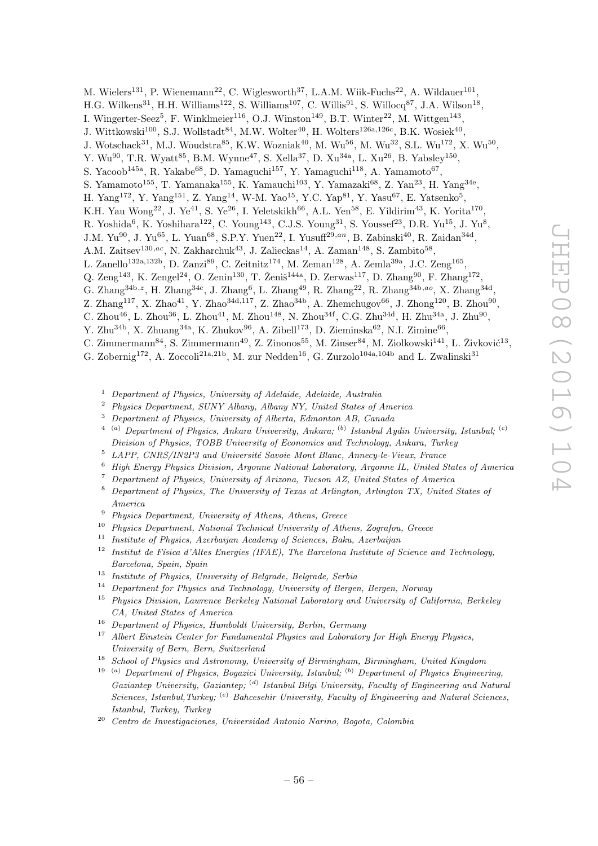M. Wielers<sup>131</sup>, P. Wienemann<sup>22</sup>, C. Wiglesworth<sup>37</sup>, L.A.M. Wiik-Fuchs<sup>22</sup>, A. Wildauer<sup>101</sup>,

H.G. Wilkens<sup>31</sup>, H.H. Williams<sup>122</sup>, S. Williams<sup>107</sup>, C. Willis<sup>91</sup>, S. Willocq<sup>87</sup>, J.A. Wilson<sup>18</sup>,

I. Wingerter-Seez<sup>5</sup>, F. Winklmeier<sup>116</sup>, O.J. Winston<sup>149</sup>, B.T. Winter<sup>22</sup>, M. Wittgen<sup>143</sup>,

J. Wittkowski<sup>100</sup>, S.J. Wollstadt<sup>84</sup>, M.W. Wolter<sup>40</sup>, H. Wolters<sup>126a,126c</sup>, B.K. Wosiek<sup>40</sup>,

J. Wotschack<sup>31</sup>, M.J. Woudstra<sup>85</sup>, K.W. Wozniak<sup>40</sup>, M. Wu<sup>56</sup>, M. Wu<sup>32</sup>, S.L. Wu<sup>172</sup>, X. Wu<sup>50</sup>,

Y. Wu $^{90}$ , T.R. Wyatt $^{85}$ , B.M. Wynne $^{47}$ , S. Xella<sup>37</sup>, D. Xu<sup>34a</sup>, L. Xu<sup>26</sup>, B. Yabsley<sup>150</sup>,

- S. Yacoob<sup>145a</sup>, R. Yakabe<sup>68</sup>, D. Yamaguchi<sup>157</sup>, Y. Yamaguchi<sup>118</sup>, A. Yamamoto<sup>67</sup>,
- S. Yamamoto<sup>155</sup>, T. Yamanaka<sup>155</sup>, K. Yamauchi<sup>103</sup>, Y. Yamazaki<sup>68</sup>, Z. Yan<sup>23</sup>, H. Yang<sup>34e</sup>,
- H. Yang<sup>172</sup>, Y. Yang<sup>151</sup>, Z. Yang<sup>14</sup>, W-M. Yao<sup>15</sup>, Y.C. Yap<sup>81</sup>, Y. Yasu<sup>67</sup>, E. Yatsenko<sup>5</sup>,
- K.H. Yau Wong<sup>22</sup>, J. Ye<sup>41</sup>, S. Ye<sup>26</sup>, I. Yeletskikh<sup>66</sup>, A.L. Yen<sup>58</sup>, E. Yildirim<sup>43</sup>, K. Yorita<sup>170</sup>,
- R. Yoshida<sup>6</sup>, K. Yoshihara<sup>122</sup>, C. Young<sup>143</sup>, C.J.S. Young<sup>31</sup>, S. Youssef<sup>23</sup>, D.R. Yu<sup>15</sup>, J. Yu<sup>8</sup>,
- J.M. Yu<sup>90</sup>, J. Yu<sup>65</sup>, L. Yuan<sup>68</sup>, S.P.Y. Yuen<sup>22</sup>, I. Yusuff<sup>29,an</sup>, B. Zabinski<sup>40</sup>, R. Zaidan<sup>34d</sup>,
- A.M. Zaitsev<sup>130,ac</sup>, N. Zakharchuk<sup>43</sup>, J. Zalieckas<sup>14</sup>, A. Zaman<sup>148</sup>, S. Zambito<sup>58</sup>,

L. Zanello<sup>132a,132b</sup>, D. Zanzi<sup>89</sup>, C. Zeitnitz<sup>174</sup>, M. Zeman<sup>128</sup>, A. Zemla<sup>39a</sup>, J.C. Zeng<sup>165</sup>,

- Q. Zeng<sup>143</sup>, K. Zengel<sup>24</sup>, O. Zenin<sup>130</sup>, T. Ženiš<sup>144a</sup>, D. Zerwas<sup>117</sup>, D. Zhang<sup>90</sup>, F. Zhang<sup>172</sup>,
- G. Zhang $^{34\text{b},z}$ , H. Zhang $^{34\text{c}}$ , J. Zhang $^6$ , L. Zhang $^{49}$ , R. Zhang $^{22}$ , R. Zhang $^{34\text{b},ao}$ , X. Zhang $^{34\text{d}}$ ,
- Z. Zhang<sup>117</sup>, X. Zhao<sup>41</sup>, Y. Zhao<sup>34d,117</sup>, Z. Zhao<sup>34b</sup>, A. Zhemchugov<sup>66</sup>, J. Zhong<sup>120</sup>, B. Zhou<sup>90</sup>,
- C. Zhou $^{46}$ , L. Zhou $^{36}$ , L. Zhou $^{41}$ , M. Zhou $^{148}$ , N. Zhou $^{34f}$ , C.G. Zhu $^{34d}$ , H. Zhu $^{34a}$ , J. Zhu $^{90}$ ,
- Y. Zhu<sup>34b</sup>, X. Zhuang<sup>34a</sup>, K. Zhukov<sup>96</sup>, A. Zibell<sup>173</sup>, D. Zieminska<sup>62</sup>, N.I. Zimine<sup>66</sup>,
- C. Zimmermann $^{84}$ , S. Zimmermann $^{49}$ , Z. Zinonos $^{55}$ , M. Zinser $^{84}$ , M. Ziolkowski $^{141}$ , L. Živković $^{13}$ ,
- G. Zobernig<sup>172</sup>, A. Zoccoli<sup>21a,21b</sup>, M. zur Nedden<sup>16</sup>, G. Zurzolo<sup>104a,104b</sup> and L. Zwalinski<sup>31</sup>
	- <sup>1</sup> Department of Physics, University of Adelaide, Adelaide, Australia
	- <sup>2</sup> Physics Department, SUNY Albany, Albany NY, United States of America
	- <sup>3</sup> Department of Physics, University of Alberta, Edmonton AB, Canada
	- $^{4-(a)}$  Department of Physics, Ankara University, Ankara;  $^{(b)}$  Istanbul Aydin University, Istanbul;  $^{(c)}$ Division of Physics, TOBB University of Economics and Technology, Ankara, Turkey
	- $5$  LAPP, CNRS/IN2P3 and Université Savoie Mont Blanc, Annecy-le-Vieux, France
	- <sup>6</sup> High Energy Physics Division, Argonne National Laboratory, Argonne IL, United States of America
	- <sup>7</sup> Department of Physics, University of Arizona, Tucson AZ, United States of America
	- <sup>8</sup> Department of Physics, The University of Texas at Arlington, Arlington TX, United States of America
	- <sup>9</sup> Physics Department, University of Athens, Athens, Greece
	- <sup>10</sup> Physics Department, National Technical University of Athens, Zografou, Greece
	- <sup>11</sup> Institute of Physics, Azerbaijan Academy of Sciences, Baku, Azerbaijan
	- $12$  Institut de Física d'Altes Energies (IFAE), The Barcelona Institute of Science and Technology, Barcelona, Spain, Spain
	- <sup>13</sup> Institute of Physics, University of Belgrade, Belgrade, Serbia
	- $14$  Department for Physics and Technology, University of Bergen, Bergen, Norway
	- <sup>15</sup> Physics Division, Lawrence Berkeley National Laboratory and University of California, Berkeley CA, United States of America
	- <sup>16</sup> Department of Physics, Humboldt University, Berlin, Germany
	- <sup>17</sup> Albert Einstein Center for Fundamental Physics and Laboratory for High Energy Physics, University of Bern, Bern, Switzerland
	- <sup>18</sup> School of Physics and Astronomy, University of Birmingham, Birmingham, United Kingdom
	- <sup>19</sup> (a) Department of Physics, Bogazici University, Istanbul; <sup>(b)</sup> Department of Physics Engineering, Gaziantep University, Gaziantep; <sup>(d)</sup> Istanbul Bilgi University, Faculty of Engineering and Natural Sciences, Istanbul,Turkey; <sup>(e)</sup> Bahcesehir University, Faculty of Engineering and Natural Sciences, Istanbul, Turkey, Turkey
	- <sup>20</sup> Centro de Investigaciones, Universidad Antonio Narino, Bogota, Colombia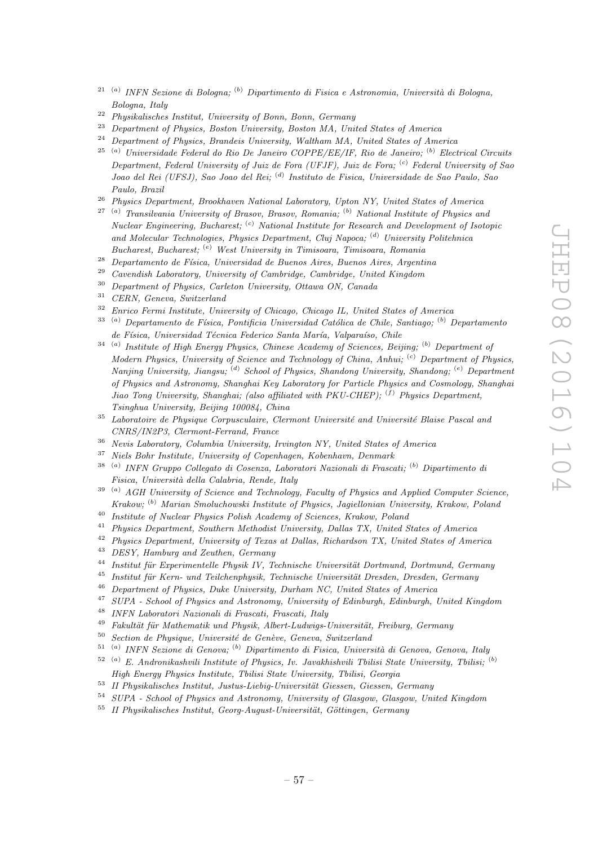- <sup>21 (a)</sup> INFN Sezione di Bologna; <sup>(b)</sup> Dipartimento di Fisica e Astronomia, Università di Bologna, Bologna, Italy
- <sup>22</sup> Physikalisches Institut, University of Bonn, Bonn, Germany
- <sup>23</sup> Department of Physics, Boston University, Boston MA, United States of America<sup>24</sup> Department of Physics, Brandeis University, Waltham MA, United States of Amer
- <sup>24</sup> Department of Physics, Brandeis University, Waltham MA, United States of America
- <sup>25 (a)</sup> Universidade Federal do Rio De Janeiro COPPE/EE/IF, Rio de Janeiro; <sup>(b)</sup> Electrical Circuits Department, Federal University of Juiz de Fora (UFJF), Juiz de Fora; <sup>(c)</sup> Federal University of Sao Joao del Rei (UFSJ), Sao Joao del Rei; <sup>(d)</sup> Instituto de Fisica, Universidade de Sao Paulo, Sao Paulo, Brazil
- <sup>26</sup> Physics Department, Brookhaven National Laboratory, Upton NY, United States of America
- <sup>27 (a</sup>) Transilvania University of Brasov, Brasov, Romania; <sup>(b)</sup> National Institute of Physics and Nuclear Engineering, Bucharest; <sup>(c)</sup> National Institute for Research and Development of Isotopic and Molecular Technologies, Physics Department, Cluj Napoca; <sup>(d)</sup> University Politehnica Bucharest, Bucharest; <sup>(e)</sup> West University in Timisoara, Timisoara, Romania
- <sup>28</sup> Departamento de Física, Universidad de Buenos Aires, Buenos Aires, Argentina
- <sup>29</sup> Cavendish Laboratory, University of Cambridge, Cambridge, United Kingdom<br><sup>30</sup> Department of Physics, Cambridge University, Ottowe ON, Canada
- <sup>30</sup> Department of Physics, Carleton University, Ottawa ON, Canada
- $31$  CERN, Geneva, Switzerland<br> $32$  Evrice Evrope Institute Hain
- <sup>32</sup> Enrico Fermi Institute, University of Chicago, Chicago IL, United States of America
- $33$ <sup>(a)</sup> Departamento de Física, Pontificia Universidad Católica de Chile, Santiago; <sup>(b)</sup> Departamento de Física, Universidad Técnica Federico Santa María, Valparaíso, Chile
- $34$ <sup>(a)</sup> Institute of High Energy Physics, Chinese Academy of Sciences, Beijing; <sup>(b)</sup> Department of Modern Physics, University of Science and Technology of China, Anhui;  $\binom{c}{r}$  Department of Physics, Nanjing University, Jiangsu; <sup>(d)</sup> School of Physics, Shandong University, Shandong; <sup>(e)</sup> Department of Physics and Astronomy, Shanghai Key Laboratory for Particle Physics and Cosmology, Shanghai Jiao Tong University, Shanghai; (also affiliated with PKU-CHEP);  $(f)$  Physics Department, Tsinghua University, Beijing 100084, China
- $35$  Laboratoire de Physique Corpusculaire, Clermont Université and Université Blaise Pascal and CNRS/IN2P3, Clermont-Ferrand, France
- <sup>36</sup> Nevis Laboratory, Columbia University, Irvington NY, United States of America
- <sup>37</sup> Niels Bohr Institute, University of Copenhagen, Kobenhavn, Denmark
- <sup>38 (a)</sup> INFN Gruppo Collegato di Cosenza, Laboratori Nazionali di Frascati; <sup>(b)</sup> Dipartimento di Fisica, Università della Calabria, Rende, Italy
- $39$ <sup>(a)</sup> AGH University of Science and Technology, Faculty of Physics and Applied Computer Science, Krakow; <sup>(b)</sup> Marian Smoluchowski Institute of Physics, Jagiellonian University, Krakow, Poland
- <sup>40</sup> Institute of Nuclear Physics Polish Academy of Sciences, Krakow, Poland
- <sup>41</sup> Physics Department, Southern Methodist University, Dallas TX, United States of America
- $42$  Physics Department, University of Texas at Dallas, Richardson TX, United States of America
- <sup>43</sup> DESY, Hamburg and Zeuthen, Germany
- <sup>44</sup> Institut für Experimentelle Physik IV, Technische Universität Dortmund, Dortmund, Germany<br><sup>45</sup> Institut für Kern, und Teilchennbusik, Technische Universität Dreeden, Dreeden, Germany
- <sup>45</sup> Institut für Kern- und Teilchenphysik, Technische Universität Dresden, Dresden, Germany
- <sup>46</sup> Department of Physics, Duke University, Durham NC, United States of America<sup>47</sup> SUPA School of Physics and Astronomy University of Elizabeth Editorial and A
- <sup>47</sup> SUPA School of Physics and Astronomy, University of Edinburgh, Edinburgh, United Kingdom
- <sup>48</sup> INFN Laboratori Nazionali di Frascati, Frascati, Italy
- <sup>49</sup> Fakultät für Mathematik und Physik, Albert-Ludwigs-Universität, Freiburg, Germany
- Section de Physique, Université de Genève, Geneva, Switzerland
- <sup>51 (a)</sup> INFN Sezione di Genova; <sup>(b)</sup> Dipartimento di Fisica, Università di Genova, Genova, Italy
- $52$ <sup>(a)</sup> E. Andronikashvili Institute of Physics, Iv. Javakhishvili Tbilisi State University, Tbilisi; <sup>(b)</sup> High Energy Physics Institute, Tbilisi State University, Tbilisi, Georgia
- $53$  II Physikalisches Institut, Justus-Liebig-Universität Giessen, Giessen, Germany
- <sup>54</sup> SUPA School of Physics and Astronomy, University of Glasgow, Glasgow, United Kingdom
- $55$  II Physikalisches Institut, Georg-August-Universität, Göttingen, Germany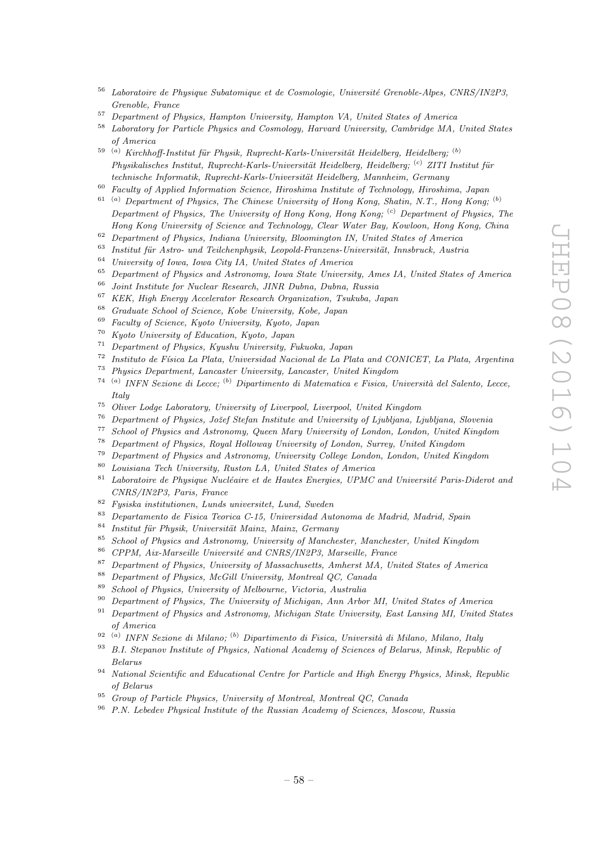- $56$  Laboratoire de Physique Subatomique et de Cosmologie, Université Grenoble-Alpes, CNRS/IN2P3, Grenoble, France
- <sup>57</sup> Department of Physics, Hampton University, Hampton VA, United States of America
- <sup>58</sup> Laboratory for Particle Physics and Cosmology, Harvard University, Cambridge MA, United States of America
- <sup>59 (a)</sup> Kirchhoff-Institut für Physik, Ruprecht-Karls-Universität Heidelberg, Heidelberg; <sup>(b)</sup> Physikalisches Institut, Ruprecht-Karls-Universität Heidelberg, Heidelberg; <sup>(c)</sup> ZITI Institut für technische Informatik, Ruprecht-Karls-Universität Heidelberg, Mannheim, Germany
- <sup>60</sup> Faculty of Applied Information Science, Hiroshima Institute of Technology, Hiroshima, Japan
- $\overset{61}{\sim}$  (a) Department of Physics, The Chinese University of Hong Kong, Shatin, N.T., Hong Kong; (b)
- Department of Physics, The University of Hong Kong, Hong Kong; <sup>(c)</sup> Department of Physics, The Hong Kong University of Science and Technology, Clear Water Bay, Kowloon, Hong Kong, China
- <sup>62</sup> Department of Physics, Indiana University, Bloomington IN, United States of America
- <sup>63</sup> Institut für Astro- und Teilchenphysik, Leopold-Franzens-Universität, Innsbruck, Austria<br><sup>64</sup> University of Jeans Jeans City IA, United States of America
- <sup>64</sup> University of Iowa, Iowa City IA, United States of America<br><sup>65</sup> Department of Physics and Actronomy, Iowa State University
- <sup>65</sup> Department of Physics and Astronomy, Iowa State University, Ames IA, United States of America<br><sup>66</sup> Isint Institute for Nuclear Peasanch, IND Dukas, Dukas, Puscia
- $^{66}$  Joint Institute for Nuclear Research, JINR Dubna, Dubna, Russia<br> $^{67}$  KEK, High France Assetunter Because Openingting Turbule J
- <sup>67</sup> KEK, High Energy Accelerator Research Organization, Tsukuba, Japan<br><sup>68</sup> Curricular School of Science Kehr Huisensity Kehr Japan
- <sup>68</sup> Graduate School of Science, Kobe University, Kobe, Japan
- <sup>69</sup> Faculty of Science, Kyoto University, Kyoto, Japan
- <sup>70</sup> Kyoto University of Education, Kyoto, Japan
- <sup>71</sup> Department of Physics, Kyushu University, Fukuoka, Japan
- $72$  Instituto de Física La Plata, Universidad Nacional de La Plata and CONICET, La Plata, Argentina
- <sup>73</sup> Physics Department, Lancaster University, Lancaster, United Kingdom
- <sup>74 (a</sup>) INFN Sezione di Lecce; <sup>(b</sup>) Dipartimento di Matematica e Fisica, Università del Salento, Lecce, Italy
- <sup>75</sup> Oliver Lodge Laboratory, University of Liverpool, Liverpool, United Kingdom<br><sup>76</sup> Department of Physics, Jošef Stefan Institute and University of Livelians, L
- <sup>76</sup> Department of Physics, Jožef Stefan Institute and University of Ljubljana, Ljubljana, Slovenia<br><sup>77</sup> School of Physics and Actuarymy Queen Many University of Landan, Landan, United Kingdom
- <sup>77</sup> School of Physics and Astronomy, Queen Mary University of London, London, United Kingdom
- <sup>78</sup> Department of Physics, Royal Holloway University of London, Surrey, United Kingdom<br><sup>79</sup> Department of Physics and Astronomy, University College Landen, Landen, United King
- <sup>79</sup> Department of Physics and Astronomy, University College London, London, United Kingdom
- <sup>80</sup> Louisiana Tech University, Ruston LA, United States of America<sup>81</sup> Loboratoire de Physique Nucléaire et de Heutes Energies UPMC
- Laboratoire de Physique Nucléaire et de Hautes Energies, UPMC and Université Paris-Diderot and CNRS/IN2P3, Paris, France
- $82$  Fysiska institutionen, Lunds universitet, Lund, Sweden
- <sup>83</sup> Departamento de Fisica Teorica C-15, Universidad Autonoma de Madrid, Madrid, Spain
- $84$  Institut für Physik, Universität Mainz, Mainz, Germany
- <sup>85</sup> School of Physics and Astronomy, University of Manchester, Manchester, United Kingdom
- $86$  CPPM, Aix-Marseille Université and CNRS/IN2P3, Marseille, France
- <sup>87</sup> Department of Physics, University of Massachusetts, Amherst MA, United States of America<br><sup>88</sup> Department of Physics, McCill University, Montreal OC, Canada
- <sup>88</sup> Department of Physics, McGill University, Montreal QC, Canada<br><sup>89</sup> School of Physics, University of Melbourne, Victoria, Australia
- <sup>89</sup> School of Physics, University of Melbourne, Victoria, Australia<br><sup>90</sup> Department of Physics, The University of Michigan Augustable
- <sup>90</sup> Department of Physics, The University of Michigan, Ann Arbor MI, United States of America<br><sup>91</sup> Department of Physics and Astronomy, Michigan State University, East Langing MI, United St
- <sup>91</sup> Department of Physics and Astronomy, Michigan State University, East Lansing MI, United States of America
- <sup>92 (a)</sup> INFN Sezione di Milano; <sup>(b)</sup> Dipartimento di Fisica, Università di Milano, Milano, Italy
- 93 B.I. Stepanov Institute of Physics, National Academy of Sciences of Belarus, Minsk, Republic of Belarus
- <sup>94</sup> National Scientific and Educational Centre for Particle and High Energy Physics, Minsk, Republic of Belarus
- <sup>95</sup> Group of Particle Physics, University of Montreal, Montreal QC, Canada
- <sup>96</sup> P.N. Lebedev Physical Institute of the Russian Academy of Sciences, Moscow, Russia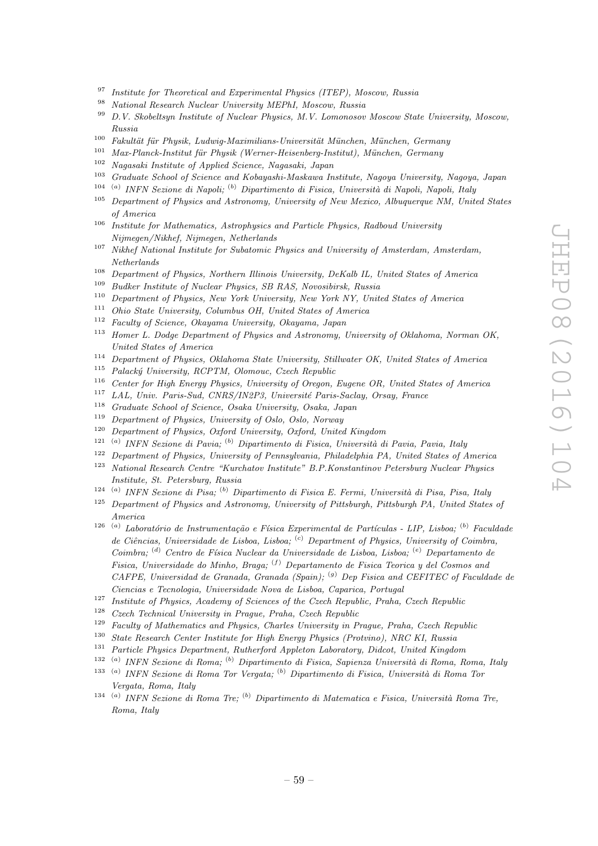- <sup>97</sup> Institute for Theoretical and Experimental Physics (ITEP), Moscow, Russia<br><sup>98</sup> Metianal Pessangk Nuclear University MEPLL Massey, Pussia
- <sup>98</sup> National Research Nuclear University MEPhI, Moscow, Russia<br><sup>99</sup> D.V. Skobeltean Institute of Nuclear Physics, M.V. Lomonoscan
- <sup>99</sup> D.V. Skobeltsyn Institute of Nuclear Physics, M.V. Lomonosov Moscow State University, Moscow, Russia
- $100$  Fakultät für Physik, Ludwig-Maximilians-Universität München, München, Germany
- $101$  Max-Planck-Institut für Physik (Werner-Heisenberg-Institut), München, Germany
- <sup>102</sup> Nagasaki Institute of Applied Science, Nagasaki, Japan<br><sup>103</sup> Curricute School of Science and Kahmati, Markana In
- <sup>103</sup> Graduate School of Science and Kobayashi-Maskawa Institute, Nagoya University, Nagoya, Japan
- 104 ( <sup>a)</sup> INFN Sezione di Napoli; <sup>(b)</sup> Dipartimento di Fisica, Università di Napoli, Napoli, Italy
- <sup>105</sup> Department of Physics and Astronomy, University of New Mexico, Albuquerque NM, United States of America
- <sup>106</sup> Institute for Mathematics, Astrophysics and Particle Physics, Radboud University Nijmegen/Nikhef, Nijmegen, Netherlands
- <sup>107</sup> Nikhef National Institute for Subatomic Physics and University of Amsterdam, Amsterdam, Netherlands
- <sup>108</sup> Department of Physics, Northern Illinois University, DeKalb IL, United States of America<br><sup>109</sup> Pueblace Institute of Nuclear Physics, SP PAS, Neugalianh, Puesia
- <sup>109</sup> Budker Institute of Nuclear Physics, SB RAS, Novosibirsk, Russia<br><sup>110</sup> David van Albertine New York Histography New York NY Heit
- <sup>110</sup> Department of Physics, New York University, New York NY, United States of America
- <sup>111</sup> Ohio State University, Columbus OH, United States of America<br> $\frac{112}{112}$  Example of States of Okument University Okument January
- <sup>112</sup> Faculty of Science, Okayama University, Okayama, Japan
- <sup>113</sup> Homer L. Dodge Department of Physics and Astronomy, University of Oklahoma, Norman OK, United States of America
- <sup>114</sup> Department of Physics, Oklahoma State University, Stillwater OK, United States of America
- <sup>115</sup> Palacký University, RCPTM, Olomouc, Czech Republic<br><sup>116</sup> Center for High Energy Physics, University of Oregon
- <sup>116</sup> Center for High Energy Physics, University of Oregon, Eugene OR, United States of America<br><sup>117</sup> LAL Haive Peris Sud. CNDS (INOP), University Peris Sector, Oregon, France
- LAL, Univ. Paris-Sud, CNRS/IN2P3, Université Paris-Saclay, Orsay, France
- <sup>118</sup> Graduate School of Science, Osaka University, Osaka, Japan<br><sup>119</sup> Department of Physics University of Oslo, Oslo, Namuay
- <sup>119</sup> Department of Physics, University of Oslo, Oslo, Norway<br><sup>120</sup> Department of Physics, Orford University, Orford, United
- <sup>120</sup> Department of Physics, Oxford University, Oxford, United Kingdom
- <sup>121 (a)</sup> INFN Sezione di Pavia; <sup>(b)</sup> Dipartimento di Fisica, Università di Pavia, Pavia, Italy
- <sup>122</sup> Department of Physics, University of Pennsylvania, Philadelphia PA, United States of America
- <sup>123</sup> National Research Centre "Kurchatov Institute" B.P.Konstantinov Petersburg Nuclear Physics Institute, St. Petersburg, Russia
- $124$ <sup>(a)</sup> INFN Sezione di Pisa; <sup>(b)</sup> Dipartimento di Fisica E. Fermi, Università di Pisa, Pisa, Italy
- <sup>125</sup> Department of Physics and Astronomy, University of Pittsburgh, Pittsburgh PA, United States of America
- <sup>126 (a)</sup> Laboratório de Instrumentação e Física Experimental de Partículas LIP, Lisboa; <sup>(b)</sup> Faculdade de Ciências, Universidade de Lisboa, Lisboa; <sup>(c)</sup> Department of Physics, University of Coimbra, Coimbra; <sup>(d)</sup> Centro de Física Nuclear da Universidade de Lisboa, Lisboa; <sup>(e)</sup> Departamento de Fisica, Universidade do Minho, Braga; <sup>(f)</sup> Departamento de Fisica Teorica y del Cosmos and CAFPE, Universidad de Granada, Granada (Spain); <sup>(g)</sup> Dep Fisica and CEFITEC of Faculdade de Ciencias e Tecnologia, Universidade Nova de Lisboa, Caparica, Portugal
- <sup>127</sup> Institute of Physics, Academy of Sciences of the Czech Republic, Praha, Czech Republic<br><sup>128</sup> Czech Technical University in Prague, Praha, Czech Penublic,
- <sup>128</sup> Czech Technical University in Prague, Praha, Czech Republic<br><sup>129</sup> Examine of Mathematics and Physics Charles University in B
- <sup>129</sup> Faculty of Mathematics and Physics, Charles University in Prague, Praha, Czech Republic
- <sup>130</sup> State Research Center Institute for High Energy Physics (Protvino), NRC KI, Russia
- <sup>131</sup> Particle Physics Department, Rutherford Appleton Laboratory, Didcot, United Kingdom
- <sup>132 (a)</sup> INFN Sezione di Roma; <sup>(b)</sup> Dipartimento di Fisica, Sapienza Università di Roma, Roma, Italy
- <sup>133 (a)</sup> INFN Sezione di Roma Tor Vergata; <sup>(b)</sup> Dipartimento di Fisica, Università di Roma Tor Vergata, Roma, Italy
- <sup>134 (a)</sup> INFN Sezione di Roma Tre; <sup>(b)</sup> Dipartimento di Matematica e Fisica, Università Roma Tre, Roma, Italy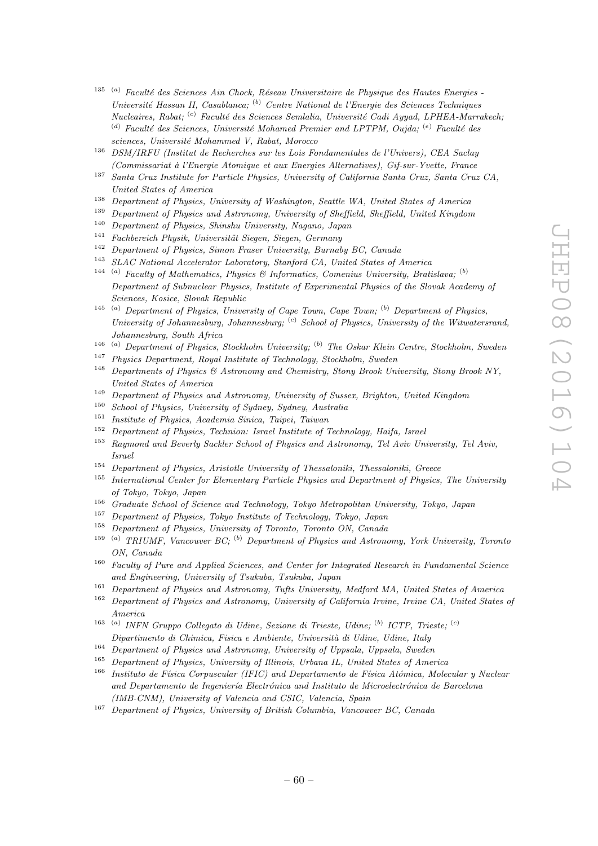- $135$ <sup>(a)</sup> Faculté des Sciences Ain Chock, Réseau Universitaire de Physique des Hautes Energies -Université Hassan II, Casablanca; <sup>(b)</sup> Centre National de l'Energie des Sciences Techniques Nucleaires, Rabat; <sup>(c)</sup> Faculté des Sciences Semlalia, Université Cadi Ayyad, LPHEA-Marrakech; (d) Faculté des Sciences, Université Mohamed Premier and LPTPM, Oujda;  $(e)$  Faculté des sciences, Université Mohammed V, Rabat, Morocco
- <sup>136</sup> DSM/IRFU (Institut de Recherches sur les Lois Fondamentales de l'Univers), CEA Saclay (Commissariat `a l'Energie Atomique et aux Energies Alternatives), Gif-sur-Yvette, France
- <sup>137</sup> Santa Cruz Institute for Particle Physics, University of California Santa Cruz, Santa Cruz CA, United States of America
- <sup>138</sup> Department of Physics, University of Washington, Seattle WA, United States of America
- <sup>139</sup> Department of Physics and Astronomy, University of Sheffield, Sheffield, United Kingdom<br><sup>140</sup> Department of Physics Shinghy University Negation Jensen
- <sup>140</sup> Department of Physics, Shinshu University, Nagano, Japan
- $141$  Fachbereich Physik, Universität Siegen, Siegen, Germany
- <sup>142</sup> Department of Physics, Simon Fraser University, Burnaby BC, Canada<br><sup>143</sup> SLAC National Assolution Lehenstern, Stanford CA, United States of the
- <sup>143</sup> SLAC National Accelerator Laboratory, Stanford CA, United States of America
- <sup>144 (a)</sup> Faculty of Mathematics, Physics & Informatics, Comenius University, Bratislava; <sup>(b)</sup> Department of Subnuclear Physics, Institute of Experimental Physics of the Slovak Academy of Sciences, Kosice, Slovak Republic
- <sup>145 (a)</sup> Department of Physics, University of Cape Town, Cape Town; <sup>(b)</sup> Department of Physics, University of Johannesburg, Johannesburg;  $\left( \text{c} \right)$  School of Physics, University of the Witwatersrand, Johannesburg, South Africa
- $146$ <sup>(a)</sup> Department of Physics, Stockholm University; <sup>(b)</sup> The Oskar Klein Centre, Stockholm, Sweden
- <sup>147</sup> Physics Department, Royal Institute of Technology, Stockholm, Sweden
- <sup>148</sup> Departments of Physics & Astronomy and Chemistry, Stony Brook University, Stony Brook NY, United States of America
- <sup>149</sup> Department of Physics and Astronomy, University of Sussex, Brighton, United Kingdom
- <sup>150</sup> School of Physics, University of Sydney, Sydney, Australia<br><sup>151</sup> Institute of Physics, Academia Sinics, Tringi, Trinuan
- <sup>151</sup> Institute of Physics, Academia Sinica, Taipei, Taiwan<br><sup>152</sup> Dependence of Physics, Technism, Israel Institute of C
- <sup>152</sup> Department of Physics, Technion: Israel Institute of Technology, Haifa, Israel
- <sup>153</sup> Raymond and Beverly Sackler School of Physics and Astronomy, Tel Aviv University, Tel Aviv, Israel
- <sup>154</sup> Department of Physics, Aristotle University of Thessaloniki, Thessaloniki, Greece<br><sup>155</sup> International Conten for Flementary Particle Physics and Department of Physics
- <sup>155</sup> International Center for Elementary Particle Physics and Department of Physics, The University of Tokyo, Tokyo, Japan
- <sup>156</sup> Graduate School of Science and Technology, Tokyo Metropolitan University, Tokyo, Japan
- <sup>157</sup> Department of Physics, Tokyo Institute of Technology, Tokyo, Japan
- <sup>158</sup> Department of Physics, University of Toronto, Toronto ON, Canada
- 159 ( <sup>a)</sup> TRIUMF, Vancouver BC; <sup>(b)</sup> Department of Physics and Astronomy, York University, Toronto ON, Canada
- <sup>160</sup> Faculty of Pure and Applied Sciences, and Center for Integrated Research in Fundamental Science and Engineering, University of Tsukuba, Tsukuba, Japan
- <sup>161</sup> Department of Physics and Astronomy, Tufts University, Medford MA, United States of America
- <sup>162</sup> Department of Physics and Astronomy, University of California Irvine, Irvine CA, United States of America
- <sup>163 (a)</sup> INFN Gruppo Collegato di Udine, Sezione di Trieste, Udine; <sup>(b)</sup> ICTP, Trieste; <sup>(c)</sup> Dipartimento di Chimica, Fisica e Ambiente, Università di Udine, Udine, Italy
- <sup>164</sup> Department of Physics and Astronomy, University of Uppsala, Uppsala, Sweden
- <sup>165</sup> Department of Physics, University of Illinois, Urbana IL, United States of America
- $166$  Instituto de Física Corpuscular (IFIC) and Departamento de Física Atómica, Molecular y Nuclear and Departamento de Ingeniería Electrónica and Instituto de Microelectrónica de Barcelona (IMB-CNM), University of Valencia and CSIC, Valencia, Spain
- <sup>167</sup> Department of Physics, University of British Columbia, Vancouver BC, Canada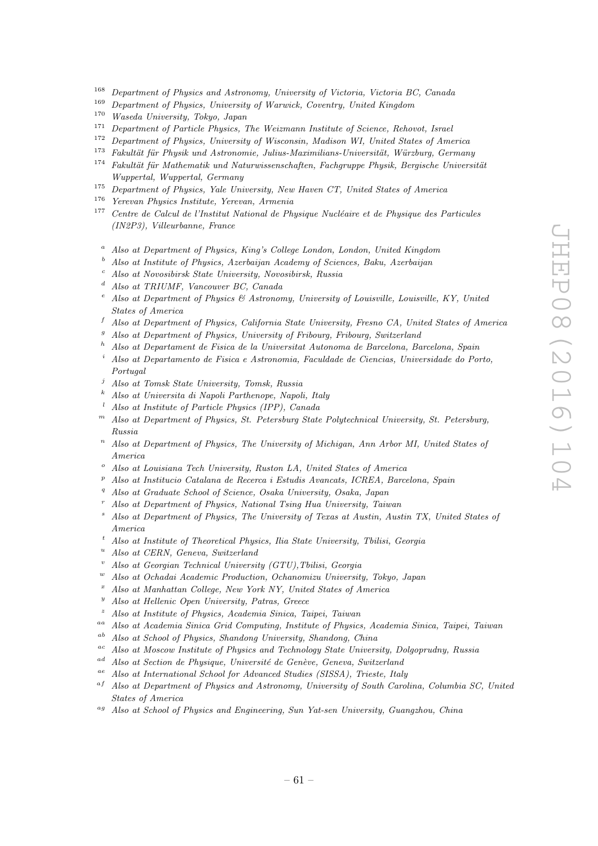- <sup>168</sup> Department of Physics and Astronomy, University of Victoria, Victoria BC, Canada<br><sup>169</sup> Department of Physics University of Wanwick Country, United Kingdom
- <sup>169</sup> Department of Physics, University of Warwick, Coventry, United Kingdom<br><sup>170</sup> Waseda University, Tokyo, Japan
- $170$  *Waseda University, Tokyo, Japan*<br> $171$  *Department of Particle Physics*
- <sup>171</sup> Department of Particle Physics, The Weizmann Institute of Science, Rehovot, Israel<br><sup>172</sup> Department of Physics, University of Wissensin, Madison WI, United States of Amer
- <sup>172</sup> Department of Physics, University of Wisconsin, Madison WI, United States of America<br><sup>173</sup> Estativity finally and Actronomic Julius Maximilians University Winsham Compan
- <sup>173</sup> Fakultät für Physik und Astronomie, Julius-Maximilians-Universität, Würzburg, Germany<br><sup>174</sup> Fakultät für Mathematik und Naturwissenschaften, Facharunne Phusik, Bergische Universi
- $Fakultät für Mathematik und Naturwissenschaften, Fachgruppe Physik, Bergische Universität$ Wuppertal, Wuppertal, Germany
- <sup>175</sup> Department of Physics, Yale University, New Haven CT, United States of America
- <sup>176</sup> Yerevan Physics Institute, Yerevan, Armenia
- $177$  Centre de Calcul de l'Institut National de Physique Nucléaire et de Physique des Particules (IN2P3), Villeurbanne, France
	- <sup>a</sup> Also at Department of Physics, King's College London, London, United Kingdom<br> $\frac{b}{a}$  Also at Institute of Physics, Agentaion, Agedomy of Sciences, Pelu, Agentaion
	- <sup>b</sup> Also at Institute of Physics, Azerbaijan Academy of Sciences, Baku, Azerbaijan
	- <sup>c</sup> Also at Novosibirsk State University, Novosibirsk, Russia
	- <sup>d</sup> Also at TRIUMF, Vancouver BC, Canada
	- <sup>e</sup> Also at Department of Physics & Astronomy, University of Louisville, Louisville, KY, United States of America
	- <sup>f</sup> Also at Department of Physics, California State University, Fresno CA, United States of America
	- <sup>9</sup> Also at Department of Physics, University of Fribourg, Fribourg, Switzerland
	- <sup>h</sup> Also at Departament de Fisica de la Universitat Autonoma de Barcelona, Barcelona, Spain
	- <sup>i</sup> Also at Departamento de Fisica e Astronomia, Faculdade de Ciencias, Universidade do Porto, Portugal
	- <sup>j</sup> Also at Tomsk State University, Tomsk, Russia
	- <sup>k</sup> Also at Universita di Napoli Parthenope, Napoli, Italy
	- <sup>l</sup> Also at Institute of Particle Physics (IPP), Canada
	- <sup>m</sup> Also at Department of Physics, St. Petersburg State Polytechnical University, St. Petersburg, Russia
	- $n$  Also at Department of Physics, The University of Michigan, Ann Arbor MI, United States of America
	- $\degree$  Also at Louisiana Tech University, Ruston LA, United States of America
	- <sup>p</sup> Also at Institucio Catalana de Recerca i Estudis Avancats, ICREA, Barcelona, Spain
	- Also at Graduate School of Science, Osaka University, Osaka, Japan
	- <sup>r</sup> Also at Department of Physics, National Tsing Hua University, Taiwan
	- <sup>s</sup> Also at Department of Physics, The University of Texas at Austin, Austin TX, United States of America
	- <sup>t</sup> Also at Institute of Theoretical Physics, Ilia State University, Tbilisi, Georgia
	- Also at CERN, Geneva, Switzerland
	- <sup>v</sup> Also at Georgian Technical University (GTU),Tbilisi, Georgia
	- <sup>w</sup> Also at Ochadai Academic Production, Ochanomizu University, Tokyo, Japan
	- <sup>x</sup> Also at Manhattan College, New York NY, United States of America
	- <sup>y</sup> Also at Hellenic Open University, Patras, Greece
- <sup>z</sup> Also at Institute of Physics, Academia Sinica, Taipei, Taiwan
- aa Also at Academia Sinica Grid Computing, Institute of Physics, Academia Sinica, Taipei, Taiwan
- ab Also at School of Physics, Shandong University, Shandong, China
- Also at Moscow Institute of Physics and Technology State University, Dolgoprudny, Russia
- <sup>ad</sup> Also at Section de Physique, Université de Genève, Geneva, Switzerland
- ae Also at International School for Advanced Studies (SISSA), Trieste, Italy
- $a<sup>f</sup>$  Also at Department of Physics and Astronomy, University of South Carolina, Columbia SC, United States of America
- <sup>ag</sup> Also at School of Physics and Engineering, Sun Yat-sen University, Guangzhou, China